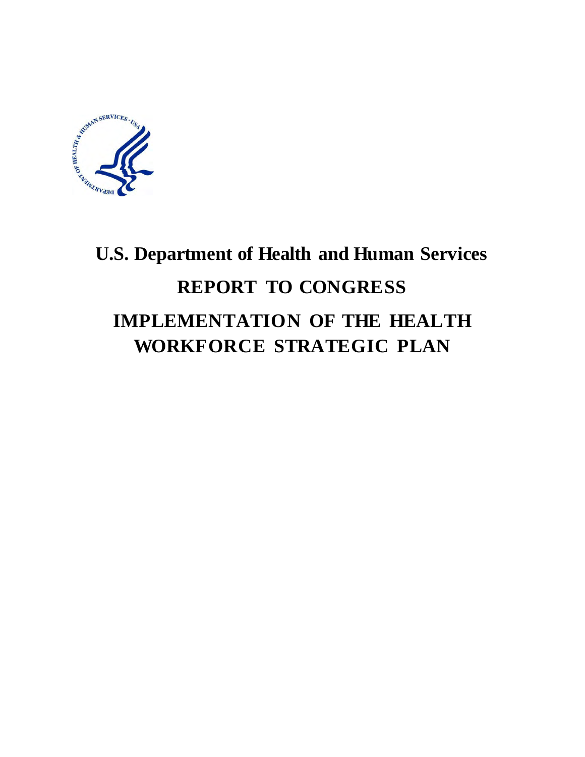

# <span id="page-0-0"></span>**U.S. Department of Health and Human Services REPORT TO CONGRESS IMPLEMENTATION OF THE HEALTH WORKFORCE STRATEGIC PLAN**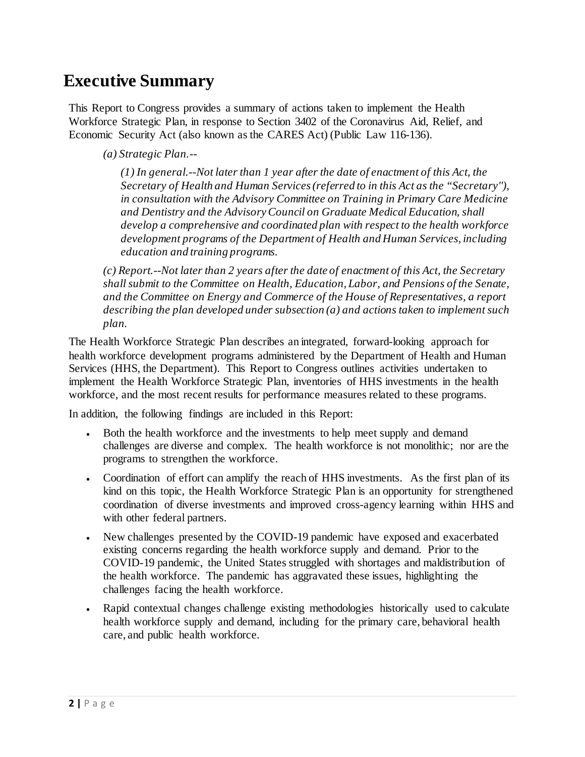### <span id="page-1-0"></span>**Executive Summary**

This Report to Congress provides a summary of actions taken to implement the Health Workforce Strategic Plan, in response to Section 3402 of the Coronavirus Aid, Relief, and Economic Security Act (also known as the CARES Act) (Public Law 116-136).

*(a) Strategic Plan.--*

*(1) In general.--Not later than 1 year after the date of enactment of this Act, the Secretary of Health and Human Services (referred to in this Act as the "Secretary''), in consultation with the Advisory Committee on Training in Primary Care Medicine and Dentistry and the Advisory Council on Graduate Medical Education, shall develop a comprehensive and coordinated plan with respect to the health workforce development programs of the Department of Health and Human Services, including education and training programs.*

*(c) Report.--Not later than 2 years after the date of enactment of this Act, the Secretary shall submit to the Committee on Health, Education, Labor, and Pensions of the Senate, and the Committee on Energy and Commerce of the House of Representatives, a report describing the plan developed under subsection (a) and actions taken to implement such plan.*

The Health Workforce Strategic Plan describes an integrated, forward-looking approach for health workforce development programs administered by the Department of Health and Human Services (HHS, the Department). This Report to Congress outlines activities undertaken to implement the Health Workforce Strategic Plan, inventories of HHS investments in the health workforce, and the most recent results for performance measures related to these programs.

In addition, the following findings are included in this Report:

- Both the health workforce and the investments to help meet supply and demand challenges are diverse and complex. The health workforce is not monolithic; nor are the programs to strengthen the workforce.
- Coordination of effort can amplify the reach of HHS investments. As the first plan of its kind on this topic, the Health Workforce Strategic Plan is an opportunity for strengthened coordination of diverse investments and improved cross-agency learning within HHS and with other federal partners.
- New challenges presented by the COVID-19 pandemic have exposed and exacerbated existing concerns regarding the health workforce supply and demand.Prior to the COVID-19 pandemic, the United States struggled with shortages and maldistribution of the health workforce. The pandemic has aggravated these issues, highlighting the challenges facing the health workforce.
- Rapid contextual changes challenge existing methodologies historically used to calculate health workforce supply and demand, including for the primary care, behavioral health care, and public health workforce.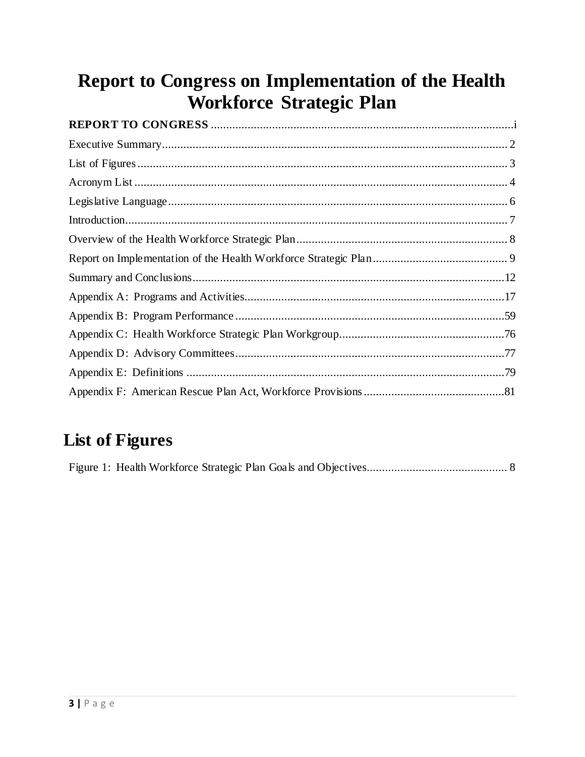## Report to Congress on Implementation of the Health Workforce Strategic Plan

## <span id="page-2-0"></span>**List of Figures**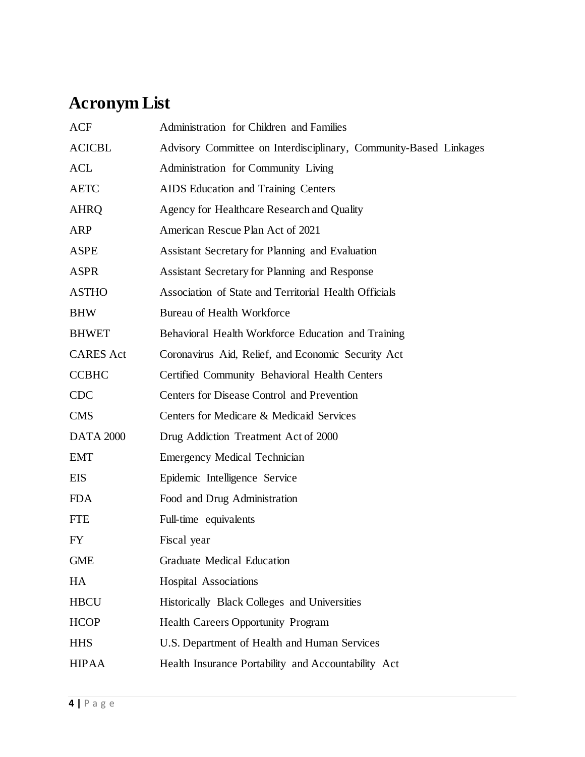## <span id="page-3-0"></span>**Acronym List**

| ACF              | Administration for Children and Families                          |
|------------------|-------------------------------------------------------------------|
| <b>ACICBL</b>    | Advisory Committee on Interdisciplinary, Community-Based Linkages |
| <b>ACL</b>       | Administration for Community Living                               |
| <b>AETC</b>      | AIDS Education and Training Centers                               |
| <b>AHRQ</b>      | Agency for Healthcare Research and Quality                        |
| ARP              | American Rescue Plan Act of 2021                                  |
| ASPE             | Assistant Secretary for Planning and Evaluation                   |
| <b>ASPR</b>      | Assistant Secretary for Planning and Response                     |
| <b>ASTHO</b>     | Association of State and Territorial Health Officials             |
| <b>BHW</b>       | <b>Bureau of Health Workforce</b>                                 |
| <b>BHWET</b>     | Behavioral Health Workforce Education and Training                |
| <b>CARES</b> Act | Coronavirus Aid, Relief, and Economic Security Act                |
| <b>CCBHC</b>     | Certified Community Behavioral Health Centers                     |
| <b>CDC</b>       | Centers for Disease Control and Prevention                        |
| <b>CMS</b>       | Centers for Medicare & Medicaid Services                          |
| <b>DATA 2000</b> | Drug Addiction Treatment Act of 2000                              |
| <b>EMT</b>       | <b>Emergency Medical Technician</b>                               |
| EIS              | Epidemic Intelligence Service                                     |
| <b>FDA</b>       | Food and Drug Administration                                      |
| <b>FTE</b>       | Full-time equivalents                                             |
| FY               | Fiscal year                                                       |
| <b>GME</b>       | <b>Graduate Medical Education</b>                                 |
| HA               | Hospital Associations                                             |
| <b>HBCU</b>      | Historically Black Colleges and Universities                      |
| <b>HCOP</b>      | <b>Health Careers Opportunity Program</b>                         |
| <b>HHS</b>       | U.S. Department of Health and Human Services                      |
| <b>HIPAA</b>     | Health Insurance Portability and Accountability Act               |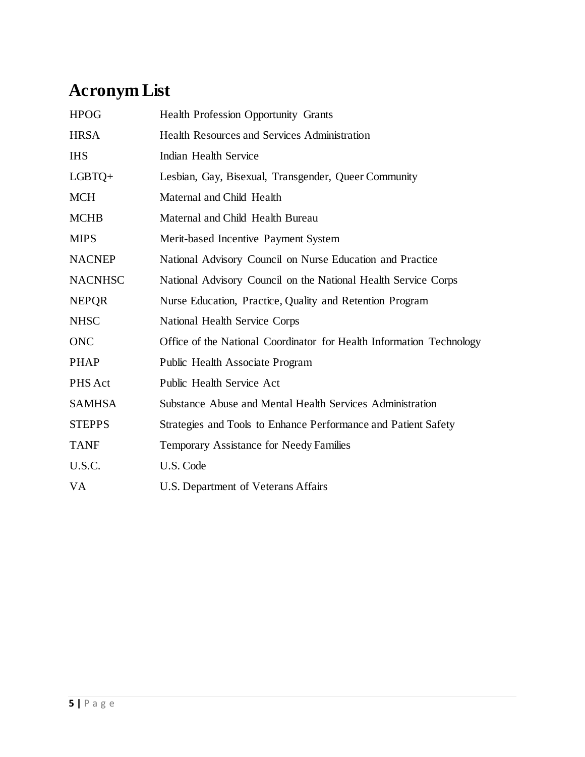## **Acronym List**

| <b>HPOG</b>    | <b>Health Profession Opportunity Grants</b>                          |
|----------------|----------------------------------------------------------------------|
| <b>HRSA</b>    | <b>Health Resources and Services Administration</b>                  |
| <b>IHS</b>     | Indian Health Service                                                |
| $LGBTQ+$       | Lesbian, Gay, Bisexual, Transgender, Queer Community                 |
| <b>MCH</b>     | Maternal and Child Health                                            |
| <b>MCHB</b>    | Maternal and Child Health Bureau                                     |
| <b>MIPS</b>    | Merit-based Incentive Payment System                                 |
| <b>NACNEP</b>  | National Advisory Council on Nurse Education and Practice            |
| <b>NACNHSC</b> | National Advisory Council on the National Health Service Corps       |
| <b>NEPOR</b>   | Nurse Education, Practice, Quality and Retention Program             |
| <b>NHSC</b>    | National Health Service Corps                                        |
| <b>ONC</b>     | Office of the National Coordinator for Health Information Technology |
| <b>PHAP</b>    | Public Health Associate Program                                      |
| PHS Act        | Public Health Service Act                                            |
| <b>SAMHSA</b>  | Substance Abuse and Mental Health Services Administration            |
| <b>STEPPS</b>  | Strategies and Tools to Enhance Performance and Patient Safety       |
| <b>TANF</b>    | Temporary Assistance for Needy Families                              |
| U.S.C.         | U.S. Code                                                            |
| VA             | U.S. Department of Veterans Affairs                                  |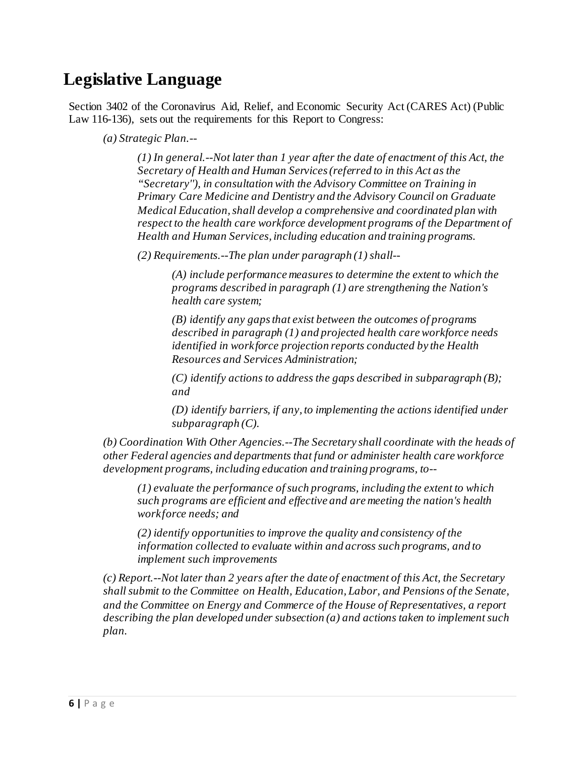## <span id="page-5-0"></span>**Legislative Language**

Section 3402 of the Coronavirus Aid, Relief, and Economic Security Act (CARES Act) (Public Law 116-136), sets out the requirements for this Report to Congress:

*(a) Strategic Plan.--*

*(1) In general.--Not later than 1 year after the date of enactment of this Act, the Secretary of Health and Human Services (referred to in this Act as the "Secretary''), in consultation with the Advisory Committee on Training in Primary Care Medicine and Dentistry and the Advisory Council on Graduate Medical Education, shall develop a comprehensive and coordinated plan with respect to the health care workforce development programs of the Department of Health and Human Services, including education and training programs.*

*(2) Requirements.--The plan under paragraph (1) shall--*

*(A) include performance measures to determine the extent to which the programs described in paragraph (1) are strengthening the Nation's health care system;*

*(B) identify any gaps that exist between the outcomes of programs described in paragraph (1) and projected health care workforce needs identified in workforce projection reports conducted by the Health Resources and Services Administration;*

*(C) identify actions to address the gaps described in subparagraph (B); and*

*(D) identify barriers, if any, to implementing the actions identified under subparagraph (C).*

*(b) Coordination With Other Agencies.--The Secretary shall coordinate with the heads of other Federal agencies and departments that fund or administer health care workforce development programs, including education and training programs, to--*

*(1) evaluate the performance of such programs, including the extent to which such programs are efficient and effective and are meeting the nation's health workforce needs; and*

*(2) identify opportunities to improve the quality and consistency of the information collected to evaluate within and across such programs, and to implement such improvements*

*(c) Report.--Not later than 2 years after the date of enactment of this Act, the Secretary shall submit to the Committee on Health, Education, Labor, and Pensions of the Senate, and the Committee on Energy and Commerce of the House of Representatives, a report describing the plan developed under subsection (a) and actions taken to implement such plan.*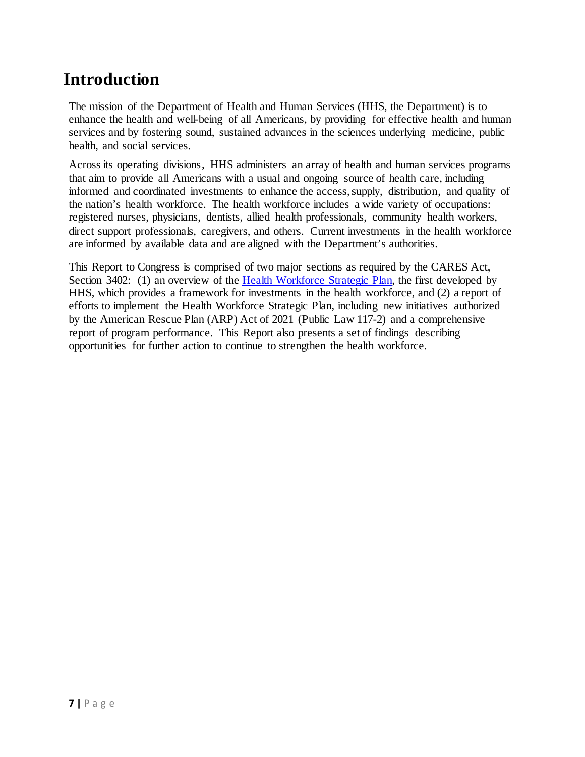## <span id="page-6-0"></span>**Introduction**

The mission of the Department of Health and Human Services (HHS, the Department) is to enhance the health and well-being of all Americans, by providing for effective health and human services and by fostering sound, sustained advances in the sciences underlying medicine, public health, and social services.

Across its operating divisions, HHS administers an array of health and human services programs that aim to provide all Americans with a usual and ongoing source of health care, including informed and coordinated investments to enhance the access, supply, distribution, and quality of the nation's health workforce. The health workforce includes a wide variety of occupations: registered nurses, physicians, dentists, allied health professionals, community health workers, direct support professionals, caregivers, and others. Current investments in the health workforce are informed by available data and are aligned with the Department's authorities.

This Report to Congress is comprised of two major sections as required by the CARES Act, Section 3402: (1) an overview of the [Health Workforce Strategic Plan,](https://bhw.hrsa.gov/sites/default/files/bureau-health-workforce/about-us/hhs-health-workforce-strategic-plan-2021.pdf) the first developed by HHS, which provides a framework for investments in the health workforce, and (2) a report of efforts to implement the Health Workforce Strategic Plan, including new initiatives authorized by the American Rescue Plan (ARP) Act of 2021 (Public Law 117-2) and a comprehensive report of program performance. This Report also presents a set of findings describing opportunities for further action to continue to strengthen the health workforce.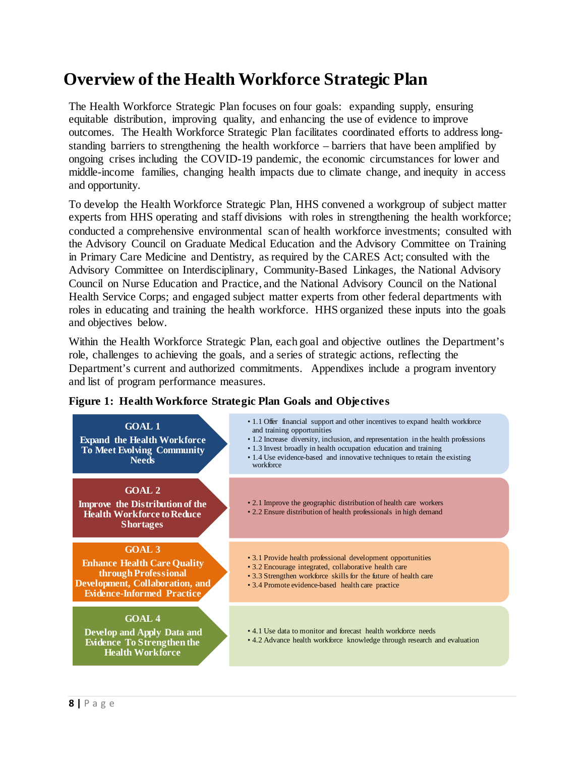## <span id="page-7-0"></span>**Overview of the Health Workforce Strategic Plan**

The Health Workforce Strategic Plan focuses on four goals: expanding supply, ensuring equitable distribution, improving quality, and enhancing the use of evidence to improve outcomes. The Health Workforce Strategic Plan facilitates coordinated efforts to address longstanding barriers to strengthening the health workforce – barriers that have been amplified by ongoing crises including the COVID-19 pandemic, the economic circumstances for lower and middle-income families, changing health impacts due to climate change, and inequity in access and opportunity.

To develop the Health Workforce Strategic Plan, HHS convened a workgroup of subject matter experts from HHS operating and staff divisions with roles in strengthening the health workforce; conducted a comprehensive environmental scan of health workforce investments; consulted with the Advisory Council on Graduate Medical Education and the Advisory Committee on Training in Primary Care Medicine and Dentistry, as required by the CARES Act; consulted with the Advisory Committee on Interdisciplinary, Community-Based Linkages, the National Advisory Council on Nurse Education and Practice, and the National Advisory Council on the National Health Service Corps; and engaged subject matter experts from other federal departments with roles in educating and training the health workforce. HHS organized these inputs into the goals and objectives below.

Within the Health Workforce Strategic Plan, each goal and objective outlines the Department's role, challenges to achieving the goals, and a series of strategic actions, reflecting the Department's current and authorized commitments. Appendixes include a program inventory and list of program performance measures.



#### <span id="page-7-1"></span>**Figure 1: Health Workforce Strategic Plan Goals and Objectives**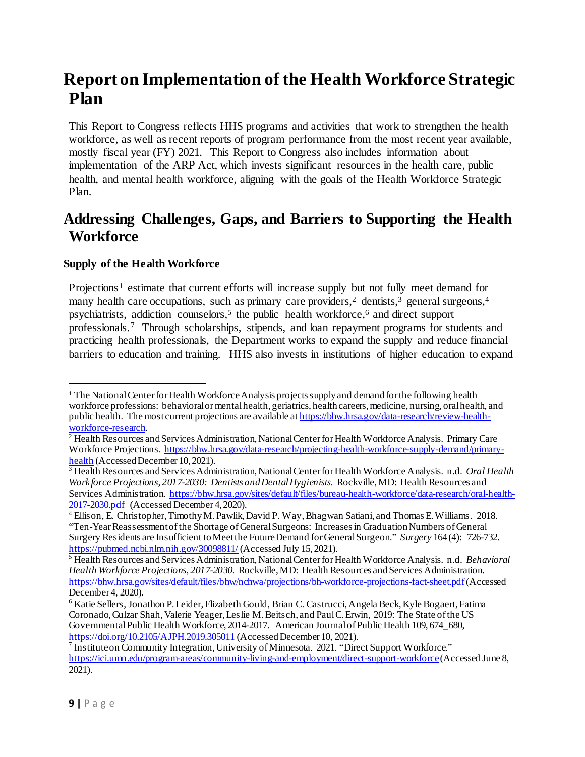## <span id="page-8-0"></span>**Report on Implementation of the Health Workforce Strategic Plan**

This Report to Congress reflects HHS programs and activities that work to strengthen the health workforce, as well as recent reports of program performance from the most recent year available, mostly fiscal year (FY) 2021. This Report to Congress also includes information about implementation of the ARP Act, which invests significant resources in the health care, public health, and mental health workforce, aligning with the goals of the Health Workforce Strategic Plan.

### **Addressing Challenges, Gaps, and Barriers to Supporting the Health Workforce**

#### **Supply of the Health Workforce**

Projections<sup>[1](#page-8-1)</sup> estimate that current efforts will increase supply but not fully meet demand for many health care occupations, such as primary care providers,<sup>[2](#page-8-2)</sup> dentists,<sup>[3](#page-8-3)</sup> general surgeons,<sup>[4](#page-8-4)</sup> psychiatrists, addiction counselors,<sup>5</sup> the public health workforce,<sup>6</sup> and direct support professionals.[7](#page-8-7) Through scholarships, stipends, and loan repayment programs for students and practicing health professionals, the Department works to expand the supply and reduce financial barriers to education and training. HHS also invests in institutions of higher education to expand

<span id="page-8-1"></span><sup>&</sup>lt;sup>1</sup> The National Center for Health Workforce Analysis projects supply and demand for the following health workforce professions: behavioral or mental health, geriatrics, health careers, medicine, nursing, oral health, and public health. The most current projections are available a[t https://bhw.hrsa.gov/data-research/review-health-](https://bhw.hrsa.gov/data-research/review-health-workforce-research)

<span id="page-8-2"></span>[workforce-research.](https://bhw.hrsa.gov/data-research/review-health-workforce-research)<br><sup>[2](https://bhw.hrsa.gov/data-research/review-health-workforce-research)</sup> Health Resources and Services Administration, National Center for Health Workforce Analysis. Primary Care Workforce Projections. https://bhw.hrsa.gov/data-research/projecting-health-workforce-supply-demand/primary-health (Accessed December 10, 2021).

<span id="page-8-3"></span><sup>&</sup>lt;sup>3</sup> Health Resources and Services Administration, National Center for Health Workforce Analysis. n.d. *Oral Health Workforce Projections, 2017-2030: Dentists and Dental Hygienists.* Rockville, MD: Health Resources and Services Administration. [https://bhw.hrsa.gov/sites/default/files/bureau-health-workforce/data-research/oral-health-](https://bhw.hrsa.gov/sites/default/files/bureau-health-workforce/data-research/oral-health-2017-2030.pdf)[2017-2030.pdf](https://bhw.hrsa.gov/sites/default/files/bureau-health-workforce/data-research/oral-health-2017-2030.pdf) (Accessed December 4, 2020).

<span id="page-8-4"></span><sup>&</sup>lt;sup>4</sup> Ellison, E. Christopher, Timothy M. Pawlik, David P. Way, Bhagwan Satiani, and Thomas E. Williams. 2018. "Ten-Year Reassessment of the Shortage of General Surgeons: Increases in Graduation Numbers of General Surgery Residents are Insufficient to Meet the Future Demand for General Surgeon." *Surgery* 164 (4): 726-732.<br>https://pubmed.ncbi.nlm.nih.gov/30098811/ (Accessed July 15, 2021).

<span id="page-8-5"></span><sup>&</sup>lt;sup>5</sup> Health Resources and Services Administration, National Center for Health Workforce Analysis. n.d. *Behavioral Health Workforce Projections, 2017-2030*. Rockville, MD: Health Resources and Services Administration. <https://bhw.hrsa.gov/sites/default/files/bhw/nchwa/projections/bh-workforce-projections-fact-sheet.pdf>(Accessed December 4, 2020).

<span id="page-8-6"></span><sup>6</sup> Katie Sellers, Jonathon P. Leider, Elizabeth Gould, Brian C. Castrucci, Angela Beck, Kyle Bogaert, Fatima Coronado, Gulzar Shah, Valerie Yeager, Leslie M. Beitsch, and Paul C. Erwin, 2019: The State of the US Governmental Public Health Workforce, 2014-2017. American Journal of Public Health 109, 674\_680, https://doi.org/10.2105/AJPH.2019.305011 (Accessed December 10, 2021).

<span id="page-8-7"></span><sup>&</sup>lt;sup>7</sup> Institute on Community Integration, University of Minnesota. 2021. "Direct Support Workforce." <https://ici.umn.edu/program-areas/community-living-and-employment/direct-support-workforce>(Accessed June 8, 2021).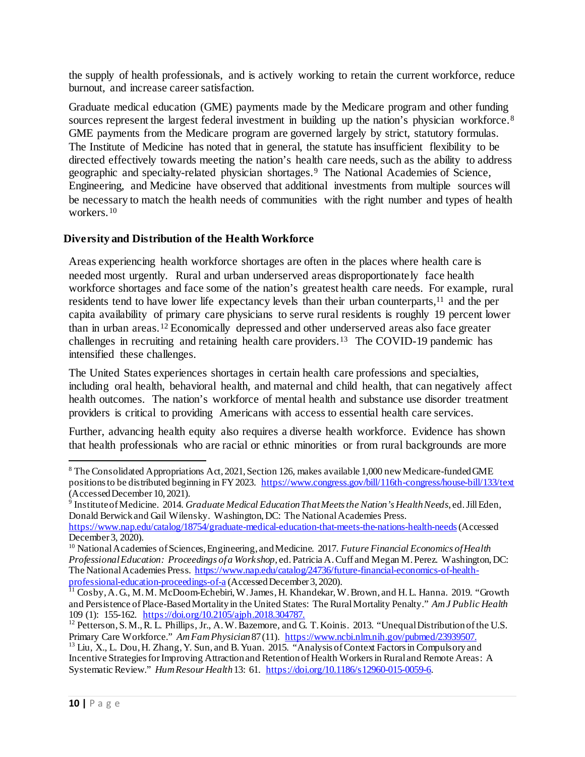the supply of health professionals, and is actively working to retain the current workforce, reduce burnout, and increase career satisfaction.

Graduate medical education (GME) payments made by the Medicare program and other funding sources represent the largest federal investment in building up the nation's physician workforce.<sup>[8](#page-9-0)</sup> GME payments from the Medicare program are governed largely by strict, statutory formulas. The Institute of Medicine has noted that in general, the statute has insufficient flexibility to be directed effectively towards meeting the nation's health care needs, such as the ability to address geographic and specialty-related physician shortages.[9](#page-9-1) The National Academies of Science, Engineering, and Medicine have observed that additional investments from multiple sources will be necessary to match the health needs of communities with the right number and types of health workers<sup>[10](#page-9-2)</sup>

#### **Diversity and Distribution of the Health Workforce**

Areas experiencing health workforce shortages are often in the places where health care is needed most urgently. Rural and urban underserved areas disproportionately face health workforce shortages and face some of the nation's greatest health care needs. For example, rural residents tend to have lower life expectancy levels than their urban counterparts,<sup>[11](#page-9-3)</sup> and the per capita availability of primary care physicians to serve rural residents is roughly 19 percent lower than in urban areas.[12](#page-9-4) Economically depressed and other underserved areas also face greater challenges in recruiting and retaining health care providers.[13](#page-9-5) The COVID-19 pandemic has intensified these challenges.

The United States experiences shortages in certain health care professions and specialties, including oral health, behavioral health, and maternal and child health, that can negatively affect health outcomes. The nation's workforce of mental health and substance use disorder treatment providers is critical to providing Americans with access to essential health care services.

Further, advancing health equity also requires a diverse health workforce. Evidence has shown that health professionals who are racial or ethnic minorities or from rural backgrounds are more

<span id="page-9-0"></span><sup>&</sup>lt;sup>8</sup> The Consolidated Appropriations Act, 2021, Section 126, makes available 1,000 new Medicare-funded GME positions to be distributed beginning in FY 2023. <https://www.congress.gov/bill/116th-congress/house-bill/133/text> (Accessed December 10, 2021).

<span id="page-9-1"></span><sup>9</sup> Institute of Medicine. 2014. *Graduate Medical Education That Meets the Nation's Health Needs*, ed. Jill Eden, Donald Berwick and Gail Wilensky. Washington, DC: The National Academies Press.

<https://www.nap.edu/catalog/18754/graduate-medical-education-that-meets-the-nations-health-needs>(Accessed December 3, 2020).

<span id="page-9-2"></span><sup>10</sup> National Academies of Sciences, Engineering, and Medicine. 2017. *Future Financial Economics of Health Professional Education: Proceedings of a Workshop*, ed. Patricia A. Cuff and Megan M. Perez. Washington, DC: The National Academies Press[. https://www.nap.edu/catalog/24736/future-financial-economics-of-health](https://www.nap.edu/catalog/24736/future-financial-economics-of-health-professional-education-proceedings-of-a)[professional-education-proceedings-of-a](https://www.nap.edu/catalog/24736/future-financial-economics-of-health-professional-education-proceedings-of-a) (Accessed December 3, 2020).<br><sup>11</sup> Cosby, A. G., M. M. McDoom-Echebiri, W. James, H. Khandekar, W. Brown, and H. L. Hanna. 2019. "Growth

<span id="page-9-3"></span>and Persistence of Place-Based Mortality in the United States: The Rural Mortality Penalty." *Am J Public Health*

<span id="page-9-4"></span><sup>&</sup>lt;sup>12</sup> Petterson, S. M., R. L. Phillips, Jr., A. W. Bazemore, and G. T. Koinis. 2013. "Unequal Distribution of the U.S. Primary Care Workforce." *Am Fam Physician* 87 (11). [https://www.ncbi.nlm.nih.gov/pubmed/23939507.](https://www.ncbi.nlm.nih.gov/pubmed/23939507)<br><sup>13</sup> Liu, X., L. Dou, H. Zhang, Y. Sun, and B. Yuan. 2015. "Analysis of Context Factors in Compulsory and

<span id="page-9-5"></span>Incentive Strategies for Improving Attraction and Retention of Health Workers in Rural and Remote Areas: A Systematic Review." *Hum Resour Health*13: 61. [https://doi.org/10.1186/s12960-015-0059-6.](https://doi.org/10.1186/s12960-015-0059-6)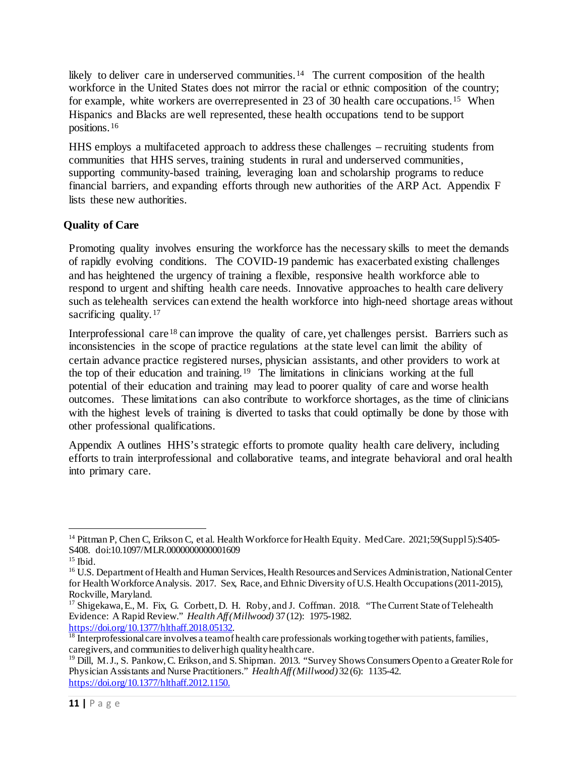likely to deliver care in underserved communities.<sup>[14](#page-10-0)</sup> The current composition of the health workforce in the United States does not mirror the racial or ethnic composition of the country; for example, white workers are overrepresented in 23 of 30 health care occupations.<sup>[15](#page-10-1)</sup> When Hispanics and Blacks are well represented, these health occupations tend to be support positions.[16](#page-10-2)

HHS employs a multifaceted approach to address these challenges – recruiting students from communities that HHS serves, training students in rural and underserved communities, supporting community-based training, leveraging loan and scholarship programs to reduce financial barriers, and expanding efforts through new authorities of the ARP Act. Appendix F lists these new authorities.

#### **Quality of Care**

Promoting quality involves ensuring the workforce has the necessary skills to meet the demands of rapidly evolving conditions. The COVID-19 pandemic has exacerbated existing challenges and has heightened the urgency of training a flexible, responsive health workforce able to respond to urgent and shifting health care needs. Innovative approaches to health care delivery such as telehealth services can extend the health workforce into high-need shortage areas without sacrificing quality.<sup>[17](#page-10-3)</sup>

Interprofessional care <sup>[18](#page-10-4)</sup> can improve the quality of care, yet challenges persist. Barriers such as inconsistencies in the scope of practice regulations at the state level can limit the ability of certain advance practice registered nurses, physician assistants, and other providers to work at the top of their education and training.[19](#page-10-5) The limitations in clinicians working at the full potential of their education and training may lead to poorer quality of care and worse health outcomes. These limitations can also contribute to workforce shortages, as the time of clinicians with the highest levels of training is diverted to tasks that could optimally be done by those with other professional qualifications.

Appendix A outlines HHS's strategic efforts to promote quality health care delivery, including efforts to train interprofessional and collaborative teams, and integrate behavioral and oral health into primary care.

<span id="page-10-0"></span><sup>&</sup>lt;sup>14</sup> Pittman P, Chen C, Erikson C, et al. Health Workforce for Health Equity. Med Care. 2021;59(Suppl 5):S405-S408. doi:10.1097/MLR.0000000000001609

<span id="page-10-2"></span><span id="page-10-1"></span><sup>&</sup>lt;sup>15</sup> Ibid.<br><sup>16</sup> U.S. Department of Health and Human Services, Health Resources and Services Administration, National Center for Health Workforce Analysis. 2017. Sex, Race, and Ethnic Diversity of U.S. Health Occupations (2011-2015), Rockville, Maryland.

<span id="page-10-3"></span><sup>&</sup>lt;sup>17</sup> Shigekawa, E., M. Fix, G. Corbett, D. H. Roby, and J. Coffman. 2018. "The Current State of Telehealth Evidence: A Rapid Review." *Health Aff (Millwood)* 37 (12): 1975-1982.<br>https://doi.org/10.1377/hlthaff.2018.05132.

<span id="page-10-4"></span> $\frac{18}{18}$  $\frac{18}{18}$  $\frac{18}{18}$  Interprofessional care involves a team of health care professionals working together with patients, families, caregivers, and communities to deliver high quality health care.

<span id="page-10-5"></span><sup>&</sup>lt;sup>19</sup> Dill, M. J., S. Pankow, C. Erikson, and S. Shipman. 2013. "Survey Shows Consumers Open to a Greater Role for Physician Assistants and Nurse Practitioners." *Health Aff (Millwood)* 32 (6): 1135-42. [https://doi.org/10.1377/hlthaff.2012.1150.](https://doi.org/10.1377/hlthaff.2012.1150)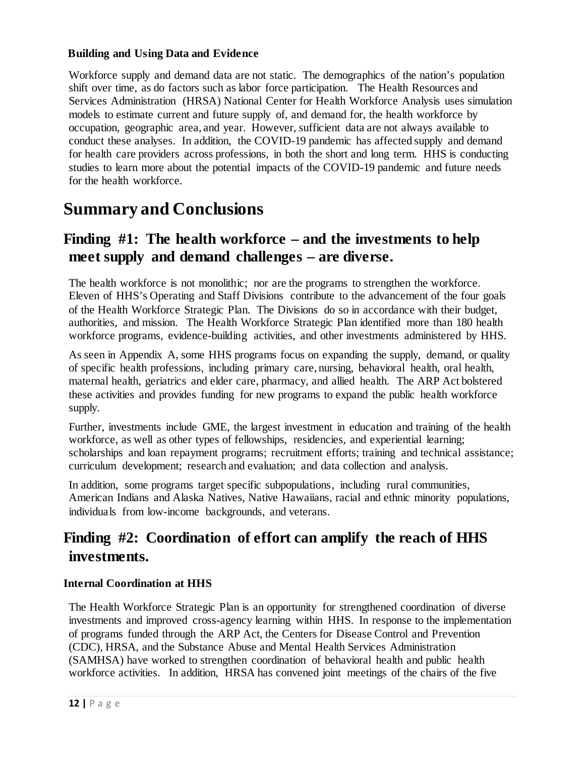#### **Building and Using Data and Evidence**

Workforce supply and demand data are not static. The demographics of the nation's population shift over time, as do factors such as labor force participation. The Health Resources and Services Administration (HRSA) National Center for Health Workforce Analysis uses simulation models to estimate current and future supply of, and demand for, the health workforce by occupation, geographic area, and year. However, sufficient data are not always available to conduct these analyses. In addition, the COVID-19 pandemic has affected supply and demand for health care providers across professions, in both the short and long term. HHS is conducting studies to learn more about the potential impacts of the COVID-19 pandemic and future needs for the health workforce.

### <span id="page-11-0"></span>**Summary and Conclusions**

### **Finding #1: The health workforce – and the investments to help meet supply and demand challenges – are diverse.**

The health workforce is not monolithic; nor are the programs to strengthen the workforce. Eleven of HHS's Operating and Staff Divisions contribute to the advancement of the four goals of the Health Workforce Strategic Plan. The Divisions do so in accordance with their budget, authorities, and mission. The Health Workforce Strategic Plan identified more than 180 health workforce programs, evidence-building activities, and other investments administered by HHS.

As seen in Appendix A, some HHS programs focus on expanding the supply, demand, or quality of specific health professions, including primary care, nursing, behavioral health, oral health, maternal health, geriatrics and elder care, pharmacy, and allied health. The ARP Act bolstered these activities and provides funding for new programs to expand the public health workforce supply.

Further, investments include GME, the largest investment in education and training of the health workforce, as well as other types of fellowships, residencies, and experiential learning; scholarships and loan repayment programs; recruitment efforts; training and technical assistance; curriculum development; research and evaluation; and data collection and analysis.

In addition, some programs target specific subpopulations, including rural communities, American Indians and Alaska Natives, Native Hawaiians, racial and ethnic minority populations, individuals from low-income backgrounds, and veterans.

### **Finding #2: Coordination of effort can amplify the reach of HHS investments.**

#### **Internal Coordination at HHS**

The Health Workforce Strategic Plan is an opportunity for strengthened coordination of diverse investments and improved cross-agency learning within HHS. In response to the implementation of programs funded through the ARP Act, the Centers for Disease Control and Prevention (CDC), HRSA, and the Substance Abuse and Mental Health Services Administration (SAMHSA) have worked to strengthen coordination of behavioral health and public health workforce activities. In addition, HRSA has convened joint meetings of the chairs of the five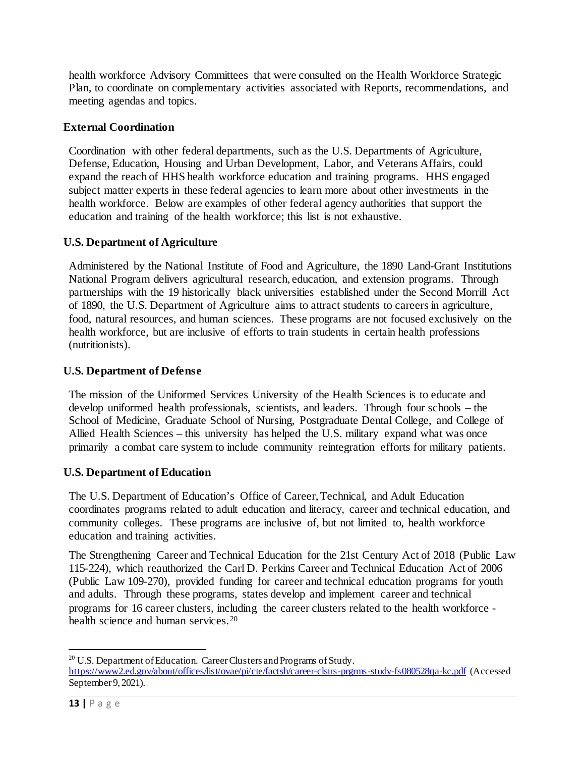health workforce Advisory Committees that were consulted on the Health Workforce Strategic Plan, to coordinate on complementary activities associated with Reports, recommendations, and meeting agendas and topics.

#### **External Coordination**

Coordination with other federal departments, such as the U.S. Departments of Agriculture, Defense, Education, Housing and Urban Development, Labor, and Veterans Affairs, could expand the reach of HHS health workforce education and training programs. HHS engaged subject matter experts in these federal agencies to learn more about other investments in the health workforce. Below are examples of other federal agency authorities that support the education and training of the health workforce; this list is not exhaustive.

#### **U.S. Department of Agriculture**

Administered by the National Institute of Food and Agriculture, the 1890 Land-Grant Institutions National Program delivers agricultural research, education, and extension programs. Through partnerships with the 19 historically black universities established under the Second Morrill Act of 1890, the U.S. Department of Agriculture aims to attract students to careers in agriculture, food, natural resources, and human sciences. These programs are not focused exclusively on the health workforce, but are inclusive of efforts to train students in certain health professions (nutritionists).

#### **U.S. Department of Defense**

The mission of the Uniformed Services University of the Health Sciences is to educate and develop uniformed health professionals, scientists, and leaders. Through four schools – the School of Medicine, Graduate School of Nursing, Postgraduate Dental College, and College of Allied Health Sciences – this university has helped the U.S. military expand what was once primarily a combat care system to include community reintegration efforts for military patients.

#### **U.S. Department of Education**

The U.S. Department of Education's Office of Career, Technical, and Adult Education coordinates programs related to adult education and literacy, career and technical education, and community colleges. These programs are inclusive of, but not limited to, health workforce education and training activities.

The Strengthening Career and Technical Education for the 21st Century Act of 2018 (Public Law 115-224), which reauthorized the Carl D. Perkins Career and Technical Education Act of 2006 (Public Law 109-270), provided funding for career and technical education programs for youth and adults. Through these programs, states develop and implement career and technical programs for 16 career clusters, including the career clusters related to the health workforce - health science and human services.<sup>[20](#page-12-0)</sup>

<span id="page-12-0"></span><sup>&</sup>lt;sup>20</sup> U.S. Department of Education. Career Clusters and Programs of Study. <https://www2.ed.gov/about/offices/list/ovae/pi/cte/factsh/career-clstrs-prgrms-study-fs080528qa-kc.pdf> (Accessed September 9, 2021).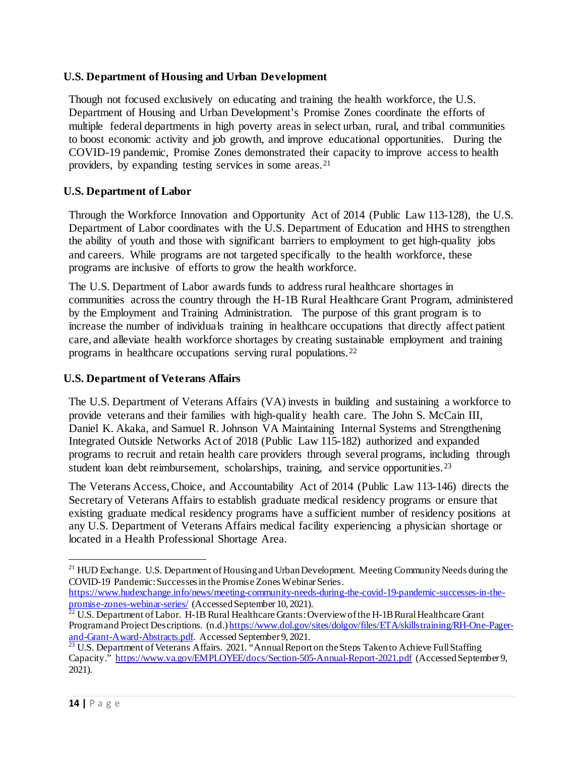#### **U.S. Department of Housing and Urban Development**

Though not focused exclusively on educating and training the health workforce, the U.S. Department of Housing and Urban Development's Promise Zones coordinate the efforts of multiple federal departments in high poverty areas in select urban, rural, and tribal communities to boost economic activity and job growth, and improve educational opportunities. During the COVID-19 pandemic, Promise Zones demonstrated their capacity to improve access to health providers, by expanding testing services in some areas.[21](#page-13-0)

#### **U.S. Department of Labor**

Through the Workforce Innovation and Opportunity Act of 2014 (Public Law 113-128), the U.S. Department of Labor coordinates with the U.S. Department of Education and HHS to strengthen the ability of youth and those with significant barriers to employment to get high-quality jobs and careers. While programs are not targeted specifically to the health workforce, these programs are inclusive of efforts to grow the health workforce.

The U.S. Department of Labor awards funds to address rural healthcare shortages in communities across the country through the H-1B Rural Healthcare Grant Program, administered by the Employment and Training Administration. The purpose of this grant program is to increase the number of individuals training in healthcare occupations that directly affect patient care, and alleviate health workforce shortages by creating sustainable employment and training programs in healthcare occupations serving rural populations.[22](#page-13-1)

#### **U.S. Department of Veterans Affairs**

The U.S. Department of Veterans Affairs (VA) invests in building and sustaining a workforce to provide veterans and their families with high-quality health care. The John S. McCain III, Daniel K. Akaka, and Samuel R. Johnson VA Maintaining Internal Systems and Strengthening Integrated Outside Networks Act of 2018 (Public Law 115-182) authorized and expanded programs to recruit and retain health care providers through several programs, including through student loan debt reimbursement, scholarships, training, and service opportunities.<sup>[23](#page-13-2)</sup>

The Veterans Access, Choice, and Accountability Act of 2014 (Public Law 113-146) directs the Secretary of Veterans Affairs to establish graduate medical residency programs or ensure that existing graduate medical residency programs have a sufficient number of residency positions at any U.S. Department of Veterans Affairs medical facility experiencing a physician shortage or located in a Health Professional Shortage Area.

https://www.hudexchange.info/news/meeting-community-needs-during-the-covid-19-pandemic-successes-in-the-<br>promise-zones-webinar-series/ (Accessed September 10, 2021).

 $\overline{a}$ 

<span id="page-13-0"></span><sup>&</sup>lt;sup>21</sup> HUD Exchange. U.S. Department of Housing and Urban Development. Meeting Community Needs during the COVID-19 Pandemic: Successes in the Promise Zones Webinar Series.

<span id="page-13-1"></span> $\frac{22}{22}$  U.S. Department of Labor. H-1B Rural Healthcare Grants: Overview of the H-1B Rural Healthcare Grant Program and Project Descriptions. (n.d.[\) https://www.dol.gov/sites/dolgov/files/ETA/skillstraining/RH-One-Pager](https://www.dol.gov/sites/dolgov/files/ETA/skillstraining/RH-One-Pager-and-Grant-Award-Abstracts.pdf)[and-Grant-Award-Abstracts.pdf](https://www.dol.gov/sites/dolgov/files/ETA/skillstraining/RH-One-Pager-and-Grant-Award-Abstracts.pdf). Accessed September 9, 2021.<br><sup>23</sup> U.S. Department of Veterans Affairs. 2021. "Annual Report on the Steps Taken to Achieve Full Staffing

<span id="page-13-2"></span>Capacity."<https://www.va.gov/EMPLOYEE/docs/Section-505-Annual-Report-2021.pdf> (Accessed September 9, 2021).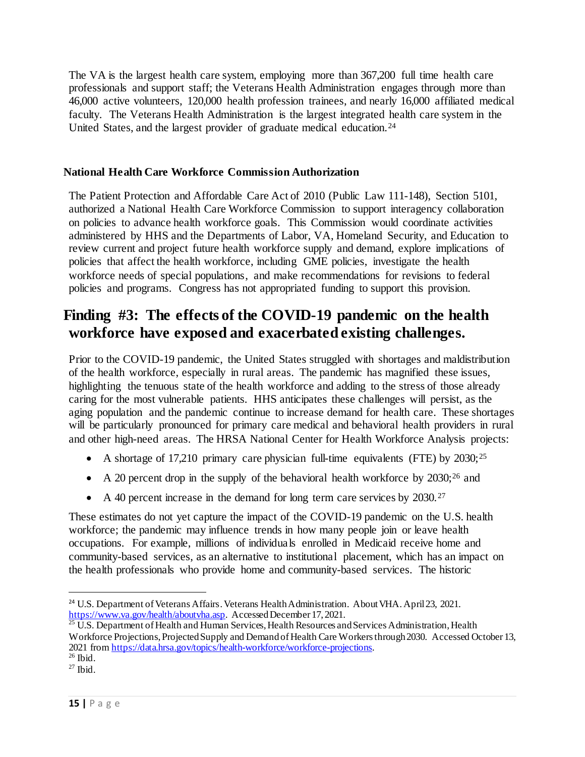The VA is the largest health care system, employing more than 367,200 full time health care professionals and support staff; the Veterans Health Administration engages through more than 46,000 active volunteers, 120,000 health profession trainees, and nearly 16,000 affiliated medical faculty. The Veterans Health Administration is the largest integrated health care system in the United States, and the largest provider of graduate medical education.<sup>[24](#page-14-0)</sup>

#### **National Health Care Workforce Commission Authorization**

The Patient Protection and Affordable Care Act of 2010 (Public Law 111-148), Section 5101, authorized a National Health Care Workforce Commission to support interagency collaboration on policies to advance health workforce goals. This Commission would coordinate activities administered by HHS and the Departments of Labor, VA, Homeland Security, and Education to review current and project future health workforce supply and demand, explore implications of policies that affect the health workforce, including GME policies, investigate the health workforce needs of special populations, and make recommendations for revisions to federal policies and programs. Congress has not appropriated funding to support this provision.

### **Finding #3: The effects of the COVID-19 pandemic on the health workforce have exposed and exacerbated existing challenges.**

Prior to the COVID-19 pandemic, the United States struggled with shortages and maldistribution of the health workforce, especially in rural areas. The pandemic has magnified these issues, highlighting the tenuous state of the health workforce and adding to the stress of those already caring for the most vulnerable patients. HHS anticipates these challenges will persist, as the aging population and the pandemic continue to increase demand for health care. These shortages will be particularly pronounced for primary care medical and behavioral health providers in rural and other high-need areas. The HRSA National Center for Health Workforce Analysis projects:

- A shortage of 17,210 primary care physician full-time equivalents (FTE) by  $2030$ ;<sup>[25](#page-14-1)</sup>
- A 20 percent drop in the supply of the behavioral health workforce by  $2030;^{26}$  $2030;^{26}$  $2030;^{26}$  and
- A 40 percent increase in the demand for long term care services by 2030.<sup>[27](#page-14-3)</sup>

These estimates do not yet capture the impact of the COVID-19 pandemic on the U.S. health workforce; the pandemic may influence trends in how many people join or leave health occupations. For example, millions of individuals enrolled in Medicaid receive home and community-based services, as an alternative to institutional placement, which has an impact on the health professionals who provide home and community-based services. The historic

l

<span id="page-14-0"></span><sup>&</sup>lt;sup>24</sup> U.S. Department of Veterans Affairs. Veterans Health Administration. About VHA. April 23, 2021.<br>https://www.va.gov/health/aboutvha.asp. Accessed December 17, 2021.

<span id="page-14-1"></span> $\frac{25 \text{ U.S. Department of Health and Human Services, Health Resources and Services Administration, Health$ Workforce Projections, Projected Supply and Demand of Health Care Workers through 2030. Accessed October 13, 2021 fro[m https://data.hrsa.gov/topics/health-workforce/workforce-projections.](https://data.hrsa.gov/topics/health-workforce/workforce-projections) 26 Ibid.

<span id="page-14-3"></span><span id="page-14-2"></span> $27$  Ibid.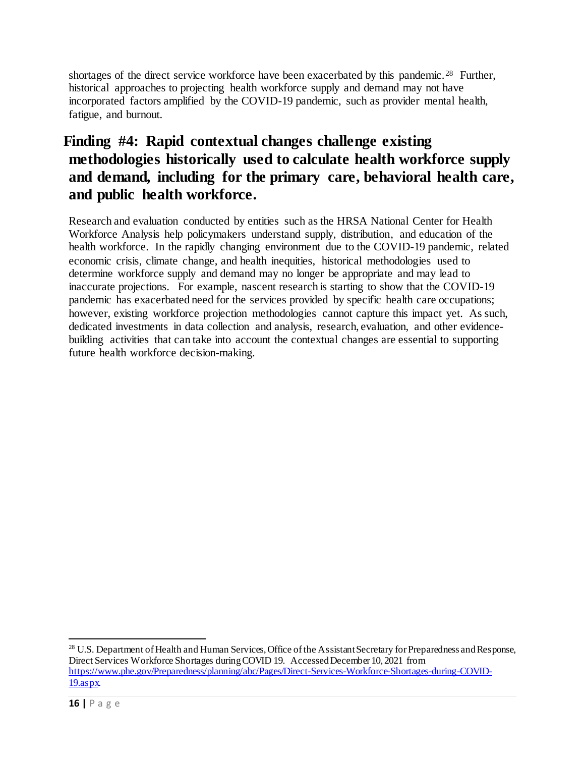shortages of the direct service workforce have been exacerbated by this pandemic.<sup>[28](#page-15-0)</sup> Further, historical approaches to projecting health workforce supply and demand may not have incorporated factors amplified by the COVID-19 pandemic, such as provider mental health, fatigue, and burnout.

### **Finding #4: Rapid contextual changes challenge existing methodologies historically used to calculate health workforce supply and demand, including for the primary care, behavioral health care, and public health workforce.**

Research and evaluation conducted by entities such as the HRSA National Center for Health Workforce Analysis help policymakers understand supply, distribution, and education of the health workforce. In the rapidly changing environment due to the COVID-19 pandemic, related economic crisis, climate change, and health inequities, historical methodologies used to determine workforce supply and demand may no longer be appropriate and may lead to inaccurate projections. For example, nascent research is starting to show that the COVID-19 pandemic has exacerbated need for the services provided by specific health care occupations; however, existing workforce projection methodologies cannot capture this impact yet. As such, dedicated investments in data collection and analysis, research, evaluation, and other evidencebuilding activities that can take into account the contextual changes are essential to supporting future health workforce decision-making.

<span id="page-15-0"></span><sup>&</sup>lt;sup>28</sup> U.S. Department of Health and Human Services, Office of the Assistant Secretary for Preparedness and Response, Direct Services Workforce Shortages during COVID 19. Accessed December 10, 2021 from [https://www.phe.gov/Preparedness/planning/abc/Pages/Direct-Services-Workforce-Shortages-during-COVID-](https://www.phe.gov/Preparedness/planning/abc/Pages/Direct-Services-Workforce-Shortages-during-COVID-19.aspx)[19.aspx.](https://www.phe.gov/Preparedness/planning/abc/Pages/Direct-Services-Workforce-Shortages-during-COVID-19.aspx)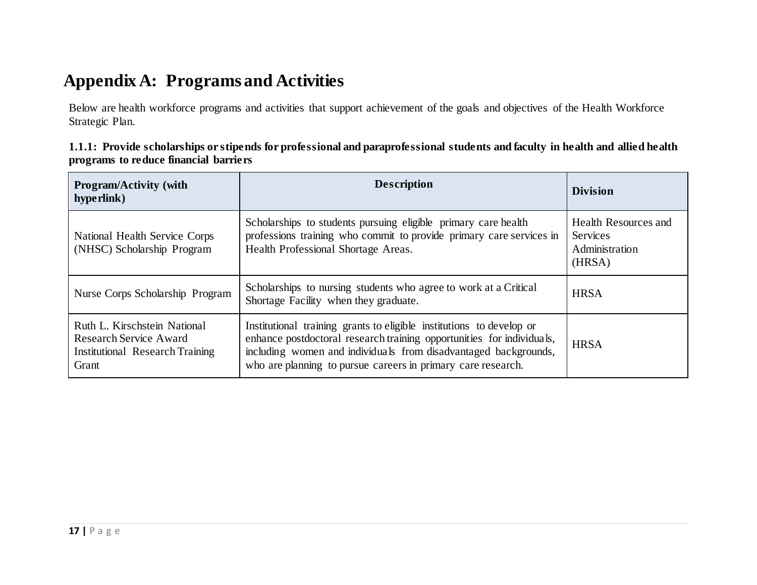## **Appendix A: Programs and Activities**

Below are health workforce programs and activities that support achievement of the goals and objectives of the Health Workforce Strategic Plan.

| 1.1.1: Provide scholarships or stipends for professional and paraprofessional students and faculty in health and allied health |  |
|--------------------------------------------------------------------------------------------------------------------------------|--|
| programs to reduce financial barriers                                                                                          |  |

<span id="page-16-0"></span>

| <b>Program/Activity (with</b><br>hyperlink)                                                                      | <b>Description</b>                                                                                                                                                                                                                                                               | <b>Division</b>                                                     |
|------------------------------------------------------------------------------------------------------------------|----------------------------------------------------------------------------------------------------------------------------------------------------------------------------------------------------------------------------------------------------------------------------------|---------------------------------------------------------------------|
| National Health Service Corps<br>(NHSC) Scholarship Program                                                      | Scholarships to students pursuing eligible primary care health<br>professions training who commit to provide primary care services in<br>Health Professional Shortage Areas.                                                                                                     | Health Resources and<br><b>Services</b><br>Administration<br>(HRSA) |
| Nurse Corps Scholarship Program                                                                                  | Scholarships to nursing students who agree to work at a Critical<br>Shortage Facility when they graduate.                                                                                                                                                                        | <b>HRSA</b>                                                         |
| Ruth L. Kirschstein National<br><b>Research Service Award</b><br><b>Institutional Research Training</b><br>Grant | Institutional training grants to eligible institutions to develop or<br>enhance postdoctoral research training opportunities for individuals,<br>including women and individuals from disadvantaged backgrounds,<br>who are planning to pursue careers in primary care research. | <b>HRSA</b>                                                         |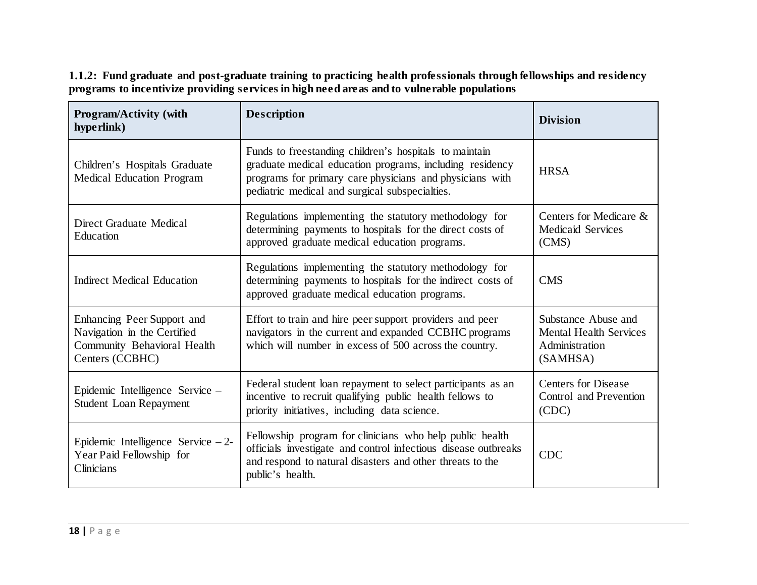**Program/Activity (with hyperlink) Description division division division division division** division division division division division division [Children's Hospitals Graduate](https://bhw.hrsa.gov/funding/apply-grant/childrens-hospitals-graduate-medical-education)  [Medical Education Program](https://bhw.hrsa.gov/funding/apply-grant/childrens-hospitals-graduate-medical-education) Funds to freestanding children's hospitals to maintain graduate medical education programs, including residency programs for primary care physicians and physicians with pediatric medical and surgical subspecialties. **HRSA** [Direct Graduate Medical](https://www.cms.gov/Medicare/Medicare-Fee-for-Service-Payment/AcuteInpatientPPS/DGME)  [Education](https://www.cms.gov/Medicare/Medicare-Fee-for-Service-Payment/AcuteInpatientPPS/DGME) Regulations implementing the statutory methodology for determining payments to hospitals for the direct costs of approved graduate medical education programs. Centers for Medicare & Medicaid Services (CMS) [Indirect Medical Education](https://www.cms.gov/Medicare/Medicare-Fee-for-Service-Payment/AcuteInpatientPPS/Indirect-Medical-Education-IME) Regulations implementing the statutory methodology for determining payments to hospitals for the indirect costs of approved graduate medical education programs. CMS Enhancing Peer Support and Navigation in the Certified Community Behavioral Health Centers (CCBHC) Effort to train and hire peer support providers and peer navigators in the current and expanded CCBHC programs which will number in excess of 500 across the country. Substance Abuse and Mental Health Services Administration (SAMHSA) [Epidemic Intelligence Service –](https://www.cdc.gov/eis/application/benefits.html)  [Student Loan Repayment](https://www.cdc.gov/eis/application/benefits.html) Federal student loan repayment to select participants as an incentive to recruit qualifying public health fellows to priority initiatives, including data science. Centers for Disease Control and Prevention (CDC) [Epidemic Intelligence Service – 2-](http://www.cdc.gov/eis) [Year Paid Fellowship for](http://www.cdc.gov/eis)  [Clinicians](http://www.cdc.gov/eis) Fellowship program for clinicians who help public health officials investigate and control infectious disease outbreaks and respond to natural disasters and other threats to the public's health. CDC

**1.1.2: Fund graduate and post-graduate training to practicing health professionals through fellowships and residency programs to incentivize providing services in high need areas and to vulnerable populations**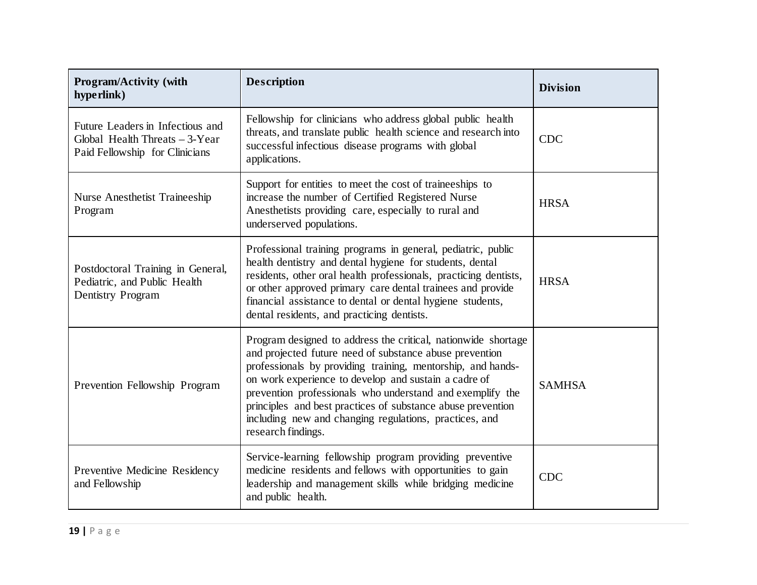| <b>Program/Activity (with</b><br>hyperlink)                                                            | <b>Description</b>                                                                                                                                                                                                                                                                                                                                                                                                                                          | <b>Division</b> |
|--------------------------------------------------------------------------------------------------------|-------------------------------------------------------------------------------------------------------------------------------------------------------------------------------------------------------------------------------------------------------------------------------------------------------------------------------------------------------------------------------------------------------------------------------------------------------------|-----------------|
| Future Leaders in Infectious and<br>Global Health Threats $-3$ -Year<br>Paid Fellowship for Clinicians | Fellowship for clinicians who address global public health<br>threats, and translate public health science and research into<br>successful infectious disease programs with global<br>applications.                                                                                                                                                                                                                                                         | <b>CDC</b>      |
| <b>Nurse Anesthetist Traineeship</b><br>Program                                                        | Support for entities to meet the cost of traineeships to<br>increase the number of Certified Registered Nurse<br>Anesthetists providing care, especially to rural and<br>underserved populations.                                                                                                                                                                                                                                                           | <b>HRSA</b>     |
| Postdoctoral Training in General,<br>Pediatric, and Public Health<br><b>Dentistry Program</b>          | Professional training programs in general, pediatric, public<br>health dentistry and dental hygiene for students, dental<br>residents, other oral health professionals, practicing dentists,<br>or other approved primary care dental trainees and provide<br>financial assistance to dental or dental hygiene students,<br>dental residents, and practicing dentists.                                                                                      | <b>HRSA</b>     |
| Prevention Fellowship Program                                                                          | Program designed to address the critical, nationwide shortage<br>and projected future need of substance abuse prevention<br>professionals by providing training, mentorship, and hands-<br>on work experience to develop and sustain a cadre of<br>prevention professionals who understand and exemplify the<br>principles and best practices of substance abuse prevention<br>including new and changing regulations, practices, and<br>research findings. | <b>SAMHSA</b>   |
| Preventive Medicine Residency<br>and Fellowship                                                        | Service-learning fellowship program providing preventive<br>medicine residents and fellows with opportunities to gain<br>leadership and management skills while bridging medicine<br>and public health.                                                                                                                                                                                                                                                     | <b>CDC</b>      |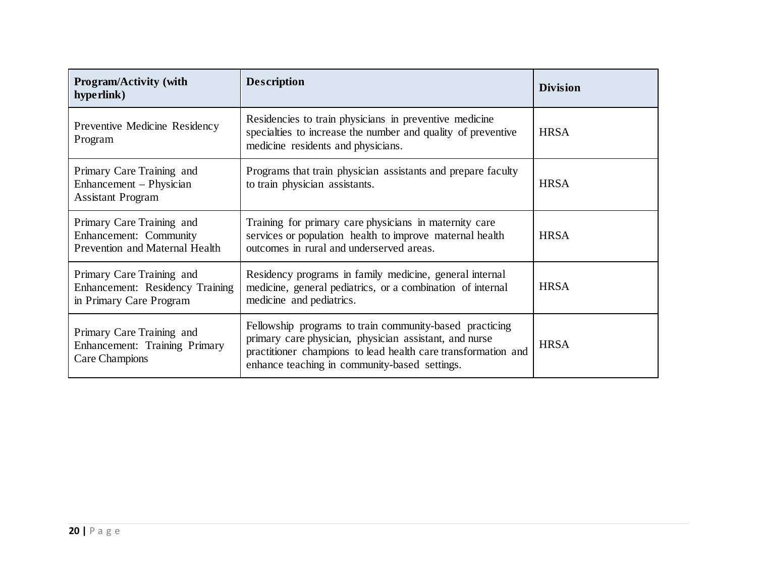| <b>Program/Activity (with</b><br>hyperlink)                                             | <b>Description</b>                                                                                                                                                                                                                  | <b>Division</b> |
|-----------------------------------------------------------------------------------------|-------------------------------------------------------------------------------------------------------------------------------------------------------------------------------------------------------------------------------------|-----------------|
| Preventive Medicine Residency<br>Program                                                | Residencies to train physicians in preventive medicine<br>specialties to increase the number and quality of preventive<br>medicine residents and physicians.                                                                        | <b>HRSA</b>     |
| Primary Care Training and<br>Enhancement – Physician<br><b>Assistant Program</b>        | Programs that train physician assistants and prepare faculty<br>to train physician assistants.                                                                                                                                      | <b>HRSA</b>     |
| Primary Care Training and<br>Enhancement: Community<br>Prevention and Maternal Health   | Training for primary care physicians in maternity care<br>services or population health to improve maternal health<br>outcomes in rural and underserved areas.                                                                      | <b>HRSA</b>     |
| Primary Care Training and<br>Enhancement: Residency Training<br>in Primary Care Program | Residency programs in family medicine, general internal<br>medicine, general pediatrics, or a combination of internal<br>medicine and pediatrics.                                                                                   | <b>HRSA</b>     |
| Primary Care Training and<br>Enhancement: Training Primary<br>Care Champions            | Fellowship programs to train community-based practicing<br>primary care physician, physician assistant, and nurse<br>practitioner champions to lead health care transformation and<br>enhance teaching in community-based settings. | <b>HRSA</b>     |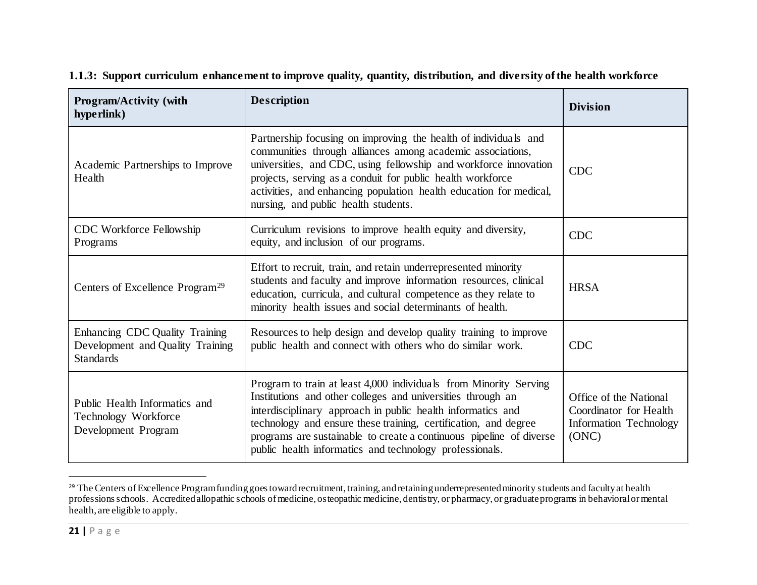| <b>Program/Activity (with</b><br>hyperlink)                                            | <b>Description</b>                                                                                                                                                                                                                                                                                                                                                                                   | <b>Division</b>                                                                            |
|----------------------------------------------------------------------------------------|------------------------------------------------------------------------------------------------------------------------------------------------------------------------------------------------------------------------------------------------------------------------------------------------------------------------------------------------------------------------------------------------------|--------------------------------------------------------------------------------------------|
| Academic Partnerships to Improve<br>Health                                             | Partnership focusing on improving the health of individuals and<br>communities through alliances among academic associations,<br>universities, and CDC, using fellowship and workforce innovation<br>projects, serving as a conduit for public health workforce<br>activities, and enhancing population health education for medical,<br>nursing, and public health students.                        | <b>CDC</b>                                                                                 |
| CDC Workforce Fellowship<br>Programs                                                   | Curriculum revisions to improve health equity and diversity,<br>equity, and inclusion of our programs.                                                                                                                                                                                                                                                                                               | <b>CDC</b>                                                                                 |
| Centers of Excellence Program <sup>29</sup>                                            | Effort to recruit, train, and retain underrepresented minority<br>students and faculty and improve information resources, clinical<br>education, curricula, and cultural competence as they relate to<br>minority health issues and social determinants of health.                                                                                                                                   | <b>HRSA</b>                                                                                |
| Enhancing CDC Quality Training<br>Development and Quality Training<br><b>Standards</b> | Resources to help design and develop quality training to improve<br>public health and connect with others who do similar work.                                                                                                                                                                                                                                                                       | <b>CDC</b>                                                                                 |
| Public Health Informatics and<br>Technology Workforce<br>Development Program           | Program to train at least 4,000 individuals from Minority Serving<br>Institutions and other colleges and universities through an<br>interdisciplinary approach in public health informatics and<br>technology and ensure these training, certification, and degree<br>programs are sustainable to create a continuous pipeline of diverse<br>public health informatics and technology professionals. | Office of the National<br>Coordinator for Health<br><b>Information Technology</b><br>(ONC) |

<span id="page-20-0"></span>**1.1.3: Support curriculum enhancement to improve quality, quantity, distribution, and diversity of the health workforce**

l

<sup>&</sup>lt;sup>29</sup> The Centers of Excellence Program funding goes toward recruitment, training, and retaining underrepresented minority students and faculty at health professions schools. Accredited allopathic schools of medicine, osteopathic medicine, dentistry, or pharmacy, or graduate programs in behavioral or mental health, are eligible to apply.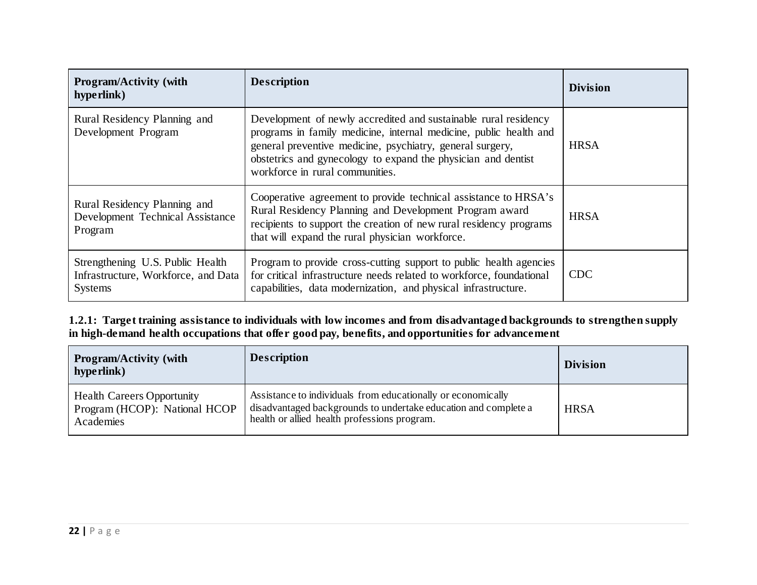| <b>Program/Activity (with</b><br>hype rlink)                                              | <b>Description</b>                                                                                                                                                                                                                                                                                    | <b>Division</b> |
|-------------------------------------------------------------------------------------------|-------------------------------------------------------------------------------------------------------------------------------------------------------------------------------------------------------------------------------------------------------------------------------------------------------|-----------------|
| Rural Residency Planning and<br>Development Program                                       | Development of newly accredited and sustainable rural residency<br>programs in family medicine, internal medicine, public health and<br>general preventive medicine, psychiatry, general surgery,<br>obstetrics and gynecology to expand the physician and dentist<br>workforce in rural communities. | <b>HRSA</b>     |
| Rural Residency Planning and<br>Development Technical Assistance<br>Program               | Cooperative agreement to provide technical assistance to HRSA's<br>Rural Residency Planning and Development Program award<br>recipients to support the creation of new rural residency programs<br>that will expand the rural physician workforce.                                                    | <b>HRSA</b>     |
| Strengthening U.S. Public Health<br>Infrastructure, Workforce, and Data<br><b>Systems</b> | Program to provide cross-cutting support to public health agencies<br>for critical infrastructure needs related to workforce, foundational<br>capabilities, data modernization, and physical infrastructure.                                                                                          | <b>CDC</b>      |

**1.2.1: Target training assistance to individuals with low incomes and from disadvantaged backgrounds to strengthen supply in high-demand health occupations that offer good pay, benefits, and opportunities for advancement** 

| <b>Program/Activity (with</b><br>hype rlink)                                    | <b>Description</b>                                                                                                                                                              | <b>Division</b> |
|---------------------------------------------------------------------------------|---------------------------------------------------------------------------------------------------------------------------------------------------------------------------------|-----------------|
| <b>Health Careers Opportunity</b><br>Program (HCOP): National HCOP<br>Academies | Assistance to individuals from educationally or economically<br>disadvantaged backgrounds to undertake education and complete a<br>health or allied health professions program. | <b>HRSA</b>     |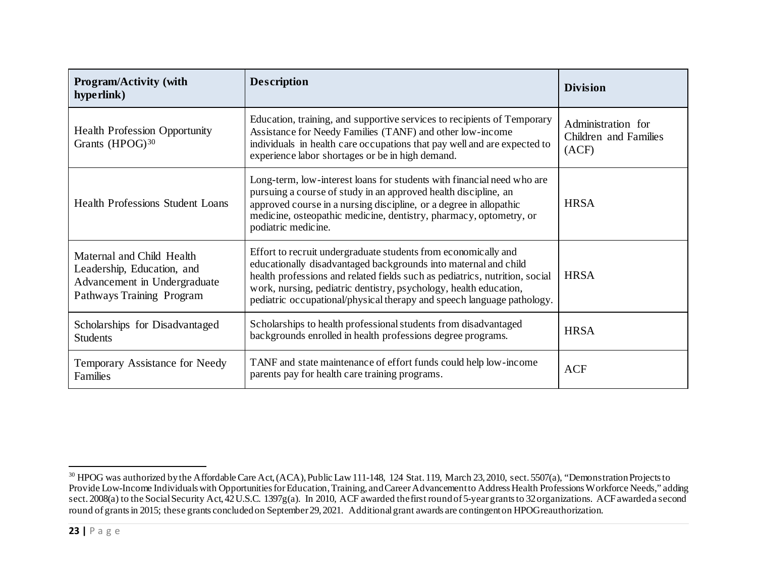<span id="page-22-0"></span>

| <b>Program/Activity (with</b><br>hyperlink)                                                                          | <b>Description</b>                                                                                                                                                                                                                                                                                                                                              | <b>Division</b>                                      |
|----------------------------------------------------------------------------------------------------------------------|-----------------------------------------------------------------------------------------------------------------------------------------------------------------------------------------------------------------------------------------------------------------------------------------------------------------------------------------------------------------|------------------------------------------------------|
| <b>Health Profession Opportunity</b><br>Grants (HPOG) <sup>30</sup>                                                  | Education, training, and supportive services to recipients of Temporary<br>Assistance for Needy Families (TANF) and other low-income<br>individuals in health care occupations that pay well and are expected to<br>experience labor shortages or be in high demand.                                                                                            | Administration for<br>Children and Families<br>(ACF) |
| <b>Health Professions Student Loans</b>                                                                              | Long-term, low-interest loans for students with financial need who are<br>pursuing a course of study in an approved health discipline, an<br>approved course in a nursing discipline, or a degree in allopathic<br>medicine, osteopathic medicine, dentistry, pharmacy, optometry, or<br>podiatric medicine.                                                    | <b>HRSA</b>                                          |
| Maternal and Child Health<br>Leadership, Education, and<br>Advancement in Undergraduate<br>Pathways Training Program | Effort to recruit undergraduate students from economically and<br>educationally disadvantaged backgrounds into maternal and child<br>health professions and related fields such as pediatrics, nutrition, social<br>work, nursing, pediatric dentistry, psychology, health education,<br>pediatric occupational/physical therapy and speech language pathology. | <b>HRSA</b>                                          |
| Scholarships for Disadvantaged<br><b>Students</b>                                                                    | Scholarships to health professional students from disadvantaged<br>backgrounds enrolled in health professions degree programs.                                                                                                                                                                                                                                  | <b>HRSA</b>                                          |
| Temporary Assistance for Needy<br>Families                                                                           | TANF and state maintenance of effort funds could help low-income<br>parents pay for health care training programs.                                                                                                                                                                                                                                              | <b>ACF</b>                                           |

 $^{30}$  HPOG was authorized by the Affordable Care Act, (ACA), Public Law 111-148, 124 Stat. 119, March 23, 2010, sect. 5507(a), "Demonstration Projects to Provide Low-Income Individuals with Opportunities for Education, Training, and Career Advancement to Address Health Professions Workforce Needs," adding sect. 2008(a) to the Social Security Act, 42 U.S.C. 1397g(a). In 2010, ACF awarded the first round of 5-year grants to 32 organizations. ACF awarded a second round of grants in 2015; these grants concluded on September 29, 2021. Additional grant awards are contingent on HPOG reauthorization.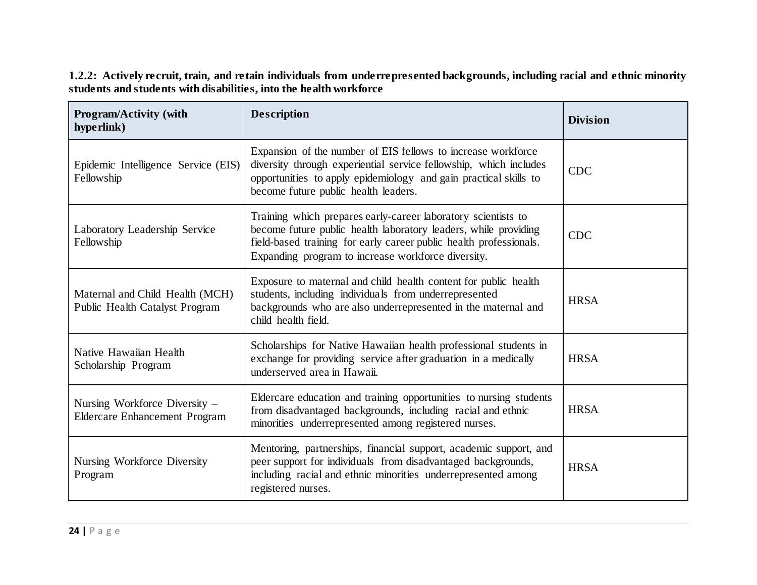**1.2.2: Actively recruit, train, and retain individuals from underrepresented backgrounds, including racial and ethnic minority students and students with disabilities, into the health workforce**

| <b>Program/Activity (with</b><br>hyperlink)                           | <b>Description</b>                                                                                                                                                                                                                                           | <b>Division</b> |
|-----------------------------------------------------------------------|--------------------------------------------------------------------------------------------------------------------------------------------------------------------------------------------------------------------------------------------------------------|-----------------|
| Epidemic Intelligence Service (EIS)<br>Fellowship                     | Expansion of the number of EIS fellows to increase workforce<br>diversity through experiential service fellowship, which includes<br>opportunities to apply epidemiology and gain practical skills to<br>become future public health leaders.                | <b>CDC</b>      |
| Laboratory Leadership Service<br>Fellowship                           | Training which prepares early-career laboratory scientists to<br>become future public health laboratory leaders, while providing<br>field-based training for early career public health professionals.<br>Expanding program to increase workforce diversity. | <b>CDC</b>      |
| Maternal and Child Health (MCH)<br>Public Health Catalyst Program     | Exposure to maternal and child health content for public health<br>students, including individuals from underrepresented<br>backgrounds who are also underrepresented in the maternal and<br>child health field.                                             | <b>HRSA</b>     |
| Native Hawaiian Health<br>Scholarship Program                         | Scholarships for Native Hawaiian health professional students in<br>exchange for providing service after graduation in a medically<br>underserved area in Hawaii.                                                                                            | <b>HRSA</b>     |
| Nursing Workforce Diversity -<br><b>Eldercare Enhancement Program</b> | Eldercare education and training opportunities to nursing students<br>from disadvantaged backgrounds, including racial and ethnic<br>minorities underrepresented among registered nurses.                                                                    | <b>HRSA</b>     |
| Nursing Workforce Diversity<br>Program                                | Mentoring, partnerships, financial support, academic support, and<br>peer support for individuals from disadvantaged backgrounds,<br>including racial and ethnic minorities underrepresented among<br>registered nurses.                                     | <b>HRSA</b>     |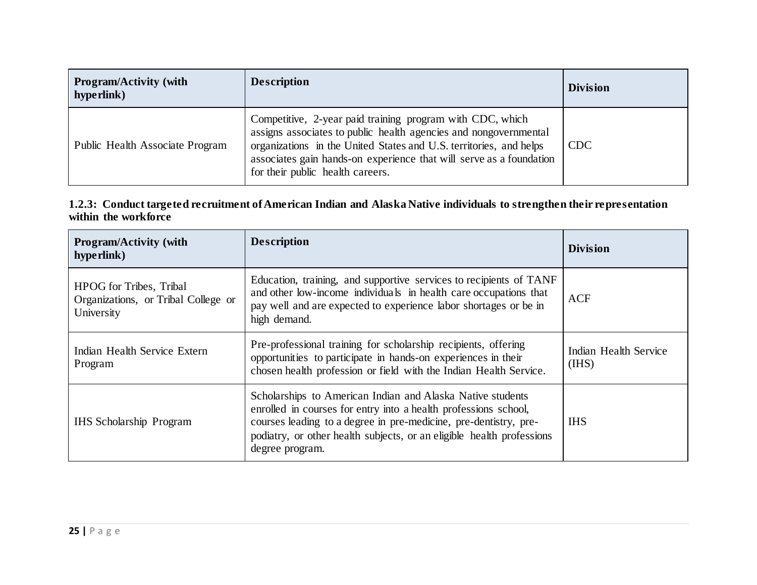| <b>Program/Activity (with</b><br>hype rlink) | <b>Description</b>                                                                                                                                                                                                                                                                                             | <b>Division</b> |
|----------------------------------------------|----------------------------------------------------------------------------------------------------------------------------------------------------------------------------------------------------------------------------------------------------------------------------------------------------------------|-----------------|
| Public Health Associate Program              | Competitive, 2-year paid training program with CDC, which<br>assigns associates to public health agencies and nongovernmental<br>organizations in the United States and U.S. territories, and helps<br>associates gain hands-on experience that will serve as a foundation<br>for their public health careers. | <b>CDC</b>      |

#### **1.2.3: Conduct targeted recruitment of American Indian and Alaska Native individuals to strengthen their representation within the workforce**

| <b>Program/Activity (with</b><br>hype rlink)                                        | <b>Description</b>                                                                                                                                                                                                                                                                            | <b>Division</b>                |
|-------------------------------------------------------------------------------------|-----------------------------------------------------------------------------------------------------------------------------------------------------------------------------------------------------------------------------------------------------------------------------------------------|--------------------------------|
| <b>HPOG</b> for Tribes, Tribal<br>Organizations, or Tribal College or<br>University | Education, training, and supportive services to recipients of TANF<br>and other low-income individuals in health care occupations that<br>pay well and are expected to experience labor shortages or be in<br>high demand.                                                                    | <b>ACF</b>                     |
| Indian Health Service Extern<br>Program                                             | Pre-professional training for scholarship recipients, offering<br>opportunities to participate in hands-on experiences in their<br>chosen health profession or field with the Indian Health Service.                                                                                          | Indian Health Service<br>(IHS) |
| <b>IHS Scholarship Program</b>                                                      | Scholarships to American Indian and Alaska Native students<br>enrolled in courses for entry into a health professions school,<br>courses leading to a degree in pre-medicine, pre-dentistry, pre-<br>podiatry, or other health subjects, or an eligible health professions<br>degree program. | <b>IHS</b>                     |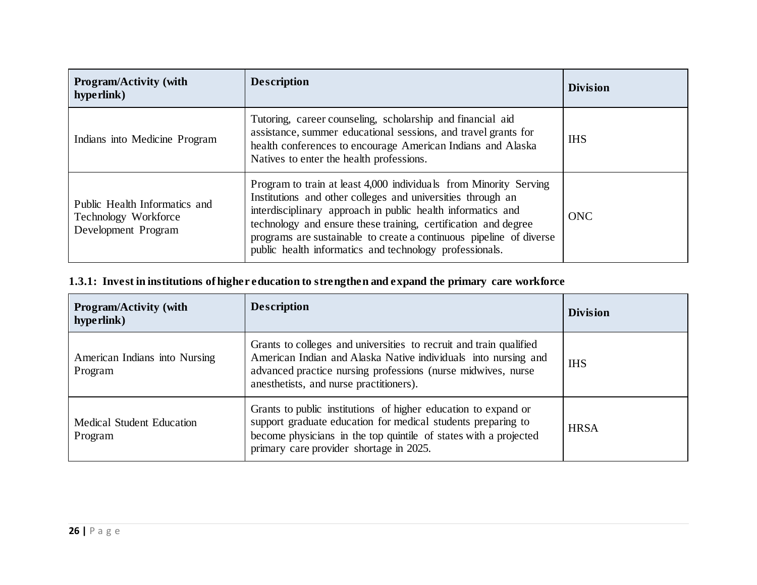| Program/Activity (with<br>hyperlink)                                         | <b>Description</b>                                                                                                                                                                                                                                                                                                                                                                                  | <b>Division</b> |
|------------------------------------------------------------------------------|-----------------------------------------------------------------------------------------------------------------------------------------------------------------------------------------------------------------------------------------------------------------------------------------------------------------------------------------------------------------------------------------------------|-----------------|
| Indians into Medicine Program                                                | Tutoring, career counseling, scholarship and financial aid<br>assistance, summer educational sessions, and travel grants for<br>health conferences to encourage American Indians and Alaska<br>Natives to enter the health professions.                                                                                                                                                             | <b>IHS</b>      |
| Public Health Informatics and<br>Technology Workforce<br>Development Program | Program to train at least 4,000 individuals from Minority Serving<br>Institutions and other colleges and universities through an<br>interdisciplinary approach in public health informatics and<br>technology and ensure these training, certification and degree<br>programs are sustainable to create a continuous pipeline of diverse<br>public health informatics and technology professionals. | <b>ONC</b>      |

### **1.3.1: Invest in institutions of higher education to strengthen and expand the primary care workforce**

| <b>Program/Activity (with</b><br>hype rlink) | <b>Description</b>                                                                                                                                                                                                                              | <b>Division</b> |
|----------------------------------------------|-------------------------------------------------------------------------------------------------------------------------------------------------------------------------------------------------------------------------------------------------|-----------------|
| American Indians into Nursing<br>Program     | Grants to colleges and universities to recruit and train qualified<br>American Indian and Alaska Native individuals into nursing and<br>advanced practice nursing professions (nurse midwives, nurse<br>anesthetists, and nurse practitioners). | <b>IHS</b>      |
| <b>Medical Student Education</b><br>Program  | Grants to public institutions of higher education to expand or<br>support graduate education for medical students preparing to<br>become physicians in the top quintile of states with a projected<br>primary care provider shortage in 2025.   | <b>HRSA</b>     |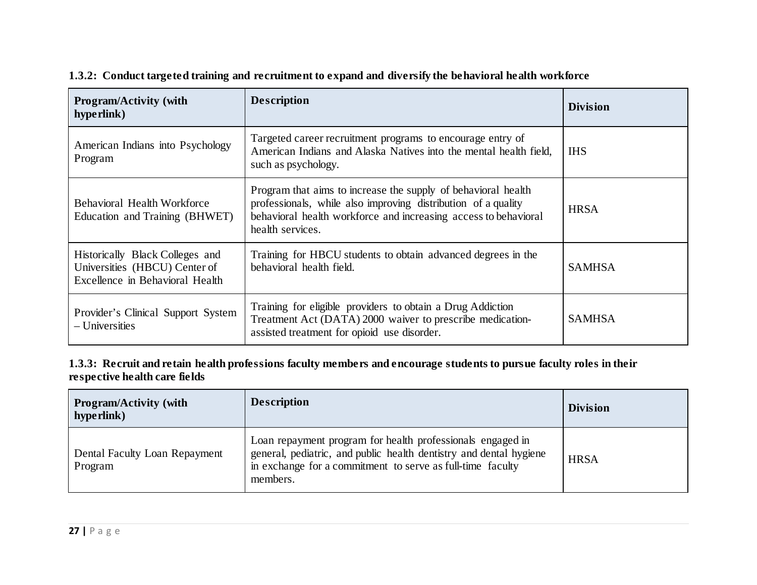| <b>Program/Activity (with</b><br>hyperlink)                                                         | <b>Description</b>                                                                                                                                                                                                    | <b>Division</b> |
|-----------------------------------------------------------------------------------------------------|-----------------------------------------------------------------------------------------------------------------------------------------------------------------------------------------------------------------------|-----------------|
| American Indians into Psychology<br>Program                                                         | Targeted career recruitment programs to encourage entry of<br>American Indians and Alaska Natives into the mental health field,<br>such as psychology.                                                                | <b>IHS</b>      |
| Behavioral Health Workforce<br>Education and Training (BHWET)                                       | Program that aims to increase the supply of behavioral health<br>professionals, while also improving distribution of a quality<br>behavioral health workforce and increasing access to behavioral<br>health services. | <b>HRSA</b>     |
| Historically Black Colleges and<br>Universities (HBCU) Center of<br>Excellence in Behavioral Health | Training for HBCU students to obtain advanced degrees in the<br>behavioral health field.                                                                                                                              | <b>SAMHSA</b>   |
| Provider's Clinical Support System<br>$-$ Universities                                              | Training for eligible providers to obtain a Drug Addiction<br>Treatment Act (DATA) 2000 waiver to prescribe medication-<br>assisted treatment for opioid use disorder.                                                | <b>SAMHSA</b>   |

#### **1.3.2: Conduct targeted training and recruitment to expand and diversify the behavioral health workforce**

#### **1.3.3: Recruit and retain health professions faculty members and encourage students to pursue faculty roles in their respective health care fields**

| <b>Program/Activity (with</b><br>hype rlink) | <b>Description</b>                                                                                                                                                                                         | <b>Division</b> |
|----------------------------------------------|------------------------------------------------------------------------------------------------------------------------------------------------------------------------------------------------------------|-----------------|
| Dental Faculty Loan Repayment<br>Program     | Loan repayment program for health professionals engaged in<br>general, pediatric, and public health dentistry and dental hygiene<br>in exchange for a commitment to serve as full-time faculty<br>members. | <b>HRSA</b>     |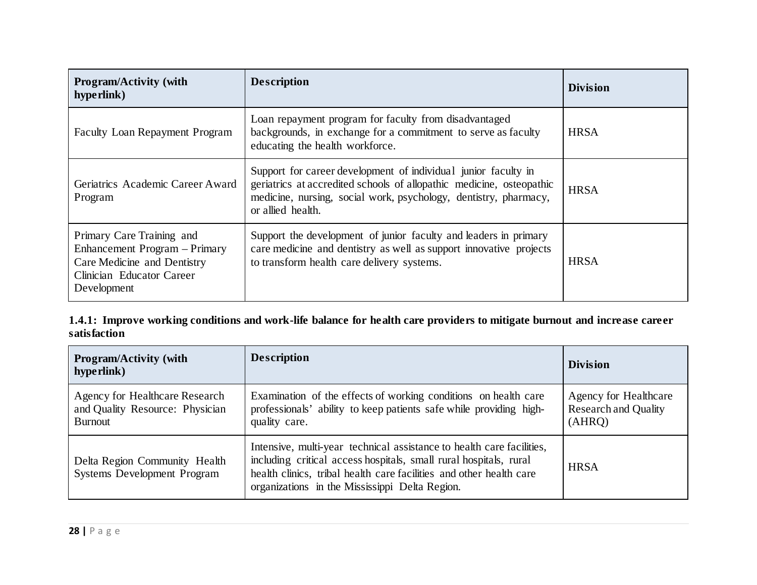| <b>Program/Activity (with</b><br>hype rlink)                                                                                          | <b>Description</b>                                                                                                                                                                                                              | <b>Division</b> |
|---------------------------------------------------------------------------------------------------------------------------------------|---------------------------------------------------------------------------------------------------------------------------------------------------------------------------------------------------------------------------------|-----------------|
| <b>Faculty Loan Repayment Program</b>                                                                                                 | Loan repayment program for faculty from disadvantaged<br>backgrounds, in exchange for a commitment to serve as faculty<br>educating the health workforce.                                                                       | <b>HRSA</b>     |
| Geriatrics Academic Career Award<br>Program                                                                                           | Support for career development of individual junior faculty in<br>geriatrics at accredited schools of allopathic medicine, osteopathic<br>medicine, nursing, social work, psychology, dentistry, pharmacy,<br>or allied health. | <b>HRSA</b>     |
| Primary Care Training and<br>Enhancement Program - Primary<br>Care Medicine and Dentistry<br>Clinician Educator Career<br>Development | Support the development of junior faculty and leaders in primary<br>care medicine and dentistry as well as support innovative projects<br>to transform health care delivery systems.                                            | <b>HRSA</b>     |

**1.4.1: Improve working conditions and work-life balance for health care providers to mitigate burnout and increase career satisfaction**

| <b>Program/Activity (with</b><br>hype rlink)                                        | <b>Description</b>                                                                                                                                                                                                                                                  | <b>Division</b>                                                |
|-------------------------------------------------------------------------------------|---------------------------------------------------------------------------------------------------------------------------------------------------------------------------------------------------------------------------------------------------------------------|----------------------------------------------------------------|
| Agency for Healthcare Research<br>and Quality Resource: Physician<br><b>Burnout</b> | Examination of the effects of working conditions on health care<br>professionals' ability to keep patients safe while providing high-<br>quality care.                                                                                                              | Agency for Healthcare<br><b>Research and Quality</b><br>(AHRQ) |
| Delta Region Community Health<br><b>Systems Development Program</b>                 | Intensive, multi-year technical assistance to health care facilities,<br>including critical access hospitals, small rural hospitals, rural<br>health clinics, tribal health care facilities and other health care<br>organizations in the Mississippi Delta Region. | <b>HRSA</b>                                                    |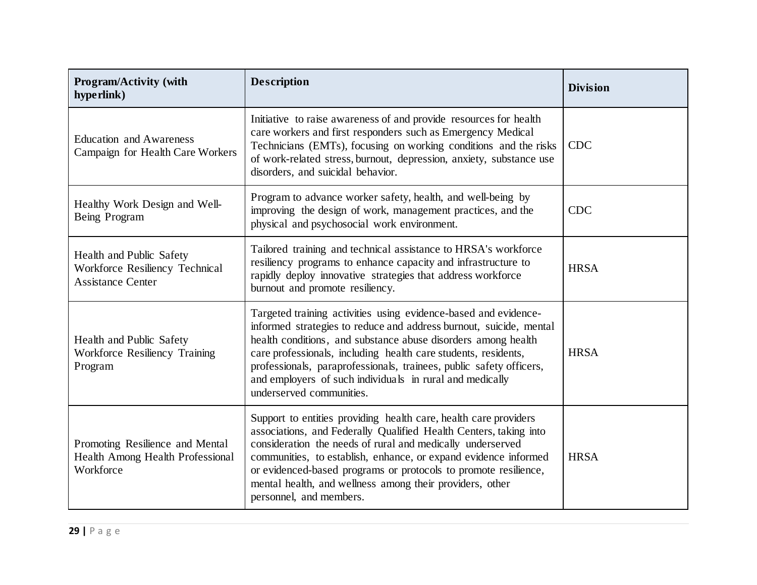| <b>Program/Activity (with</b><br>hyperlink)                                            | <b>Description</b>                                                                                                                                                                                                                                                                                                                                                                                                                      | <b>Division</b> |
|----------------------------------------------------------------------------------------|-----------------------------------------------------------------------------------------------------------------------------------------------------------------------------------------------------------------------------------------------------------------------------------------------------------------------------------------------------------------------------------------------------------------------------------------|-----------------|
| <b>Education and Awareness</b><br>Campaign for Health Care Workers                     | Initiative to raise awareness of and provide resources for health<br>care workers and first responders such as Emergency Medical<br>Technicians (EMTs), focusing on working conditions and the risks<br>of work-related stress, burnout, depression, anxiety, substance use<br>disorders, and suicidal behavior.                                                                                                                        | <b>CDC</b>      |
| Healthy Work Design and Well-<br>Being Program                                         | Program to advance worker safety, health, and well-being by<br>improving the design of work, management practices, and the<br>physical and psychosocial work environment.                                                                                                                                                                                                                                                               | <b>CDC</b>      |
| Health and Public Safety<br>Workforce Resiliency Technical<br><b>Assistance Center</b> | Tailored training and technical assistance to HRSA's workforce<br>resiliency programs to enhance capacity and infrastructure to<br>rapidly deploy innovative strategies that address workforce<br>burnout and promote resiliency.                                                                                                                                                                                                       | <b>HRSA</b>     |
| Health and Public Safety<br>Workforce Resiliency Training<br>Program                   | Targeted training activities using evidence-based and evidence-<br>informed strategies to reduce and address burnout, suicide, mental<br>health conditions, and substance abuse disorders among health<br>care professionals, including health care students, residents,<br>professionals, paraprofessionals, trainees, public safety officers,<br>and employers of such individuals in rural and medically<br>underserved communities. | <b>HRSA</b>     |
| Promoting Resilience and Mental<br>Health Among Health Professional<br>Workforce       | Support to entities providing health care, health care providers<br>associations, and Federally Qualified Health Centers, taking into<br>consideration the needs of rural and medically underserved<br>communities, to establish, enhance, or expand evidence informed<br>or evidenced-based programs or protocols to promote resilience,<br>mental health, and wellness among their providers, other<br>personnel, and members.        | <b>HRSA</b>     |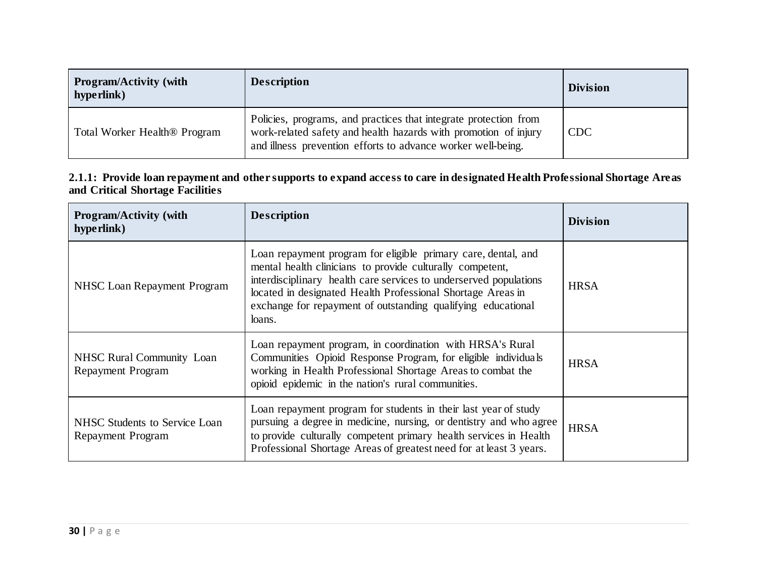| <b>Program/Activity (with</b><br>hype rlink) | <b>Description</b>                                                                                                                                                                                  | <b>Division</b> |
|----------------------------------------------|-----------------------------------------------------------------------------------------------------------------------------------------------------------------------------------------------------|-----------------|
| Total Worker Health <sup>®</sup> Program     | Policies, programs, and practices that integrate protection from<br>work-related safety and health hazards with promotion of injury<br>and illness prevention efforts to advance worker well-being. | <b>CDC</b>      |

| 2.1.1: Provide loan repayment and other supports to expand access to care in designated Health Professional Shortage Areas |  |
|----------------------------------------------------------------------------------------------------------------------------|--|
| and Critical Shortage Facilities                                                                                           |  |

| <b>Program/Activity (with</b><br>hype rlink)                 | <b>Description</b>                                                                                                                                                                                                                                                                                                                       | <b>Division</b> |
|--------------------------------------------------------------|------------------------------------------------------------------------------------------------------------------------------------------------------------------------------------------------------------------------------------------------------------------------------------------------------------------------------------------|-----------------|
| NHSC Loan Repayment Program                                  | Loan repayment program for eligible primary care, dental, and<br>mental health clinicians to provide culturally competent,<br>interdisciplinary health care services to underserved populations<br>located in designated Health Professional Shortage Areas in<br>exchange for repayment of outstanding qualifying educational<br>loans. | <b>HRSA</b>     |
| <b>NHSC Rural Community Loan</b><br><b>Repayment Program</b> | Loan repayment program, in coordination with HRSA's Rural<br>Communities Opioid Response Program, for eligible individuals<br>working in Health Professional Shortage Areas to combat the<br>opioid epidemic in the nation's rural communities.                                                                                          | <b>HRSA</b>     |
| NHSC Students to Service Loan<br>Repayment Program           | Loan repayment program for students in their last year of study<br>pursuing a degree in medicine, nursing, or dentistry and who agree<br>to provide culturally competent primary health services in Health<br>Professional Shortage Areas of greatest need for at least 3 years.                                                         | <b>HRSA</b>     |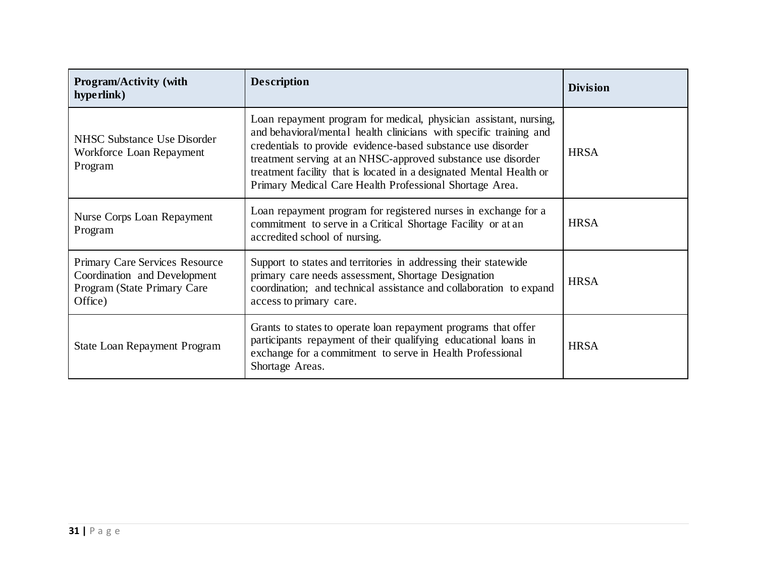| <b>Program/Activity (with</b><br>hype rlink)                                                                    | <b>Description</b>                                                                                                                                                                                                                                                                                                                                                                                        | <b>Division</b> |
|-----------------------------------------------------------------------------------------------------------------|-----------------------------------------------------------------------------------------------------------------------------------------------------------------------------------------------------------------------------------------------------------------------------------------------------------------------------------------------------------------------------------------------------------|-----------------|
| <b>NHSC Substance Use Disorder</b><br>Workforce Loan Repayment<br>Program                                       | Loan repayment program for medical, physician assistant, nursing,<br>and behavioral/mental health clinicians with specific training and<br>credentials to provide evidence-based substance use disorder<br>treatment serving at an NHSC-approved substance use disorder<br>treatment facility that is located in a designated Mental Health or<br>Primary Medical Care Health Professional Shortage Area. | <b>HRSA</b>     |
| Nurse Corps Loan Repayment<br>Program                                                                           | Loan repayment program for registered nurses in exchange for a<br>commitment to serve in a Critical Shortage Facility or at an<br>accredited school of nursing.                                                                                                                                                                                                                                           | <b>HRSA</b>     |
| <b>Primary Care Services Resource</b><br>Coordination and Development<br>Program (State Primary Care<br>Office) | Support to states and territories in addressing their statewide<br>primary care needs assessment, Shortage Designation<br>coordination; and technical assistance and collaboration to expand<br>access to primary care.                                                                                                                                                                                   | <b>HRSA</b>     |
| State Loan Repayment Program                                                                                    | Grants to states to operate loan repayment programs that offer<br>participants repayment of their qualifying educational loans in<br>exchange for a commitment to serve in Health Professional<br>Shortage Areas.                                                                                                                                                                                         | <b>HRSA</b>     |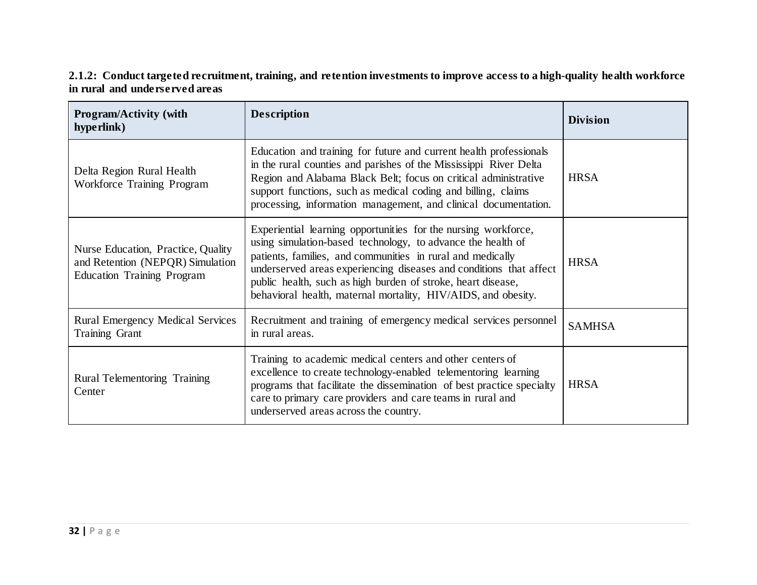#### **2.1.2: Conduct targeted recruitment, training, and retention investments to improve access to a high-quality health workforce in rural and underserved areas**

| <b>Program/Activity (with</b><br>hype rlink)                                                                | <b>Description</b>                                                                                                                                                                                                                                                                                                                                                                                 | <b>Division</b> |
|-------------------------------------------------------------------------------------------------------------|----------------------------------------------------------------------------------------------------------------------------------------------------------------------------------------------------------------------------------------------------------------------------------------------------------------------------------------------------------------------------------------------------|-----------------|
| Delta Region Rural Health<br>Workforce Training Program                                                     | Education and training for future and current health professionals<br>in the rural counties and parishes of the Mississippi River Delta<br>Region and Alabama Black Belt; focus on critical administrative<br>support functions, such as medical coding and billing, claims<br>processing, information management, and clinical documentation.                                                     | <b>HRSA</b>     |
| Nurse Education, Practice, Quality<br>and Retention (NEPQR) Simulation<br><b>Education Training Program</b> | Experiential learning opportunities for the nursing workforce,<br>using simulation-based technology, to advance the health of<br>patients, families, and communities in rural and medically<br>underserved areas experiencing diseases and conditions that affect<br>public health, such as high burden of stroke, heart disease,<br>behavioral health, maternal mortality, HIV/AIDS, and obesity. | <b>HRSA</b>     |
| <b>Rural Emergency Medical Services</b><br><b>Training Grant</b>                                            | Recruitment and training of emergency medical services personnel<br>in rural areas.                                                                                                                                                                                                                                                                                                                | <b>SAMHSA</b>   |
| Rural Telementoring Training<br>Center                                                                      | Training to academic medical centers and other centers of<br>excellence to create technology-enabled telementoring learning<br>programs that facilitate the dissemination of best practice specialty<br>care to primary care providers and care teams in rural and<br>underserved areas across the country.                                                                                        | <b>HRSA</b>     |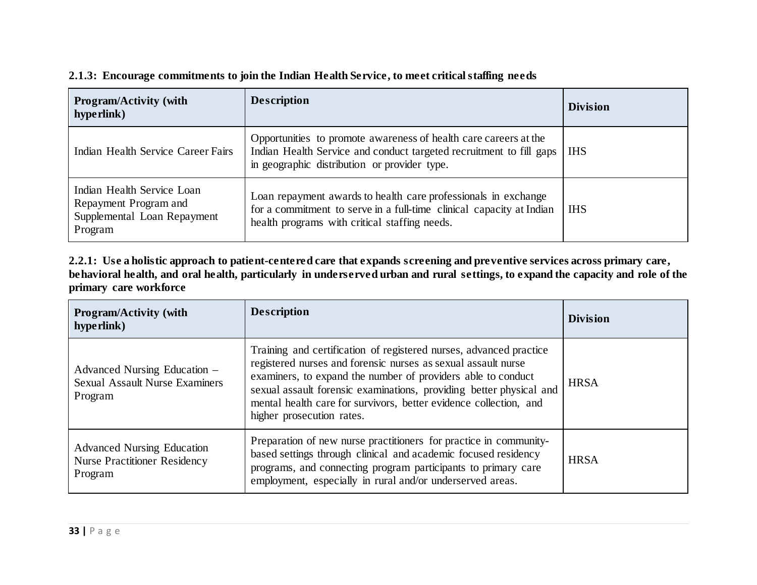| <b>Program/Activity (with</b><br>hyperlink)                                                   | <b>Description</b>                                                                                                                                                                      | <b>Division</b> |
|-----------------------------------------------------------------------------------------------|-----------------------------------------------------------------------------------------------------------------------------------------------------------------------------------------|-----------------|
| Indian Health Service Career Fairs                                                            | Opportunities to promote awareness of health care careers at the<br>Indian Health Service and conduct targeted recruitment to fill gaps<br>in geographic distribution or provider type. | <b>IHS</b>      |
| Indian Health Service Loan<br>Repayment Program and<br>Supplemental Loan Repayment<br>Program | Loan repayment awards to health care professionals in exchange<br>for a commitment to serve in a full-time clinical capacity at Indian<br>health programs with critical staffing needs. | <b>IHS</b>      |

#### **2.1.3: Encourage commitments to join the Indian Health Service, to meet critical staffing needs**

**2.2.1: Use a holistic approach to patient-centered care that expands screening and preventive services across primary care,**  behavioral health, and oral health, particularly in underserved urban and rural settings, to expand the capacity and role of the **primary care workforce**

| <b>Program/Activity (with</b><br>hype rlink)                                        | <b>Description</b>                                                                                                                                                                                                                                                                                                                                                           | <b>Division</b> |
|-------------------------------------------------------------------------------------|------------------------------------------------------------------------------------------------------------------------------------------------------------------------------------------------------------------------------------------------------------------------------------------------------------------------------------------------------------------------------|-----------------|
| Advanced Nursing Education –<br><b>Sexual Assault Nurse Examiners</b><br>Program    | Training and certification of registered nurses, advanced practice<br>registered nurses and forensic nurses as sexual assault nurse<br>examiners, to expand the number of providers able to conduct<br>sexual assault forensic examinations, providing better physical and<br>mental health care for survivors, better evidence collection, and<br>higher prosecution rates. | <b>HRSA</b>     |
| <b>Advanced Nursing Education</b><br><b>Nurse Practitioner Residency</b><br>Program | Preparation of new nurse practitioners for practice in community-<br>based settings through clinical and academic focused residency<br>programs, and connecting program participants to primary care<br>employment, especially in rural and/or underserved areas.                                                                                                            | <b>HRSA</b>     |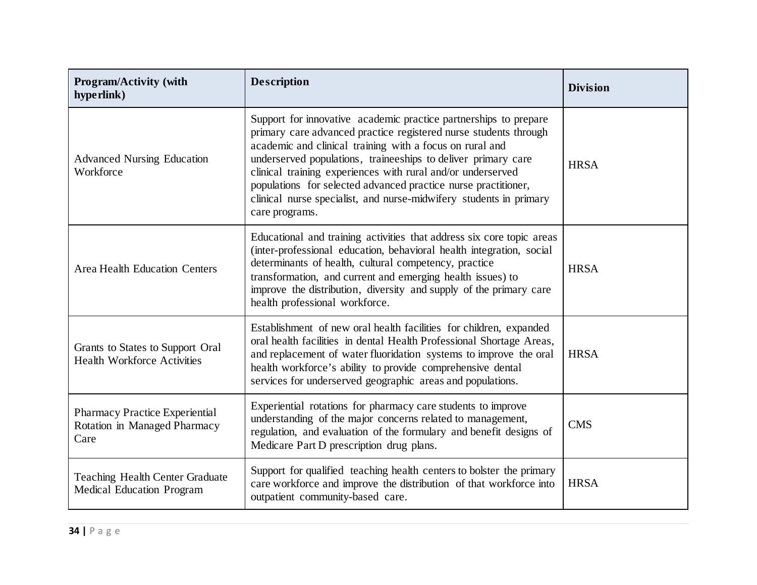| <b>Program/Activity (with</b><br>hyperlink)                                | <b>Description</b>                                                                                                                                                                                                                                                                                                                                                                                                                                                                         | <b>Division</b> |
|----------------------------------------------------------------------------|--------------------------------------------------------------------------------------------------------------------------------------------------------------------------------------------------------------------------------------------------------------------------------------------------------------------------------------------------------------------------------------------------------------------------------------------------------------------------------------------|-----------------|
| <b>Advanced Nursing Education</b><br>Workforce                             | Support for innovative academic practice partnerships to prepare<br>primary care advanced practice registered nurse students through<br>academic and clinical training with a focus on rural and<br>underserved populations, traineeships to deliver primary care<br>clinical training experiences with rural and/or underserved<br>populations for selected advanced practice nurse practitioner,<br>clinical nurse specialist, and nurse-midwifery students in primary<br>care programs. | <b>HRSA</b>     |
| <b>Area Health Education Centers</b>                                       | Educational and training activities that address six core topic areas<br>(inter-professional education, behavioral health integration, social<br>determinants of health, cultural competency, practice<br>transformation, and current and emerging health issues) to<br>improve the distribution, diversity and supply of the primary care<br>health professional workforce.                                                                                                               | <b>HRSA</b>     |
| Grants to States to Support Oral<br><b>Health Workforce Activities</b>     | Establishment of new oral health facilities for children, expanded<br>oral health facilities in dental Health Professional Shortage Areas,<br>and replacement of water fluoridation systems to improve the oral<br>health workforce's ability to provide comprehensive dental<br>services for underserved geographic areas and populations.                                                                                                                                                | <b>HRSA</b>     |
| Pharmacy Practice Experiential<br>Rotation in Managed Pharmacy<br>Care     | Experiential rotations for pharmacy care students to improve<br>understanding of the major concerns related to management,<br>regulation, and evaluation of the formulary and benefit designs of<br>Medicare Part D prescription drug plans.                                                                                                                                                                                                                                               | <b>CMS</b>      |
| <b>Teaching Health Center Graduate</b><br><b>Medical Education Program</b> | Support for qualified teaching health centers to bolster the primary<br>care workforce and improve the distribution of that workforce into<br>outpatient community-based care.                                                                                                                                                                                                                                                                                                             | <b>HRSA</b>     |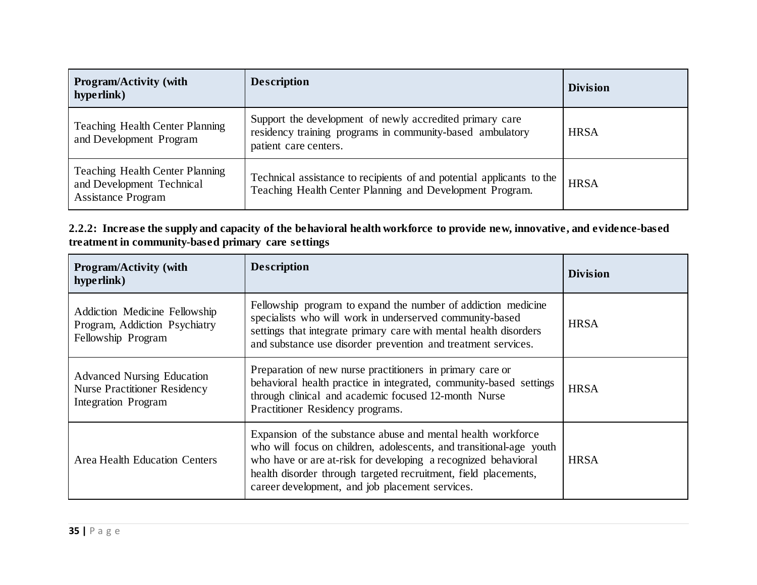| <b>Program/Activity (with</b><br>hyperlink)                                                      | <b>Description</b>                                                                                                                             | <b>Division</b> |
|--------------------------------------------------------------------------------------------------|------------------------------------------------------------------------------------------------------------------------------------------------|-----------------|
| <b>Teaching Health Center Planning</b><br>and Development Program                                | Support the development of newly accredited primary care<br>residency training programs in community-based ambulatory<br>patient care centers. | <b>HRSA</b>     |
| <b>Teaching Health Center Planning</b><br>and Development Technical<br><b>Assistance Program</b> | Technical assistance to recipients of and potential applicants to the<br>Teaching Health Center Planning and Development Program.              | <b>HRSA</b>     |

**2.2.2: Increase the supply and capacity of the behavioral health workforce to provide new, innovative, and evidence-based treatment in community-based primary care settings**

| <b>Program/Activity (with</b><br>hype rlink)                                                           | <b>Description</b>                                                                                                                                                                                                                                                                                                          | <b>Division</b> |
|--------------------------------------------------------------------------------------------------------|-----------------------------------------------------------------------------------------------------------------------------------------------------------------------------------------------------------------------------------------------------------------------------------------------------------------------------|-----------------|
| Addiction Medicine Fellowship<br>Program, Addiction Psychiatry<br>Fellowship Program                   | Fellowship program to expand the number of addiction medicine<br>specialists who will work in underserved community-based<br>settings that integrate primary care with mental health disorders<br>and substance use disorder prevention and treatment services.                                                             | <b>HRSA</b>     |
| <b>Advanced Nursing Education</b><br><b>Nurse Practitioner Residency</b><br><b>Integration Program</b> | Preparation of new nurse practitioners in primary care or<br>behavioral health practice in integrated, community-based settings<br>through clinical and academic focused 12-month Nurse<br>Practitioner Residency programs.                                                                                                 | <b>HRSA</b>     |
| <b>Area Health Education Centers</b>                                                                   | Expansion of the substance abuse and mental health workforce<br>who will focus on children, adolescents, and transitional-age youth<br>who have or are at-risk for developing a recognized behavioral<br>health disorder through targeted recruitment, field placements,<br>career development, and job placement services. | <b>HRSA</b>     |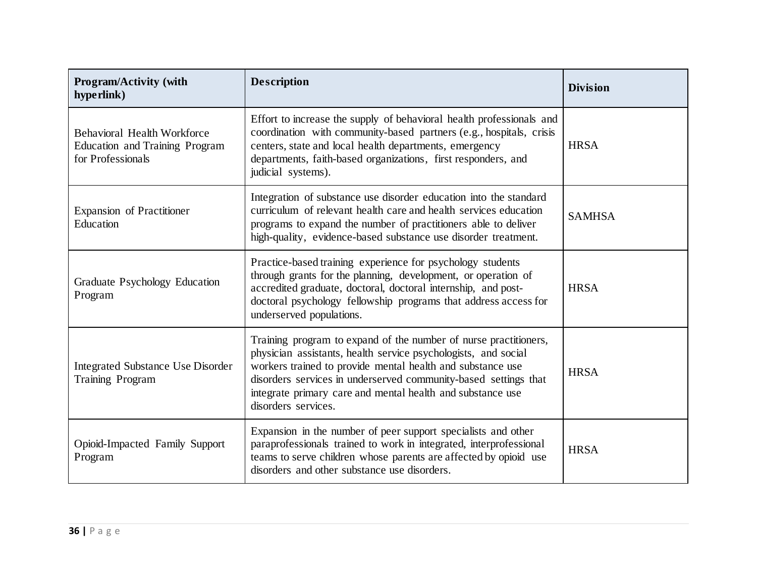| Program/Activity (with<br>hyperlink)                                                      | <b>Description</b>                                                                                                                                                                                                                                                                                                                                       | <b>Division</b> |
|-------------------------------------------------------------------------------------------|----------------------------------------------------------------------------------------------------------------------------------------------------------------------------------------------------------------------------------------------------------------------------------------------------------------------------------------------------------|-----------------|
| <b>Behavioral Health Workforce</b><br>Education and Training Program<br>for Professionals | Effort to increase the supply of behavioral health professionals and<br>coordination with community-based partners (e.g., hospitals, crisis<br>centers, state and local health departments, emergency<br>departments, faith-based organizations, first responders, and<br>judicial systems).                                                             | <b>HRSA</b>     |
| <b>Expansion of Practitioner</b><br>Education                                             | Integration of substance use disorder education into the standard<br>curriculum of relevant health care and health services education<br>programs to expand the number of practitioners able to deliver<br>high-quality, evidence-based substance use disorder treatment.                                                                                | <b>SAMHSA</b>   |
| Graduate Psychology Education<br>Program                                                  | Practice-based training experience for psychology students<br>through grants for the planning, development, or operation of<br>accredited graduate, doctoral, doctoral internship, and post-<br>doctoral psychology fellowship programs that address access for<br>underserved populations.                                                              | <b>HRSA</b>     |
| <b>Integrated Substance Use Disorder</b><br><b>Training Program</b>                       | Training program to expand of the number of nurse practitioners,<br>physician assistants, health service psychologists, and social<br>workers trained to provide mental health and substance use<br>disorders services in underserved community-based settings that<br>integrate primary care and mental health and substance use<br>disorders services. | <b>HRSA</b>     |
| Opioid-Impacted Family Support<br>Program                                                 | Expansion in the number of peer support specialists and other<br>paraprofessionals trained to work in integrated, interprofessional<br>teams to serve children whose parents are affected by opioid use<br>disorders and other substance use disorders.                                                                                                  | <b>HRSA</b>     |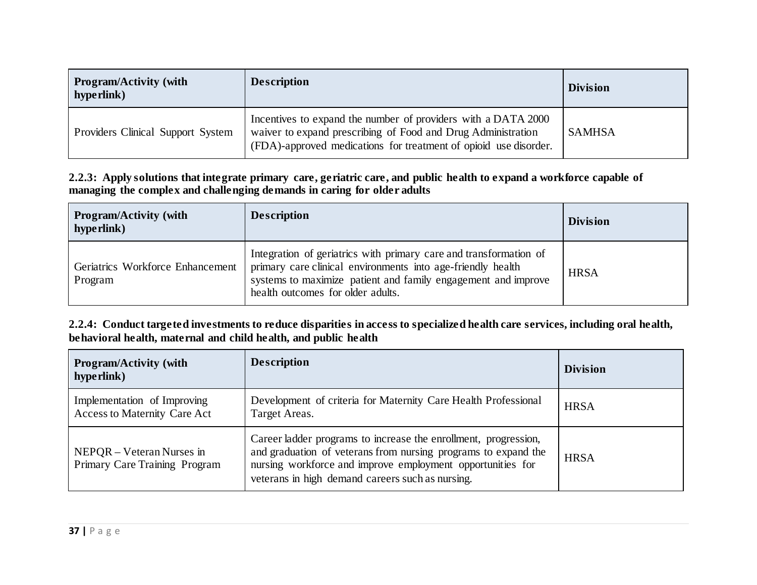| <b>Program/Activity (with</b><br>hype rlink) | <b>Description</b>                                                                                                                                                                                | <b>Division</b> |
|----------------------------------------------|---------------------------------------------------------------------------------------------------------------------------------------------------------------------------------------------------|-----------------|
| Providers Clinical Support System            | Incentives to expand the number of providers with a DATA 2000<br>waiver to expand prescribing of Food and Drug Administration<br>(FDA)-approved medications for treatment of opioid use disorder. | <b>SAMHSA</b>   |

#### **2.2.3: Apply solutions that integrate primary care, geriatric care, and public health to expand a workforce capable of managing the complex and challenging demands in caring for older adults**

| <b>Program/Activity (with</b><br>hype rlink) | <b>Description</b>                                                                                                                                                                                                                     | <b>Division</b> |
|----------------------------------------------|----------------------------------------------------------------------------------------------------------------------------------------------------------------------------------------------------------------------------------------|-----------------|
| Geriatrics Workforce Enhancement<br>Program  | Integration of geriatrics with primary care and transformation of<br>primary care clinical environments into age-friendly health<br>systems to maximize patient and family engagement and improve<br>health outcomes for older adults. | <b>HRSA</b>     |

**2.2.4: Conduct targeted investments to reduce disparities in access to specialized health care services, including oral health, behavioral health, maternal and child health, and public health**

| <b>Program/Activity (with</b><br>hyperlink)                        | <b>Description</b>                                                                                                                                                                                                                                  | <b>Division</b> |
|--------------------------------------------------------------------|-----------------------------------------------------------------------------------------------------------------------------------------------------------------------------------------------------------------------------------------------------|-----------------|
| Implementation of Improving<br><b>Access to Maternity Care Act</b> | Development of criteria for Maternity Care Health Professional<br>Target Areas.                                                                                                                                                                     | <b>HRSA</b>     |
| $NEPQR - Veteran Nurses in$<br>Primary Care Training Program       | Career ladder programs to increase the enrollment, progression,<br>and graduation of veterans from nursing programs to expand the<br>nursing workforce and improve employment opportunities for<br>veterans in high demand careers such as nursing. | <b>HRSA</b>     |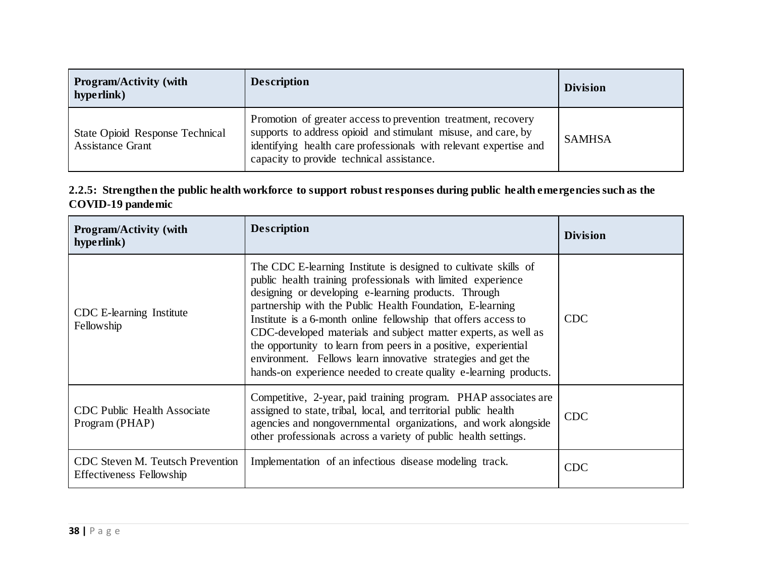| <b>Program/Activity (with</b><br>hype rlink)               | <b>Description</b>                                                                                                                                                                                                                               | <b>Division</b> |
|------------------------------------------------------------|--------------------------------------------------------------------------------------------------------------------------------------------------------------------------------------------------------------------------------------------------|-----------------|
| State Opioid Response Technical<br><b>Assistance Grant</b> | Promotion of greater access to prevention treatment, recovery<br>supports to address opioid and stimulant misuse, and care, by<br>identifying health care professionals with relevant expertise and<br>capacity to provide technical assistance. | <b>SAMHSA</b>   |

### **2.2.5: Strengthen the public health workforce to support robust responses during public health emergencies such as the COVID-19 pandemic**

| <b>Program/Activity (with</b><br>hype rlink)                               | <b>Description</b>                                                                                                                                                                                                                                                                                                                                                                                                                                                                                                                                                                               | <b>Division</b> |
|----------------------------------------------------------------------------|--------------------------------------------------------------------------------------------------------------------------------------------------------------------------------------------------------------------------------------------------------------------------------------------------------------------------------------------------------------------------------------------------------------------------------------------------------------------------------------------------------------------------------------------------------------------------------------------------|-----------------|
| CDC E-learning Institute<br>Fellowship                                     | The CDC E-learning Institute is designed to cultivate skills of<br>public health training professionals with limited experience<br>designing or developing e-learning products. Through<br>partnership with the Public Health Foundation, E-learning<br>Institute is a 6-month online fellowship that offers access to<br>CDC-developed materials and subject matter experts, as well as<br>the opportunity to learn from peers in a positive, experiential<br>environment. Fellows learn innovative strategies and get the<br>hands-on experience needed to create quality e-learning products. | <b>CDC</b>      |
| <b>CDC Public Health Associate</b><br>Program (PHAP)                       | Competitive, 2-year, paid training program. PHAP associates are<br>assigned to state, tribal, local, and territorial public health<br>agencies and nongovernmental organizations, and work alongside<br>other professionals across a variety of public health settings.                                                                                                                                                                                                                                                                                                                          | <b>CDC</b>      |
| <b>CDC</b> Steven M. Teutsch Prevention<br><b>Effectiveness Fellowship</b> | Implementation of an infectious disease modeling track.                                                                                                                                                                                                                                                                                                                                                                                                                                                                                                                                          | <b>CDC</b>      |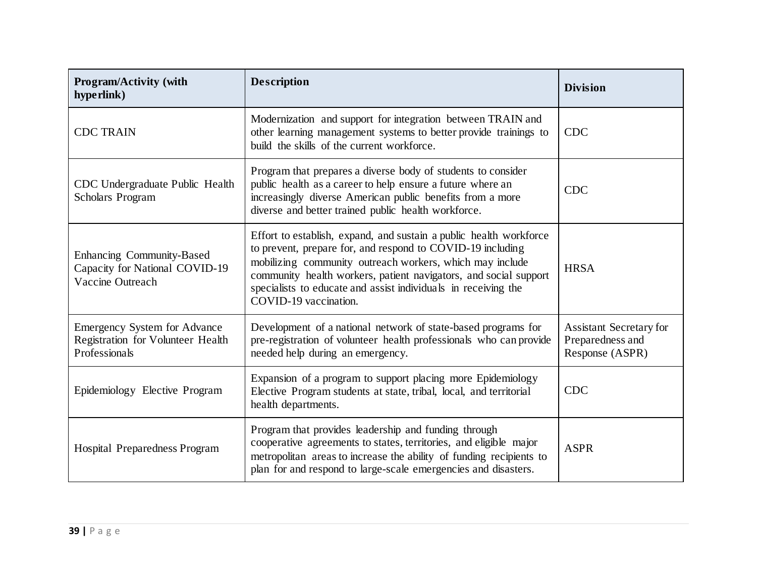| <b>Program/Activity (with</b><br>hype rlink)                                              | <b>Description</b>                                                                                                                                                                                                                                                                                                                                          | <b>Division</b>                                                       |
|-------------------------------------------------------------------------------------------|-------------------------------------------------------------------------------------------------------------------------------------------------------------------------------------------------------------------------------------------------------------------------------------------------------------------------------------------------------------|-----------------------------------------------------------------------|
| <b>CDC TRAIN</b>                                                                          | Modernization and support for integration between TRAIN and<br>other learning management systems to better provide trainings to<br>build the skills of the current workforce.                                                                                                                                                                               | <b>CDC</b>                                                            |
| CDC Undergraduate Public Health<br><b>Scholars Program</b>                                | Program that prepares a diverse body of students to consider<br>public health as a career to help ensure a future where an<br>increasingly diverse American public benefits from a more<br>diverse and better trained public health workforce.                                                                                                              | <b>CDC</b>                                                            |
| Enhancing Community-Based<br>Capacity for National COVID-19<br>Vaccine Outreach           | Effort to establish, expand, and sustain a public health workforce<br>to prevent, prepare for, and respond to COVID-19 including<br>mobilizing community outreach workers, which may include<br>community health workers, patient navigators, and social support<br>specialists to educate and assist individuals in receiving the<br>COVID-19 vaccination. | <b>HRSA</b>                                                           |
| <b>Emergency System for Advance</b><br>Registration for Volunteer Health<br>Professionals | Development of a national network of state-based programs for<br>pre-registration of volunteer health professionals who can provide<br>needed help during an emergency.                                                                                                                                                                                     | <b>Assistant Secretary for</b><br>Preparedness and<br>Response (ASPR) |
| Epidemiology Elective Program                                                             | Expansion of a program to support placing more Epidemiology<br>Elective Program students at state, tribal, local, and territorial<br>health departments.                                                                                                                                                                                                    | <b>CDC</b>                                                            |
| <b>Hospital Preparedness Program</b>                                                      | Program that provides leadership and funding through<br>cooperative agreements to states, territories, and eligible major<br>metropolitan areas to increase the ability of funding recipients to<br>plan for and respond to large-scale emergencies and disasters.                                                                                          | <b>ASPR</b>                                                           |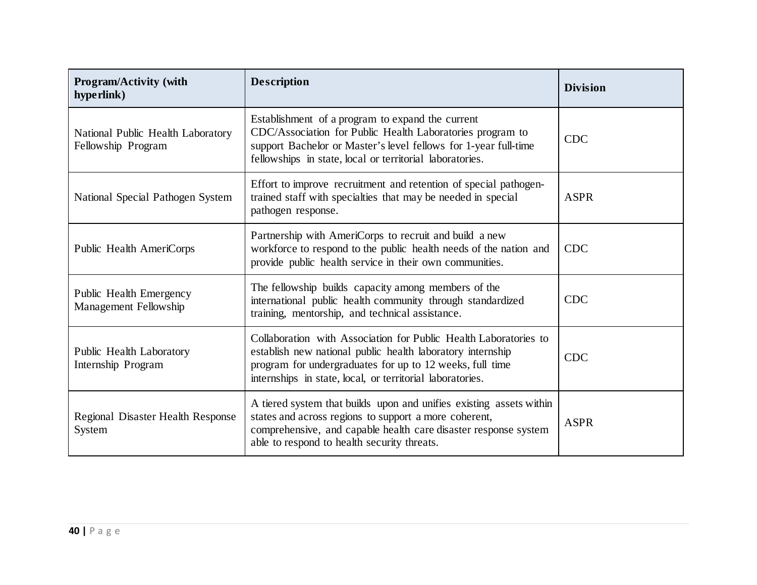| <b>Program/Activity (with</b><br>hyperlink)             | <b>Description</b>                                                                                                                                                                                                                                      | <b>Division</b> |
|---------------------------------------------------------|---------------------------------------------------------------------------------------------------------------------------------------------------------------------------------------------------------------------------------------------------------|-----------------|
| National Public Health Laboratory<br>Fellowship Program | Establishment of a program to expand the current<br>CDC/Association for Public Health Laboratories program to<br>support Bachelor or Master's level fellows for 1-year full-time<br>fellowships in state, local or territorial laboratories.            | <b>CDC</b>      |
| National Special Pathogen System                        | Effort to improve recruitment and retention of special pathogen-<br>trained staff with specialties that may be needed in special<br>pathogen response.                                                                                                  | <b>ASPR</b>     |
| Public Health AmeriCorps                                | Partnership with AmeriCorps to recruit and build a new<br>workforce to respond to the public health needs of the nation and<br>provide public health service in their own communities.                                                                  | <b>CDC</b>      |
| Public Health Emergency<br>Management Fellowship        | The fellowship builds capacity among members of the<br>international public health community through standardized<br>training, mentorship, and technical assistance.                                                                                    | <b>CDC</b>      |
| Public Health Laboratory<br>Internship Program          | Collaboration with Association for Public Health Laboratories to<br>establish new national public health laboratory internship<br>program for undergraduates for up to 12 weeks, full time<br>internships in state, local, or territorial laboratories. | <b>CDC</b>      |
| Regional Disaster Health Response<br>System             | A tiered system that builds upon and unifies existing assets within<br>states and across regions to support a more coherent,<br>comprehensive, and capable health care disaster response system<br>able to respond to health security threats.          | <b>ASPR</b>     |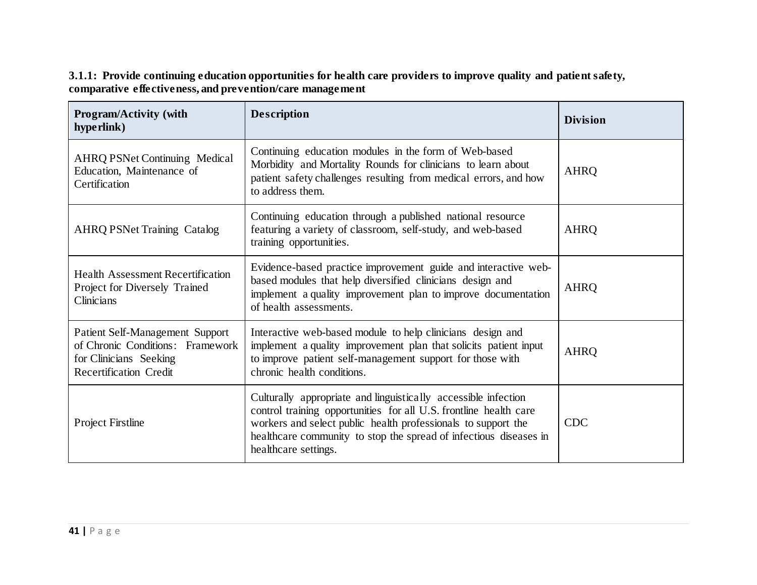**3.1.1: Provide continuing education opportunities for health care providers to improve quality and patient safety, comparative effectiveness, and prevention/care management**

| <b>Program/Activity (with</b><br>hyperlink)                                                                                    | <b>Description</b>                                                                                                                                                                                                                                                                                | <b>Division</b> |
|--------------------------------------------------------------------------------------------------------------------------------|---------------------------------------------------------------------------------------------------------------------------------------------------------------------------------------------------------------------------------------------------------------------------------------------------|-----------------|
| <b>AHRQ PSNet Continuing Medical</b><br>Education, Maintenance of<br>Certification                                             | Continuing education modules in the form of Web-based<br>Morbidity and Mortality Rounds for clinicians to learn about<br>patient safety challenges resulting from medical errors, and how<br>to address them.                                                                                     | <b>AHRQ</b>     |
| <b>AHRQ PSNet Training Catalog</b>                                                                                             | Continuing education through a published national resource<br>featuring a variety of classroom, self-study, and web-based<br>training opportunities.                                                                                                                                              | <b>AHRQ</b>     |
| <b>Health Assessment Recertification</b><br>Project for Diversely Trained<br>Clinicians                                        | Evidence-based practice improvement guide and interactive web-<br>based modules that help diversified clinicians design and<br>implement a quality improvement plan to improve documentation<br>of health assessments.                                                                            | <b>AHRQ</b>     |
| Patient Self-Management Support<br>of Chronic Conditions: Framework<br>for Clinicians Seeking<br><b>Recertification Credit</b> | Interactive web-based module to help clinicians design and<br>implement a quality improvement plan that solicits patient input<br>to improve patient self-management support for those with<br>chronic health conditions.                                                                         | <b>AHRQ</b>     |
| <b>Project Firstline</b>                                                                                                       | Culturally appropriate and linguistically accessible infection<br>control training opportunities for all U.S. frontline health care<br>workers and select public health professionals to support the<br>healthcare community to stop the spread of infectious diseases in<br>healthcare settings. | <b>CDC</b>      |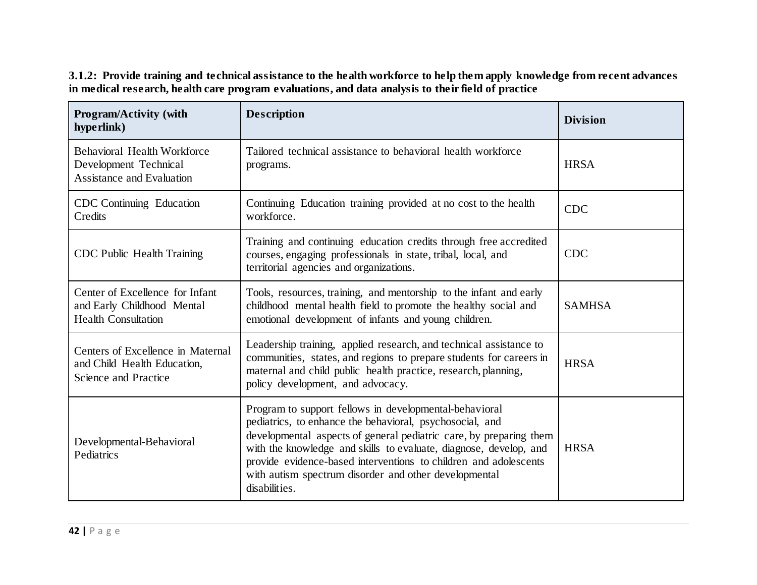| Program/Activity (with<br>hype rlink)                                                           | <b>Description</b>                                                                                                                                                                                                                                                                                                                                                                                          | <b>Division</b> |
|-------------------------------------------------------------------------------------------------|-------------------------------------------------------------------------------------------------------------------------------------------------------------------------------------------------------------------------------------------------------------------------------------------------------------------------------------------------------------------------------------------------------------|-----------------|
| <b>Behavioral Health Workforce</b><br>Development Technical<br><b>Assistance and Evaluation</b> | Tailored technical assistance to behavioral health workforce<br>programs.                                                                                                                                                                                                                                                                                                                                   | <b>HRSA</b>     |
| CDC Continuing Education<br>Credits                                                             | Continuing Education training provided at no cost to the health<br>workforce.                                                                                                                                                                                                                                                                                                                               | <b>CDC</b>      |
| <b>CDC Public Health Training</b>                                                               | Training and continuing education credits through free accredited<br>courses, engaging professionals in state, tribal, local, and<br>territorial agencies and organizations.                                                                                                                                                                                                                                | <b>CDC</b>      |
| Center of Excellence for Infant<br>and Early Childhood Mental<br><b>Health Consultation</b>     | Tools, resources, training, and mentorship to the infant and early<br>childhood mental health field to promote the healthy social and<br>emotional development of infants and young children.                                                                                                                                                                                                               | <b>SAMHSA</b>   |
| Centers of Excellence in Maternal<br>and Child Health Education,<br>Science and Practice        | Leadership training, applied research, and technical assistance to<br>communities, states, and regions to prepare students for careers in<br>maternal and child public health practice, research, planning,<br>policy development, and advocacy.                                                                                                                                                            | <b>HRSA</b>     |
| Developmental-Behavioral<br>Pediatrics                                                          | Program to support fellows in developmental-behavioral<br>pediatrics, to enhance the behavioral, psychosocial, and<br>developmental aspects of general pediatric care, by preparing them<br>with the knowledge and skills to evaluate, diagnose, develop, and<br>provide evidence-based interventions to children and adolescents<br>with autism spectrum disorder and other developmental<br>disabilities. | <b>HRSA</b>     |

**3.1.2: Provide training and technical assistance to the health workforce to help them apply knowledge from recent advances in medical research, health care program evaluations, and data analysis to their field of practice**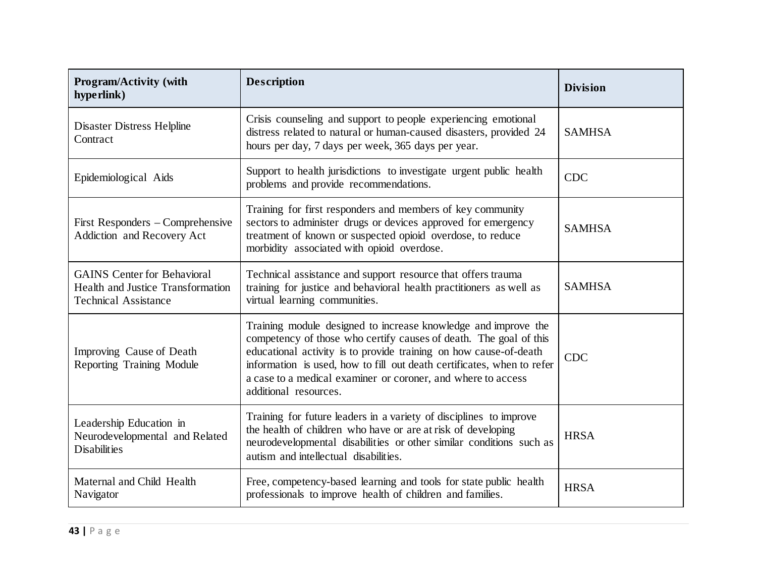| <b>Program/Activity (with</b><br>hype rlink)                                                                  | <b>Description</b>                                                                                                                                                                                                                                                                                                                                                          | <b>Division</b> |
|---------------------------------------------------------------------------------------------------------------|-----------------------------------------------------------------------------------------------------------------------------------------------------------------------------------------------------------------------------------------------------------------------------------------------------------------------------------------------------------------------------|-----------------|
| <b>Disaster Distress Helpline</b><br>Contract                                                                 | Crisis counseling and support to people experiencing emotional<br>distress related to natural or human-caused disasters, provided 24<br>hours per day, 7 days per week, 365 days per year.                                                                                                                                                                                  | <b>SAMHSA</b>   |
| Epidemiological Aids                                                                                          | Support to health jurisdictions to investigate urgent public health<br>problems and provide recommendations.                                                                                                                                                                                                                                                                | <b>CDC</b>      |
| First Responders – Comprehensive<br>Addiction and Recovery Act                                                | Training for first responders and members of key community<br>sectors to administer drugs or devices approved for emergency<br>treatment of known or suspected opioid overdose, to reduce<br>morbidity associated with opioid overdose.                                                                                                                                     | <b>SAMHSA</b>   |
| <b>GAINS</b> Center for Behavioral<br><b>Health and Justice Transformation</b><br><b>Technical Assistance</b> | Technical assistance and support resource that offers trauma<br>training for justice and behavioral health practitioners as well as<br>virtual learning communities.                                                                                                                                                                                                        | <b>SAMHSA</b>   |
| Improving Cause of Death<br>Reporting Training Module                                                         | Training module designed to increase knowledge and improve the<br>competency of those who certify causes of death. The goal of this<br>educational activity is to provide training on how cause-of-death<br>information is used, how to fill out death certificates, when to refer<br>a case to a medical examiner or coroner, and where to access<br>additional resources. | <b>CDC</b>      |
| Leadership Education in<br>Neurodevelopmental and Related<br><b>Disabilities</b>                              | Training for future leaders in a variety of disciplines to improve<br>the health of children who have or are at risk of developing<br>neurodevelopmental disabilities or other similar conditions such as<br>autism and intellectual disabilities.                                                                                                                          | <b>HRSA</b>     |
| Maternal and Child Health<br>Navigator                                                                        | Free, competency-based learning and tools for state public health<br>professionals to improve health of children and families.                                                                                                                                                                                                                                              | <b>HRSA</b>     |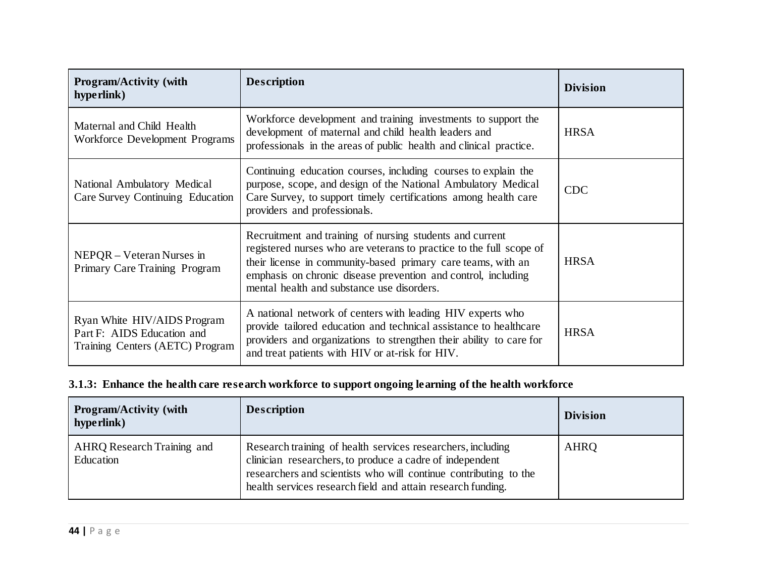| <b>Program/Activity (with</b><br>hyperlink)                                                  | <b>Description</b>                                                                                                                                                                                                                                                                                             | <b>Division</b> |
|----------------------------------------------------------------------------------------------|----------------------------------------------------------------------------------------------------------------------------------------------------------------------------------------------------------------------------------------------------------------------------------------------------------------|-----------------|
| Maternal and Child Health<br>Workforce Development Programs                                  | Workforce development and training investments to support the<br>development of maternal and child health leaders and<br>professionals in the areas of public health and clinical practice.                                                                                                                    | <b>HRSA</b>     |
| National Ambulatory Medical<br>Care Survey Continuing Education                              | Continuing education courses, including courses to explain the<br>purpose, scope, and design of the National Ambulatory Medical<br>Care Survey, to support timely certifications among health care<br>providers and professionals.                                                                             | <b>CDC</b>      |
| NEPQR – Veteran Nurses in<br>Primary Care Training Program                                   | Recruitment and training of nursing students and current<br>registered nurses who are veterans to practice to the full scope of<br>their license in community-based primary care teams, with an<br>emphasis on chronic disease prevention and control, including<br>mental health and substance use disorders. | <b>HRSA</b>     |
| Ryan White HIV/AIDS Program<br>Part F: AIDS Education and<br>Training Centers (AETC) Program | A national network of centers with leading HIV experts who<br>provide tailored education and technical assistance to healthcare<br>providers and organizations to strengthen their ability to care for<br>and treat patients with HIV or at-risk for HIV.                                                      | <b>HRSA</b>     |

# **3.1.3: Enhance the health care research workforce to support ongoing learning of the health workforce**

| <b>Program/Activity (with</b><br>hype rlink) | <b>Description</b>                                                                                                                                                                                                                                         | <b>Division</b> |
|----------------------------------------------|------------------------------------------------------------------------------------------------------------------------------------------------------------------------------------------------------------------------------------------------------------|-----------------|
| AHRQ Research Training and<br>Education      | Research training of health services researchers, including<br>clinician researchers, to produce a cadre of independent<br>researchers and scientists who will continue contributing to the<br>health services research field and attain research funding. | AHRQ            |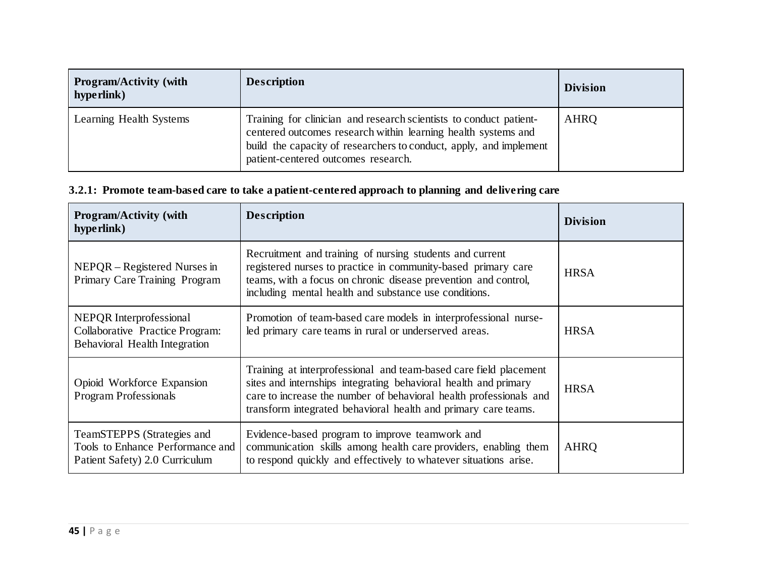| <b>Program/Activity (with</b><br>hype rlink) | <b>Description</b>                                                                                                                                                                                                                               | <b>Division</b> |
|----------------------------------------------|--------------------------------------------------------------------------------------------------------------------------------------------------------------------------------------------------------------------------------------------------|-----------------|
| Learning Health Systems                      | Training for clinician and research scientists to conduct patient-<br>centered outcomes research within learning health systems and<br>build the capacity of researchers to conduct, apply, and implement<br>patient-centered outcomes research. | <b>AHRQ</b>     |

## **3.2.1: Promote team-based care to take a patient-centered approach to planning and delivering care**

| <b>Program/Activity (with</b><br>hype rlink)                                                       | <b>Description</b>                                                                                                                                                                                                                                                           | <b>Division</b> |
|----------------------------------------------------------------------------------------------------|------------------------------------------------------------------------------------------------------------------------------------------------------------------------------------------------------------------------------------------------------------------------------|-----------------|
| NEPQR – Registered Nurses in<br>Primary Care Training Program                                      | Recruitment and training of nursing students and current<br>registered nurses to practice in community-based primary care<br>teams, with a focus on chronic disease prevention and control,<br>including mental health and substance use conditions.                         | <b>HRSA</b>     |
| NEPQR Interprofessional<br>Collaborative Practice Program:<br><b>Behavioral Health Integration</b> | Promotion of team-based care models in interprofessional nurse-<br>led primary care teams in rural or underserved areas.                                                                                                                                                     | <b>HRSA</b>     |
| Opioid Workforce Expansion<br><b>Program Professionals</b>                                         | Training at interprofessional and team-based care field placement<br>sites and internships integrating behavioral health and primary<br>care to increase the number of behavioral health professionals and<br>transform integrated behavioral health and primary care teams. | <b>HRSA</b>     |
| TeamSTEPPS (Strategies and<br>Tools to Enhance Performance and<br>Patient Safety) 2.0 Curriculum   | Evidence-based program to improve teamwork and<br>communication skills among health care providers, enabling them<br>to respond quickly and effectively to whatever situations arise.                                                                                        | <b>AHRQ</b>     |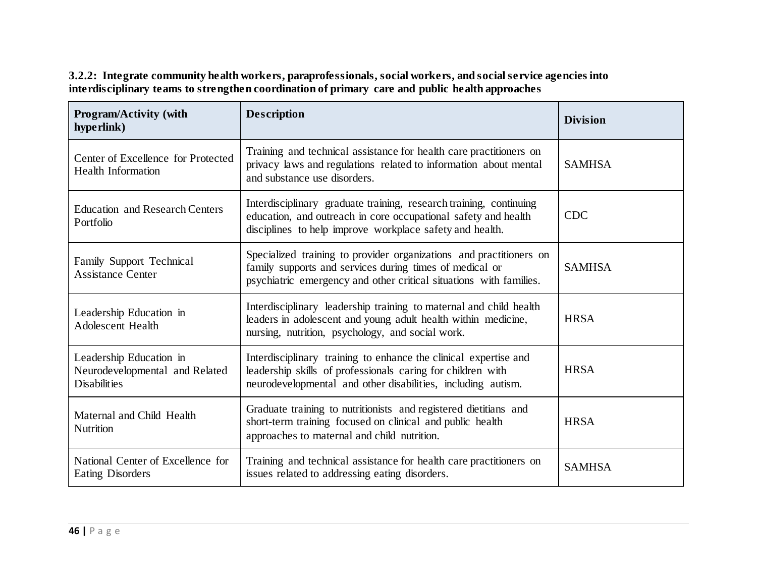**3.2.2: Integrate community health workers, paraprofessionals, social workers, and social service agencies into interdisciplinary teams to strengthen coordination of primary care and public health approaches**

| Program/Activity (with<br>hyperlink)                                             | <b>Description</b>                                                                                                                                                                                   | <b>Division</b> |
|----------------------------------------------------------------------------------|------------------------------------------------------------------------------------------------------------------------------------------------------------------------------------------------------|-----------------|
| Center of Excellence for Protected<br><b>Health Information</b>                  | Training and technical assistance for health care practitioners on<br>privacy laws and regulations related to information about mental<br>and substance use disorders.                               | <b>SAMHSA</b>   |
| <b>Education and Research Centers</b><br>Portfolio                               | Interdisciplinary graduate training, research training, continuing<br>education, and outreach in core occupational safety and health<br>disciplines to help improve workplace safety and health.     | <b>CDC</b>      |
| Family Support Technical<br><b>Assistance Center</b>                             | Specialized training to provider organizations and practitioners on<br>family supports and services during times of medical or<br>psychiatric emergency and other critical situations with families. | <b>SAMHSA</b>   |
| Leadership Education in<br><b>Adolescent Health</b>                              | Interdisciplinary leadership training to maternal and child health<br>leaders in adolescent and young adult health within medicine,<br>nursing, nutrition, psychology, and social work.              | <b>HRSA</b>     |
| Leadership Education in<br>Neurodevelopmental and Related<br><b>Disabilities</b> | Interdisciplinary training to enhance the clinical expertise and<br>leadership skills of professionals caring for children with<br>neurodevelopmental and other disabilities, including autism.      | <b>HRSA</b>     |
| Maternal and Child Health<br>Nutrition                                           | Graduate training to nutritionists and registered dietitians and<br>short-term training focused on clinical and public health<br>approaches to maternal and child nutrition.                         | <b>HRSA</b>     |
| National Center of Excellence for<br>Eating Disorders                            | Training and technical assistance for health care practitioners on<br>issues related to addressing eating disorders.                                                                                 | <b>SAMHSA</b>   |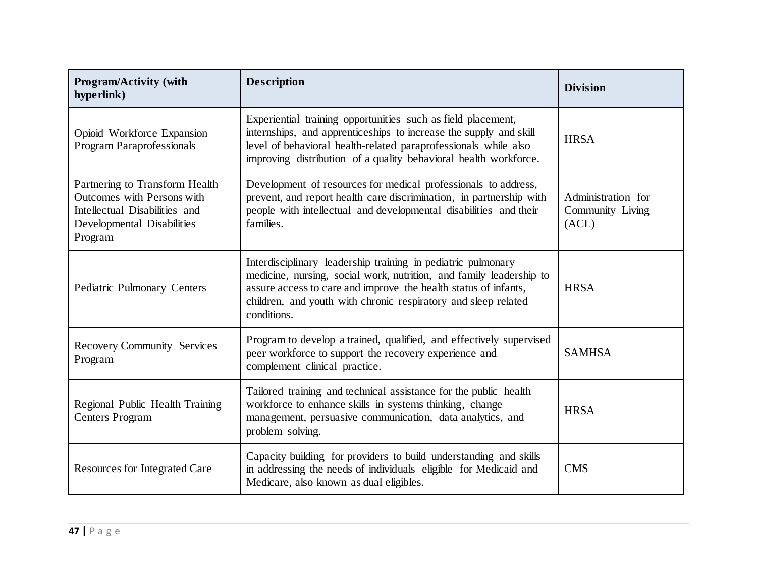| <b>Program/Activity (with</b><br>hype rlink)                                                                                           | <b>Description</b>                                                                                                                                                                                                                                                                      | <b>Division</b>                                 |
|----------------------------------------------------------------------------------------------------------------------------------------|-----------------------------------------------------------------------------------------------------------------------------------------------------------------------------------------------------------------------------------------------------------------------------------------|-------------------------------------------------|
| Opioid Workforce Expansion<br><b>Program Paraprofessionals</b>                                                                         | Experiential training opportunities such as field placement,<br>internships, and apprenticeships to increase the supply and skill<br>level of behavioral health-related paraprofessionals while also<br>improving distribution of a quality behavioral health workforce.                | <b>HRSA</b>                                     |
| Partnering to Transform Health<br>Outcomes with Persons with<br>Intellectual Disabilities and<br>Developmental Disabilities<br>Program | Development of resources for medical professionals to address,<br>prevent, and report health care discrimination, in partnership with<br>people with intellectual and developmental disabilities and their<br>families.                                                                 | Administration for<br>Community Living<br>(ACL) |
| Pediatric Pulmonary Centers                                                                                                            | Interdisciplinary leadership training in pediatric pulmonary<br>medicine, nursing, social work, nutrition, and family leadership to<br>assure access to care and improve the health status of infants,<br>children, and youth with chronic respiratory and sleep related<br>conditions. | <b>HRSA</b>                                     |
| <b>Recovery Community Services</b><br>Program                                                                                          | Program to develop a trained, qualified, and effectively supervised<br>peer workforce to support the recovery experience and<br>complement clinical practice.                                                                                                                           | <b>SAMHSA</b>                                   |
| Regional Public Health Training<br><b>Centers Program</b>                                                                              | Tailored training and technical assistance for the public health<br>workforce to enhance skills in systems thinking, change<br>management, persuasive communication, data analytics, and<br>problem solving.                                                                            | <b>HRSA</b>                                     |
| <b>Resources for Integrated Care</b>                                                                                                   | Capacity building for providers to build understanding and skills<br>in addressing the needs of individuals eligible for Medicaid and<br>Medicare, also known as dual eligibles.                                                                                                        | <b>CMS</b>                                      |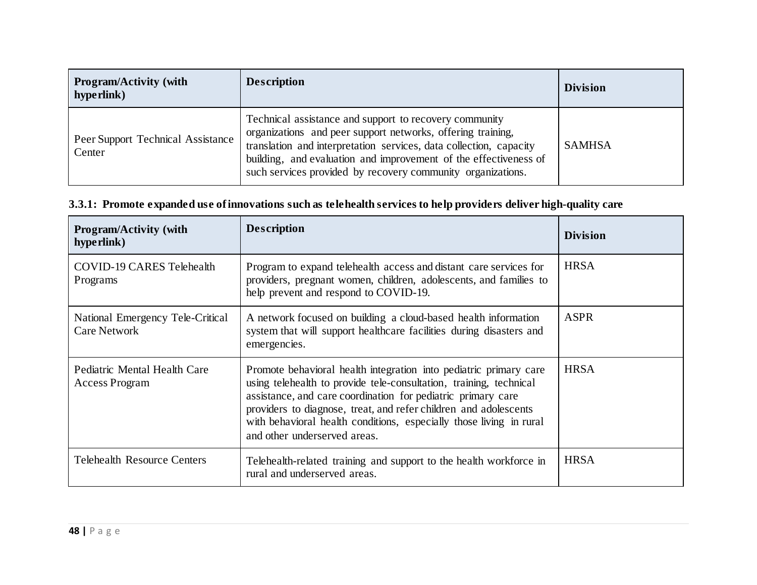| <b>Program/Activity (with</b><br>hype rlink) | <b>Description</b>                                                                                                                                                                                                                                                                                                             | <b>Division</b> |
|----------------------------------------------|--------------------------------------------------------------------------------------------------------------------------------------------------------------------------------------------------------------------------------------------------------------------------------------------------------------------------------|-----------------|
| Peer Support Technical Assistance<br>Center  | Technical assistance and support to recovery community<br>organizations and peer support networks, offering training,<br>translation and interpretation services, data collection, capacity<br>building, and evaluation and improvement of the effectiveness of<br>such services provided by recovery community organizations. | <b>SAMHSA</b>   |

## **3.3.1: Promote expanded use of innovations such as telehealth services to help providers deliver high-quality care**

| Program/Activity (with<br>hype rlink)                   | <b>Description</b>                                                                                                                                                                                                                                                                                                                                                                 | <b>Division</b> |
|---------------------------------------------------------|------------------------------------------------------------------------------------------------------------------------------------------------------------------------------------------------------------------------------------------------------------------------------------------------------------------------------------------------------------------------------------|-----------------|
| COVID-19 CARES Telehealth<br>Programs                   | Program to expand telehealth access and distant care services for<br>providers, pregnant women, children, adolescents, and families to<br>help prevent and respond to COVID-19.                                                                                                                                                                                                    | <b>HRSA</b>     |
| National Emergency Tele-Critical<br><b>Care Network</b> | A network focused on building a cloud-based health information<br>system that will support healthcare facilities during disasters and<br>emergencies.                                                                                                                                                                                                                              | <b>ASPR</b>     |
| Pediatric Mental Health Care<br><b>Access Program</b>   | Promote behavioral health integration into pediatric primary care<br>using telehealth to provide tele-consultation, training, technical<br>assistance, and care coordination for pediatric primary care<br>providers to diagnose, treat, and refer children and adolescents<br>with behavioral health conditions, especially those living in rural<br>and other underserved areas. | <b>HRSA</b>     |
| <b>Telehealth Resource Centers</b>                      | Telehealth-related training and support to the health workforce in<br>rural and underserved areas.                                                                                                                                                                                                                                                                                 | <b>HRSA</b>     |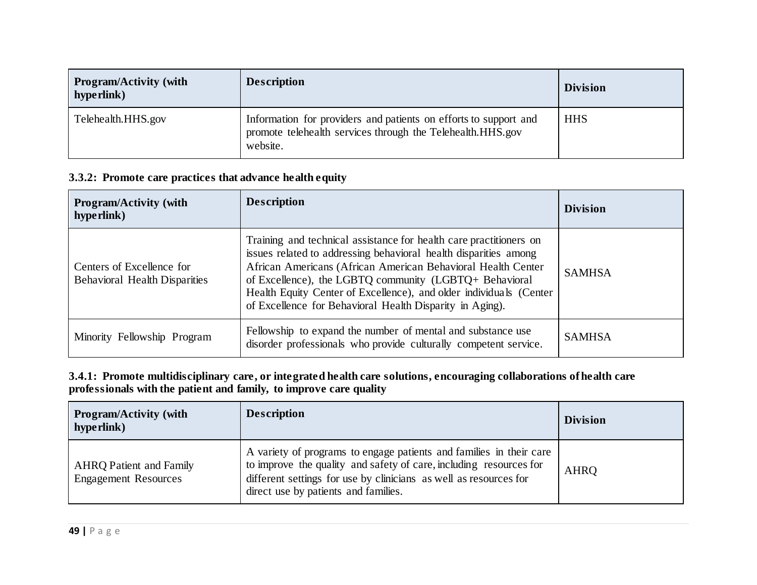| <b>Program/Activity (with</b><br>hype rlink) | <b>Description</b>                                                                                                                         | <b>Division</b> |
|----------------------------------------------|--------------------------------------------------------------------------------------------------------------------------------------------|-----------------|
| Telehealth.HHS.gov                           | Information for providers and patients on efforts to support and<br>promote telehealth services through the Telehealth.HHS.gov<br>website. | <b>HHS</b>      |

#### **3.3.2: Promote care practices that advance health equity**

| <b>Program/Activity (with</b><br>hype rlink)                      | <b>Description</b>                                                                                                                                                                                                                                                                                                                                                                                 | <b>Division</b> |
|-------------------------------------------------------------------|----------------------------------------------------------------------------------------------------------------------------------------------------------------------------------------------------------------------------------------------------------------------------------------------------------------------------------------------------------------------------------------------------|-----------------|
| Centers of Excellence for<br><b>Behavioral Health Disparities</b> | Training and technical assistance for health care practitioners on<br>issues related to addressing behavioral health disparities among<br>African Americans (African American Behavioral Health Center<br>of Excellence), the LGBTQ community (LGBTQ+ Behavioral<br>Health Equity Center of Excellence), and older individuals (Center<br>of Excellence for Behavioral Health Disparity in Aging). | <b>SAMHSA</b>   |
| Minority Fellowship Program                                       | Fellowship to expand the number of mental and substance use<br>disorder professionals who provide culturally competent service.                                                                                                                                                                                                                                                                    | <b>SAMHSA</b>   |

#### **3.4.1: Promote multidisciplinary care, or integrated health care solutions, encouraging collaborations of health care professionals with the patient and family, to improve care quality**

| <b>Program/Activity (with</b><br>hype rlink)                  | <b>Description</b>                                                                                                                                                                                                                                     | <b>Division</b> |
|---------------------------------------------------------------|--------------------------------------------------------------------------------------------------------------------------------------------------------------------------------------------------------------------------------------------------------|-----------------|
| <b>AHRQ Patient and Family</b><br><b>Engagement Resources</b> | A variety of programs to engage patients and families in their care<br>to improve the quality and safety of care, including resources for<br>different settings for use by clinicians as well as resources for<br>direct use by patients and families. | <b>AHRQ</b>     |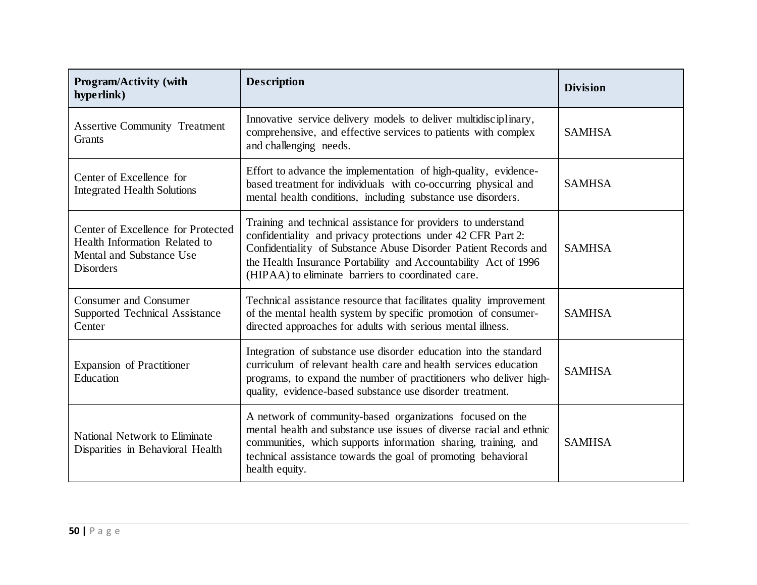| Program/Activity (with<br>hyperlink)                                                                                | <b>Description</b>                                                                                                                                                                                                                                                                                                        | <b>Division</b> |
|---------------------------------------------------------------------------------------------------------------------|---------------------------------------------------------------------------------------------------------------------------------------------------------------------------------------------------------------------------------------------------------------------------------------------------------------------------|-----------------|
| <b>Assertive Community Treatment</b><br>Grants                                                                      | Innovative service delivery models to deliver multidisciplinary,<br>comprehensive, and effective services to patients with complex<br>and challenging needs.                                                                                                                                                              | <b>SAMHSA</b>   |
| Center of Excellence for<br><b>Integrated Health Solutions</b>                                                      | Effort to advance the implementation of high-quality, evidence-<br>based treatment for individuals with co-occurring physical and<br>mental health conditions, including substance use disorders.                                                                                                                         | <b>SAMHSA</b>   |
| Center of Excellence for Protected<br>Health Information Related to<br>Mental and Substance Use<br><b>Disorders</b> | Training and technical assistance for providers to understand<br>confidentiality and privacy protections under 42 CFR Part 2:<br>Confidentiality of Substance Abuse Disorder Patient Records and<br>the Health Insurance Portability and Accountability Act of 1996<br>(HIPAA) to eliminate barriers to coordinated care. | <b>SAMHSA</b>   |
| <b>Consumer and Consumer</b><br>Supported Technical Assistance<br>Center                                            | Technical assistance resource that facilitates quality improvement<br>of the mental health system by specific promotion of consumer-<br>directed approaches for adults with serious mental illness.                                                                                                                       | <b>SAMHSA</b>   |
| <b>Expansion of Practitioner</b><br>Education                                                                       | Integration of substance use disorder education into the standard<br>curriculum of relevant health care and health services education<br>programs, to expand the number of practitioners who deliver high-<br>quality, evidence-based substance use disorder treatment.                                                   | <b>SAMHSA</b>   |
| National Network to Eliminate<br>Disparities in Behavioral Health                                                   | A network of community-based organizations focused on the<br>mental health and substance use issues of diverse racial and ethnic<br>communities, which supports information sharing, training, and<br>technical assistance towards the goal of promoting behavioral<br>health equity.                                     | <b>SAMHSA</b>   |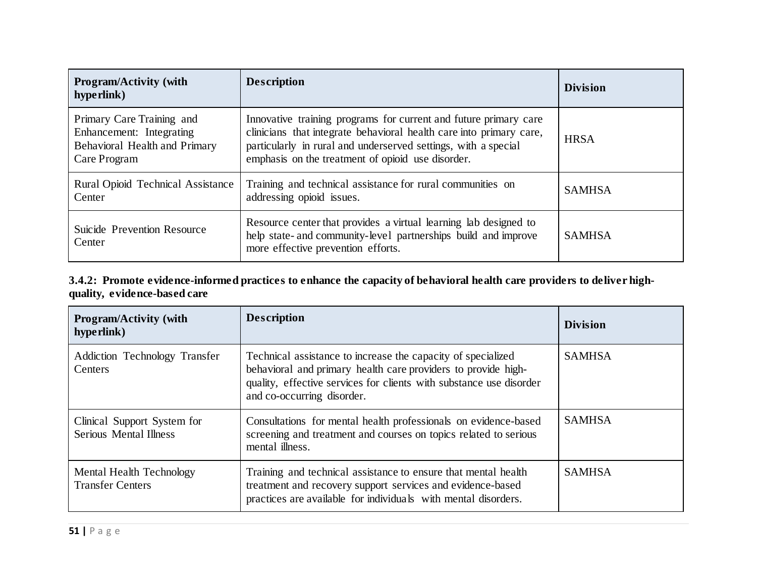| <b>Program/Activity (with</b><br>hyperlink)                                                            | <b>Description</b>                                                                                                                                                                                                                                             | <b>Division</b> |
|--------------------------------------------------------------------------------------------------------|----------------------------------------------------------------------------------------------------------------------------------------------------------------------------------------------------------------------------------------------------------------|-----------------|
| Primary Care Training and<br>Enhancement: Integrating<br>Behavioral Health and Primary<br>Care Program | Innovative training programs for current and future primary care<br>clinicians that integrate behavioral health care into primary care,<br>particularly in rural and underserved settings, with a special<br>emphasis on the treatment of opioid use disorder. | <b>HRSA</b>     |
| <b>Rural Opioid Technical Assistance</b><br>Center                                                     | Training and technical assistance for rural communities on<br>addressing opioid issues.                                                                                                                                                                        | <b>SAMHSA</b>   |
| Suicide Prevention Resource<br>Center                                                                  | Resource center that provides a virtual learning lab designed to<br>help state- and community-level partnerships build and improve<br>more effective prevention efforts.                                                                                       | <b>SAMHSA</b>   |

#### **3.4.2: Promote evidence-informed practices to enhance the capacity of behavioral health care providers to deliver highquality, evidence-based care**

| <b>Program/Activity (with</b><br>hyperlink)                  | <b>Description</b>                                                                                                                                                                                                                 | <b>Division</b> |
|--------------------------------------------------------------|------------------------------------------------------------------------------------------------------------------------------------------------------------------------------------------------------------------------------------|-----------------|
| Addiction Technology Transfer<br>Centers                     | Technical assistance to increase the capacity of specialized<br>behavioral and primary health care providers to provide high-<br>quality, effective services for clients with substance use disorder<br>and co-occurring disorder. | <b>SAMHSA</b>   |
| Clinical Support System for<br><b>Serious Mental Illness</b> | Consultations for mental health professionals on evidence-based<br>screening and treatment and courses on topics related to serious<br>mental illness.                                                                             | <b>SAMHSA</b>   |
| Mental Health Technology<br><b>Transfer Centers</b>          | Training and technical assistance to ensure that mental health<br>treatment and recovery support services and evidence-based<br>practices are available for individuals with mental disorders.                                     | <b>SAMHSA</b>   |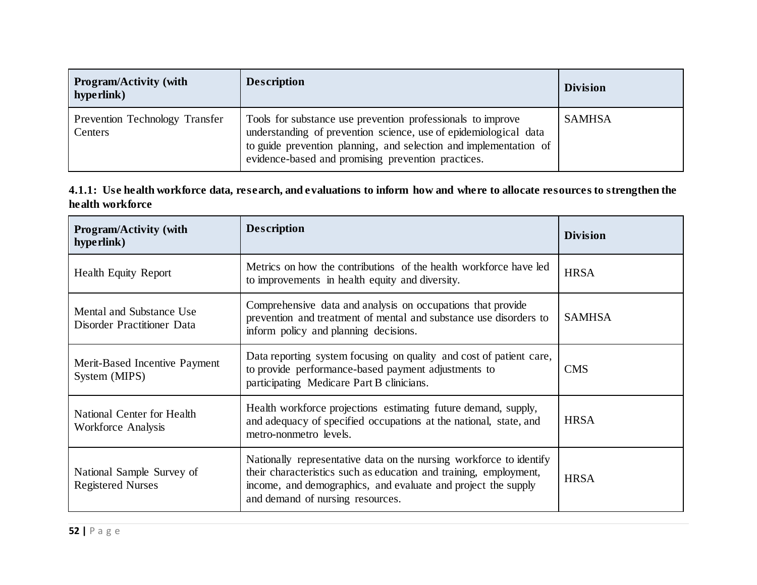| <b>Program/Activity (with</b><br>hype rlink) | <b>Description</b>                                                                                                                                                                                                                                         | <b>Division</b> |
|----------------------------------------------|------------------------------------------------------------------------------------------------------------------------------------------------------------------------------------------------------------------------------------------------------------|-----------------|
| Prevention Technology Transfer<br>Centers    | Tools for substance use prevention professionals to improve<br>understanding of prevention science, use of epidemiological data<br>to guide prevention planning, and selection and implementation of<br>evidence-based and promising prevention practices. | <b>SAMHSA</b>   |

#### **4.1.1: Use health workforce data, research, and evaluations to inform how and where to allocate resources to strengthen the health workforce**

| <b>Program/Activity (with</b><br>hyperlink)             | <b>Description</b>                                                                                                                                                                                                                            | <b>Division</b> |  |
|---------------------------------------------------------|-----------------------------------------------------------------------------------------------------------------------------------------------------------------------------------------------------------------------------------------------|-----------------|--|
| <b>Health Equity Report</b>                             | Metrics on how the contributions of the health workforce have led<br>to improvements in health equity and diversity.                                                                                                                          | <b>HRSA</b>     |  |
| Mental and Substance Use<br>Disorder Practitioner Data  | Comprehensive data and analysis on occupations that provide<br>prevention and treatment of mental and substance use disorders to<br>inform policy and planning decisions.                                                                     | <b>SAMHSA</b>   |  |
| Merit-Based Incentive Payment<br>System (MIPS)          | Data reporting system focusing on quality and cost of patient care,<br>to provide performance-based payment adjustments to<br>participating Medicare Part B clinicians.                                                                       | <b>CMS</b>      |  |
| National Center for Health<br><b>Workforce Analysis</b> | Health workforce projections estimating future demand, supply,<br>and adequacy of specified occupations at the national, state, and<br>metro-nonmetro levels.                                                                                 | <b>HRSA</b>     |  |
| National Sample Survey of<br><b>Registered Nurses</b>   | Nationally representative data on the nursing workforce to identify<br>their characteristics such as education and training, employment,<br>income, and demographics, and evaluate and project the supply<br>and demand of nursing resources. | <b>HRSA</b>     |  |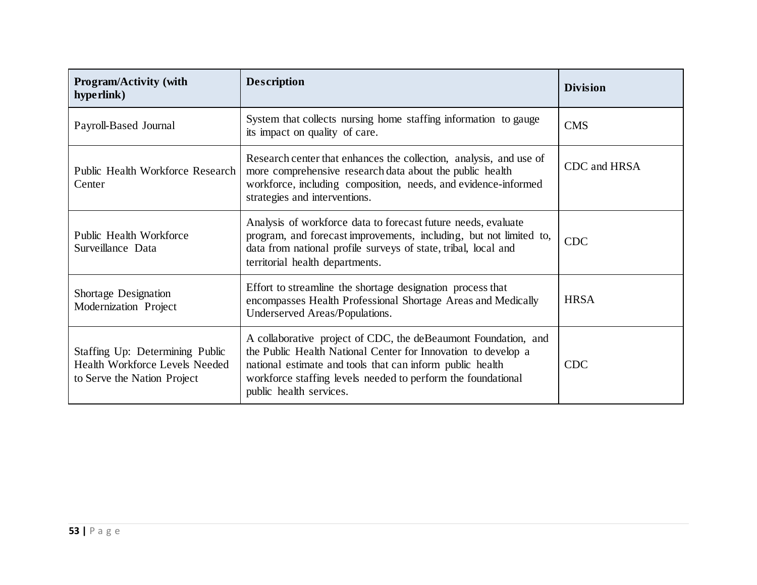| <b>Program/Activity (with</b><br>hype rlink)                                                     | <b>Description</b>                                                                                                                                                                                                                                                                      | <b>Division</b> |  |
|--------------------------------------------------------------------------------------------------|-----------------------------------------------------------------------------------------------------------------------------------------------------------------------------------------------------------------------------------------------------------------------------------------|-----------------|--|
| Payroll-Based Journal                                                                            | System that collects nursing home staffing information to gauge<br>its impact on quality of care.                                                                                                                                                                                       | <b>CMS</b>      |  |
| Public Health Workforce Research<br>Center                                                       | Research center that enhances the collection, analysis, and use of<br>more comprehensive research data about the public health<br>workforce, including composition, needs, and evidence-informed<br>strategies and interventions.                                                       | CDC and HRSA    |  |
| Public Health Workforce<br>Surveillance Data                                                     | Analysis of workforce data to forecast future needs, evaluate<br>program, and forecast improvements, including, but not limited to,<br>data from national profile surveys of state, tribal, local and<br>territorial health departments.                                                | <b>CDC</b>      |  |
| Shortage Designation<br>Modernization Project                                                    | Effort to streamline the shortage designation process that<br>encompasses Health Professional Shortage Areas and Medically<br>Underserved Areas/Populations.                                                                                                                            | <b>HRSA</b>     |  |
| Staffing Up: Determining Public<br>Health Workforce Levels Needed<br>to Serve the Nation Project | A collaborative project of CDC, the deBeaumont Foundation, and<br>the Public Health National Center for Innovation to develop a<br>national estimate and tools that can inform public health<br>workforce staffing levels needed to perform the foundational<br>public health services. | <b>CDC</b>      |  |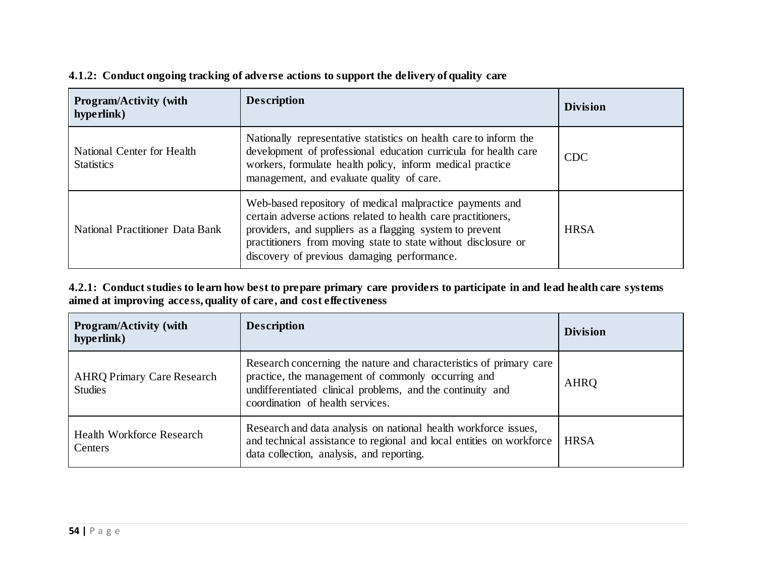| <b>Program/Activity (with</b><br>hype rlink)    | <b>Description</b>                                                                                                                                                                                                                                                                                     | <b>Division</b> |
|-------------------------------------------------|--------------------------------------------------------------------------------------------------------------------------------------------------------------------------------------------------------------------------------------------------------------------------------------------------------|-----------------|
| National Center for Health<br><b>Statistics</b> | Nationally representative statistics on health care to inform the<br>development of professional education curricula for health care<br>workers, formulate health policy, inform medical practice<br>management, and evaluate quality of care.                                                         | <b>CDC</b>      |
| National Practitioner Data Bank                 | Web-based repository of medical malpractice payments and<br>certain adverse actions related to health care practitioners,<br>providers, and suppliers as a flagging system to prevent<br>practitioners from moving state to state without disclosure or<br>discovery of previous damaging performance. |                 |

#### **4.1.2: Conduct ongoing tracking of adverse actions to support the delivery of quality care**

#### **4.2.1: Conduct studies to learn how best to prepare primary care providers to participate in and lead health care systems aimed at improving access, quality of care, and cost effectiveness**

| <b>Program/Activity (with</b><br>hyperlink)                                                                                                                                                                                  | <b>Description</b>                                                                                                                                                                                                         | <b>Division</b> |  |
|------------------------------------------------------------------------------------------------------------------------------------------------------------------------------------------------------------------------------|----------------------------------------------------------------------------------------------------------------------------------------------------------------------------------------------------------------------------|-----------------|--|
| <b>AHRQ Primary Care Research</b><br><b>Studies</b>                                                                                                                                                                          | Research concerning the nature and characteristics of primary care<br>practice, the management of commonly occurring and<br>undifferentiated clinical problems, and the continuity and<br>coordination of health services. | AHRQ            |  |
| Research and data analysis on national health workforce issues,<br>Health Workforce Research<br>and technical assistance to regional and local entities on workforce<br>Centers<br>data collection, analysis, and reporting. |                                                                                                                                                                                                                            | <b>HRSA</b>     |  |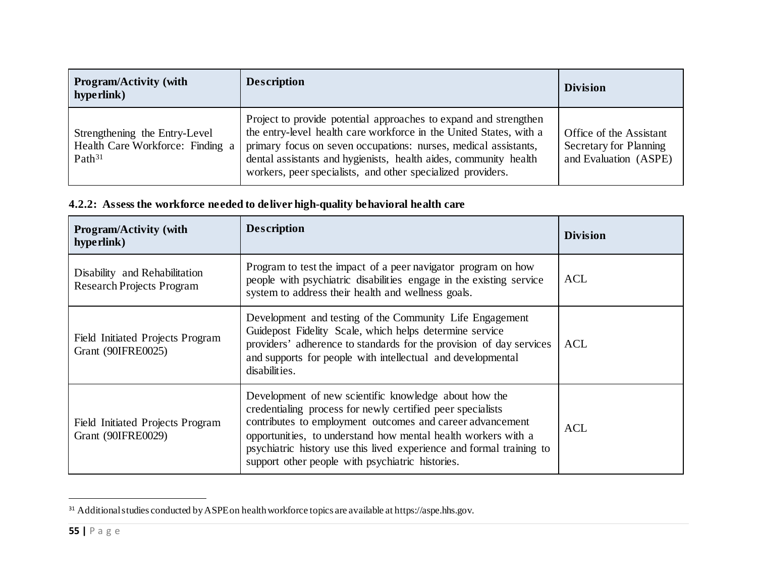<span id="page-54-0"></span>

| <b>Program/Activity (with</b><br>hype rlink)                                            | <b>Description</b>                                                                                                                                                                                                                                                                                                                           | <b>Division</b>                                                            |
|-----------------------------------------------------------------------------------------|----------------------------------------------------------------------------------------------------------------------------------------------------------------------------------------------------------------------------------------------------------------------------------------------------------------------------------------------|----------------------------------------------------------------------------|
| Strengthening the Entry-Level<br>Health Care Workforce: Finding a<br>Path <sup>31</sup> | Project to provide potential approaches to expand and strengthen<br>the entry-level health care workforce in the United States, with a<br>primary focus on seven occupations: nurses, medical assistants,<br>dental assistants and hygienists, health aides, community health<br>workers, peer specialists, and other specialized providers. | Office of the Assistant<br>Secretary for Planning<br>and Evaluation (ASPE) |

## **4.2.2: Assess the workforce needed to deliver high-quality behavioral health care**

| <b>Program/Activity (with</b><br>hype rlink)                                                                                                                                                                                                                                                                                                                                                                                            | <b>Description</b>                                                                                                                                                                                                                                                         | <b>Division</b> |  |
|-----------------------------------------------------------------------------------------------------------------------------------------------------------------------------------------------------------------------------------------------------------------------------------------------------------------------------------------------------------------------------------------------------------------------------------------|----------------------------------------------------------------------------------------------------------------------------------------------------------------------------------------------------------------------------------------------------------------------------|-----------------|--|
| Disability and Rehabilitation<br><b>Research Projects Program</b>                                                                                                                                                                                                                                                                                                                                                                       | Program to test the impact of a peer navigator program on how<br>people with psychiatric disabilities engage in the existing service<br>system to address their health and wellness goals.                                                                                 | ACL             |  |
| <b>Field Initiated Projects Program</b><br>Grant (90IFRE0025)                                                                                                                                                                                                                                                                                                                                                                           | Development and testing of the Community Life Engagement<br>Guidepost Fidelity Scale, which helps determine service<br>providers' adherence to standards for the provision of day services<br>and supports for people with intellectual and developmental<br>disabilities. | ACL             |  |
| Development of new scientific knowledge about how the<br>credentialing process for newly certified peer specialists<br>contributes to employment outcomes and career advancement<br>Field Initiated Projects Program<br>Grant (90IFRE0029)<br>opportunities, to understand how mental health workers with a<br>psychiatric history use this lived experience and formal training to<br>support other people with psychiatric histories. |                                                                                                                                                                                                                                                                            | <b>ACL</b>      |  |

 $31$  Additional studies conducted by ASPE on health workforce topics are available at https://aspe.hhs.gov.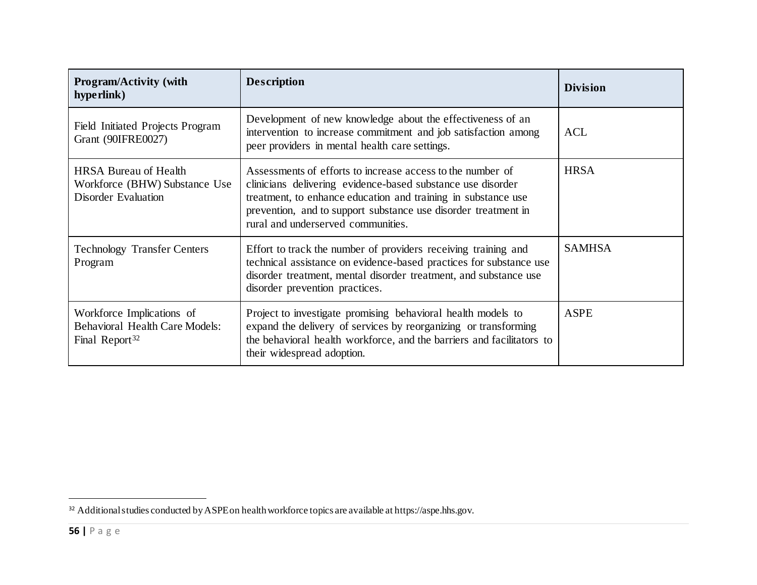<span id="page-55-0"></span>

| <b>Program/Activity (with</b><br>hyperlink)                                                      | <b>Description</b>                                                                                                                                                                                                                                                                                 | <b>Division</b> |
|--------------------------------------------------------------------------------------------------|----------------------------------------------------------------------------------------------------------------------------------------------------------------------------------------------------------------------------------------------------------------------------------------------------|-----------------|
| <b>Field Initiated Projects Program</b><br>Grant (90IFRE0027)                                    | Development of new knowledge about the effectiveness of an<br>intervention to increase commitment and job satisfaction among<br>peer providers in mental health care settings.                                                                                                                     | <b>ACL</b>      |
| <b>HRSA Bureau of Health</b><br>Workforce (BHW) Substance Use<br><b>Disorder Evaluation</b>      | Assessments of efforts to increase access to the number of<br>clinicians delivering evidence-based substance use disorder<br>treatment, to enhance education and training in substance use<br>prevention, and to support substance use disorder treatment in<br>rural and underserved communities. | <b>HRSA</b>     |
| <b>Technology Transfer Centers</b><br>Program                                                    | Effort to track the number of providers receiving training and<br>technical assistance on evidence-based practices for substance use<br>disorder treatment, mental disorder treatment, and substance use<br>disorder prevention practices.                                                         | <b>SAMHSA</b>   |
| Workforce Implications of<br><b>Behavioral Health Care Models:</b><br>Final Report <sup>32</sup> | Project to investigate promising behavioral health models to<br>expand the delivery of services by reorganizing or transforming<br>the behavioral health workforce, and the barriers and facilitators to<br>their widespread adoption.                                                             | <b>ASPE</b>     |

<sup>&</sup>lt;sup>32</sup> Additional studies conducted by ASPE on health workforce topics are available at https://aspe.hhs.gov.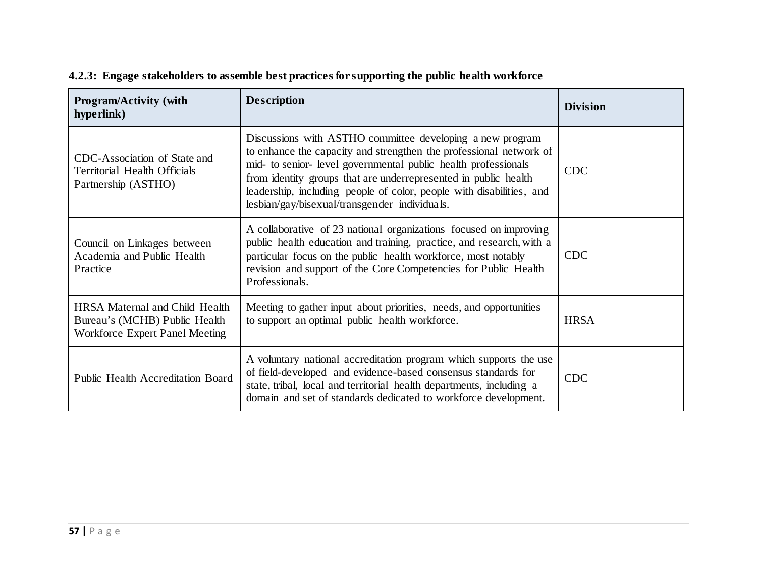| <b>Program/Activity (with</b><br>hyperlink)                                                       | <b>Description</b>                                                                                                                                                                                                                                                                                                                                                                            | <b>Division</b> |
|---------------------------------------------------------------------------------------------------|-----------------------------------------------------------------------------------------------------------------------------------------------------------------------------------------------------------------------------------------------------------------------------------------------------------------------------------------------------------------------------------------------|-----------------|
| CDC-Association of State and<br>Territorial Health Officials<br>Partnership (ASTHO)               | Discussions with ASTHO committee developing a new program<br>to enhance the capacity and strengthen the professional network of<br>mid- to senior- level governmental public health professionals<br>from identity groups that are underrepresented in public health<br>leadership, including people of color, people with disabilities, and<br>lesbian/gay/bisexual/transgender individuals. | <b>CDC</b>      |
| Council on Linkages between<br>Academia and Public Health<br>Practice                             | A collaborative of 23 national organizations focused on improving<br>public health education and training, practice, and research, with a<br>particular focus on the public health workforce, most notably<br>revision and support of the Core Competencies for Public Health<br>Professionals.                                                                                               | <b>CDC</b>      |
| HRSA Maternal and Child Health<br>Bureau's (MCHB) Public Health<br>Workforce Expert Panel Meeting | Meeting to gather input about priorities, needs, and opportunities<br>to support an optimal public health workforce.                                                                                                                                                                                                                                                                          | <b>HRSA</b>     |
| <b>Public Health Accreditation Board</b>                                                          | A voluntary national accreditation program which supports the use<br>of field-developed and evidence-based consensus standards for<br>state, tribal, local and territorial health departments, including a<br>domain and set of standards dedicated to workforce development.                                                                                                                 |                 |

## **4.2.3: Engage stakeholders to assemble best practices for supporting the public health workforce**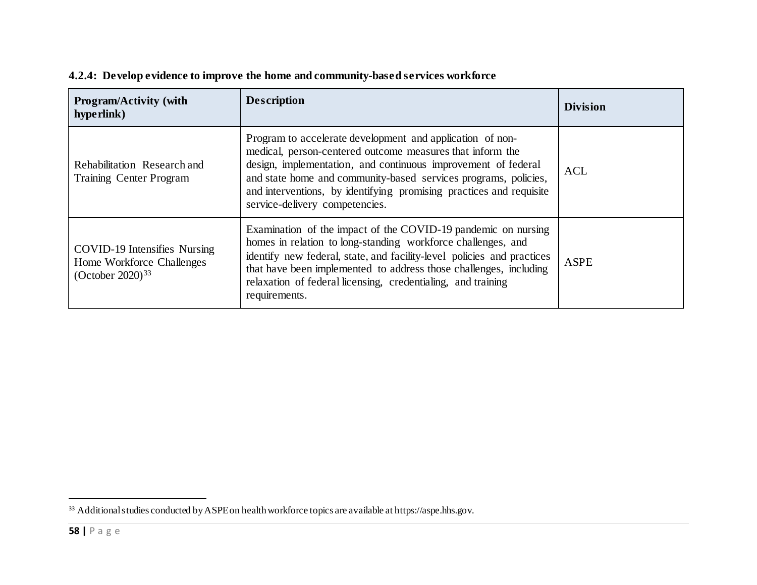| <b>Program/Activity (with</b><br>hyperlink)                                                      | <b>Description</b>                                                                                                                                                                                                                                                                                                                                                  | <b>Division</b> |
|--------------------------------------------------------------------------------------------------|---------------------------------------------------------------------------------------------------------------------------------------------------------------------------------------------------------------------------------------------------------------------------------------------------------------------------------------------------------------------|-----------------|
| Rehabilitation Research and<br><b>Training Center Program</b>                                    | Program to accelerate development and application of non-<br>medical, person-centered outcome measures that inform the<br>design, implementation, and continuous improvement of federal<br>and state home and community-based services programs, policies,<br>and interventions, by identifying promising practices and requisite<br>service-delivery competencies. | <b>ACL</b>      |
| <b>COVID-19 Intensifies Nursing</b><br>Home Workforce Challenges<br>(October 2020) <sup>33</sup> | Examination of the impact of the COVID-19 pandemic on nursing<br>homes in relation to long-standing workforce challenges, and<br>identify new federal, state, and facility-level policies and practices<br>that have been implemented to address those challenges, including<br>relaxation of federal licensing, credentialing, and training<br>requirements.       | <b>ASPE</b>     |

## <span id="page-57-0"></span>**4.2.4: Develop evidence to improve the home and community-based services workforce**

<sup>33</sup> Additional studies conducted by ASPE on health workforce topics are available at https://aspe.hhs.gov.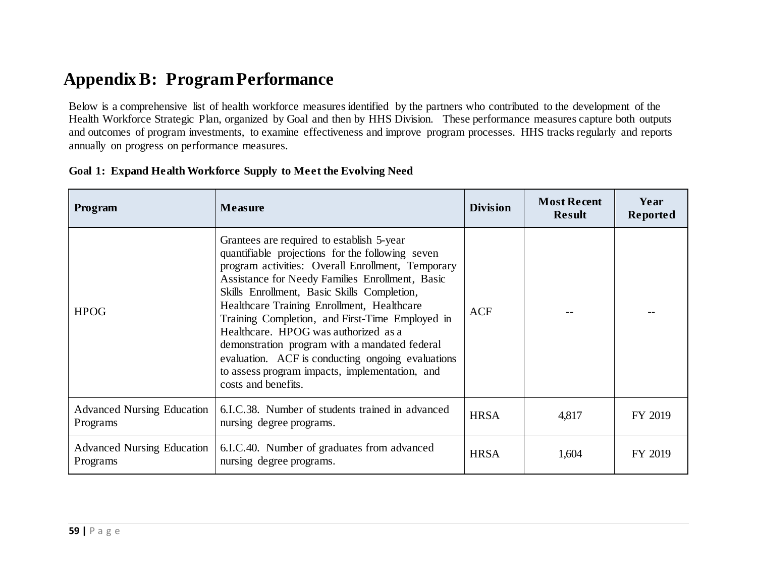# **Appendix B: Program Performance**

Below is a comprehensive list of health workforce measures identified by the partners who contributed to the development of the Health Workforce Strategic Plan, organized by Goal and then by HHS Division. These performance measures capture both outputs and outcomes of program investments, to examine effectiveness and improve program processes. HHS tracks regularly and reports annually on progress on performance measures.

| Program                                       | <b>Measure</b>                                                                                                                                                                                                                                                                                                                                                                                                                                                                                                                                                               | <b>Division</b> | <b>Most Recent</b><br><b>Result</b> | Year<br>Reported |
|-----------------------------------------------|------------------------------------------------------------------------------------------------------------------------------------------------------------------------------------------------------------------------------------------------------------------------------------------------------------------------------------------------------------------------------------------------------------------------------------------------------------------------------------------------------------------------------------------------------------------------------|-----------------|-------------------------------------|------------------|
| <b>HPOG</b>                                   | Grantees are required to establish 5-year<br>quantifiable projections for the following seven<br>program activities: Overall Enrollment, Temporary<br>Assistance for Needy Families Enrollment, Basic<br>Skills Enrollment, Basic Skills Completion,<br>Healthcare Training Enrollment, Healthcare<br>Training Completion, and First-Time Employed in<br>Healthcare. HPOG was authorized as a<br>demonstration program with a mandated federal<br>evaluation. ACF is conducting ongoing evaluations<br>to assess program impacts, implementation, and<br>costs and benefits. | <b>ACF</b>      |                                     |                  |
| <b>Advanced Nursing Education</b><br>Programs | 6.I.C.38. Number of students trained in advanced<br>nursing degree programs.                                                                                                                                                                                                                                                                                                                                                                                                                                                                                                 | <b>HRSA</b>     | 4,817                               | FY 2019          |
| <b>Advanced Nursing Education</b><br>Programs | 6.I.C.40. Number of graduates from advanced<br>nursing degree programs.                                                                                                                                                                                                                                                                                                                                                                                                                                                                                                      | <b>HRSA</b>     | 1,604                               | FY 2019          |

#### **Goal 1: Expand Health Workforce Supply to Meet the Evolving Need**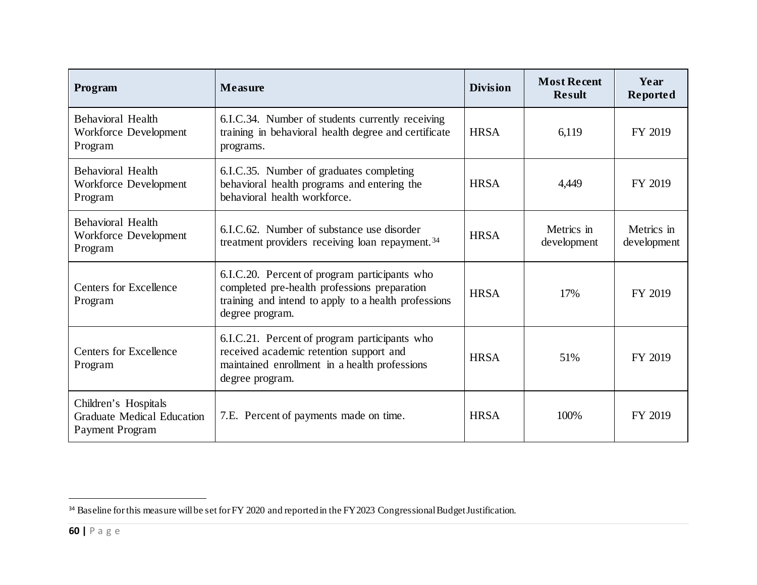<span id="page-59-0"></span>

| Program                                                                             | <b>Measure</b>                                                                                                                                                           | <b>Division</b> | <b>Most Recent</b><br><b>Result</b> | Year<br>Reported          |
|-------------------------------------------------------------------------------------|--------------------------------------------------------------------------------------------------------------------------------------------------------------------------|-----------------|-------------------------------------|---------------------------|
| Behavioral Health<br>Workforce Development<br>Program                               | 6.I.C.34. Number of students currently receiving<br>training in behavioral health degree and certificate<br>programs.                                                    | <b>HRSA</b>     | 6,119                               | FY 2019                   |
| <b>Behavioral Health</b><br>Workforce Development<br>Program                        | 6.I.C.35. Number of graduates completing<br>behavioral health programs and entering the<br>behavioral health workforce.                                                  | <b>HRSA</b>     | 4,449                               | FY 2019                   |
| Behavioral Health<br>Workforce Development<br>Program                               | 6.I.C.62. Number of substance use disorder<br>treatment providers receiving loan repayment. <sup>34</sup>                                                                | <b>HRSA</b>     | Metrics in<br>development           | Metrics in<br>development |
| <b>Centers for Excellence</b><br>Program                                            | 6.I.C.20. Percent of program participants who<br>completed pre-health professions preparation<br>training and intend to apply to a health professions<br>degree program. | <b>HRSA</b>     | 17%                                 | FY 2019                   |
| <b>Centers for Excellence</b><br>Program                                            | 6.I.C.21. Percent of program participants who<br>received academic retention support and<br>maintained enrollment in a health professions<br>degree program.             | <b>HRSA</b>     | 51%                                 | FY 2019                   |
| Children's Hospitals<br><b>Graduate Medical Education</b><br><b>Payment Program</b> | 7.E. Percent of payments made on time.                                                                                                                                   | <b>HRSA</b>     | 100%                                | FY 2019                   |

<sup>&</sup>lt;sup>34</sup> Baseline for this measure will be set for FY 2020 and reported in the FY 2023 Congressional Budget Justification.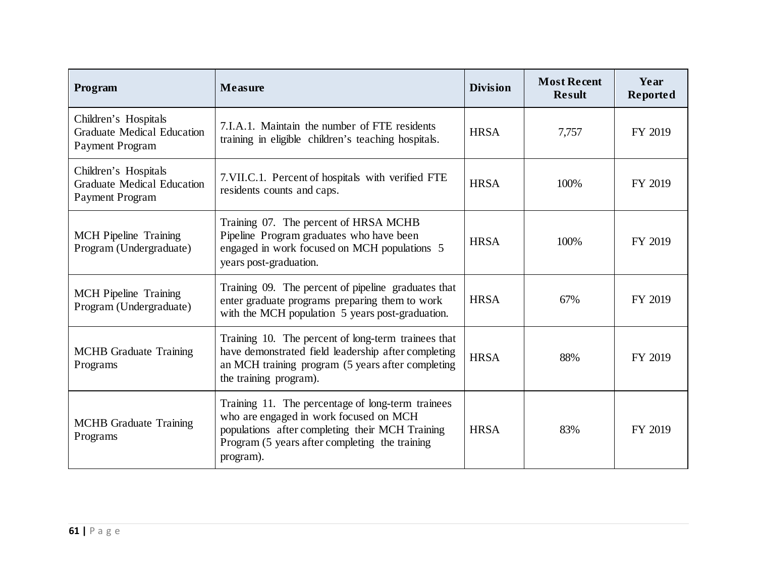| Program                                                                             | <b>Measure</b>                                                                                                                                                                                                | <b>Division</b> | <b>Most Recent</b><br><b>Result</b> | Year<br>Reported |
|-------------------------------------------------------------------------------------|---------------------------------------------------------------------------------------------------------------------------------------------------------------------------------------------------------------|-----------------|-------------------------------------|------------------|
| Children's Hospitals<br><b>Graduate Medical Education</b><br><b>Payment Program</b> | 7.I.A.1. Maintain the number of FTE residents<br>training in eligible children's teaching hospitals.                                                                                                          | <b>HRSA</b>     | 7,757                               | FY 2019          |
| Children's Hospitals<br><b>Graduate Medical Education</b><br><b>Payment Program</b> | 7. VII.C.1. Percent of hospitals with verified FTE<br>residents counts and caps.                                                                                                                              | <b>HRSA</b>     | 100%                                | FY 2019          |
| <b>MCH</b> Pipeline Training<br>Program (Undergraduate)                             | Training 07. The percent of HRSA MCHB<br>Pipeline Program graduates who have been<br>engaged in work focused on MCH populations 5<br>years post-graduation.                                                   | <b>HRSA</b>     | 100%                                | FY 2019          |
| <b>MCH</b> Pipeline Training<br>Program (Undergraduate)                             | Training 09. The percent of pipeline graduates that<br>enter graduate programs preparing them to work<br>with the MCH population 5 years post-graduation.                                                     | <b>HRSA</b>     | 67%                                 | FY 2019          |
| <b>MCHB</b> Graduate Training<br>Programs                                           | Training 10. The percent of long-term trainees that<br>have demonstrated field leadership after completing<br>an MCH training program (5 years after completing<br>the training program).                     | <b>HRSA</b>     | 88%                                 | FY 2019          |
| <b>MCHB</b> Graduate Training<br>Programs                                           | Training 11. The percentage of long-term trainees<br>who are engaged in work focused on MCH<br>populations after completing their MCH Training<br>Program (5 years after completing the training<br>program). | <b>HRSA</b>     | 83%                                 | FY 2019          |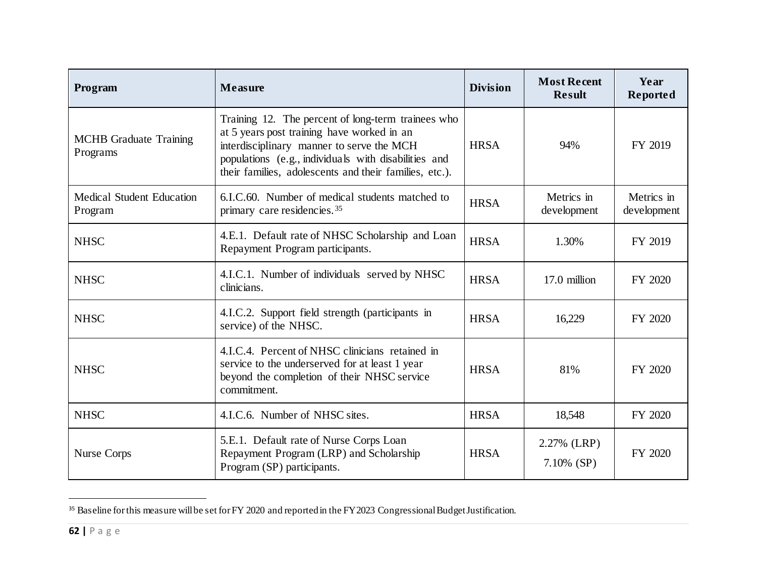<span id="page-61-0"></span>

| Program                                     | <b>Measure</b>                                                                                                                                                                                                                                                  | <b>Division</b> | <b>Most Recent</b><br><b>Result</b> | Year<br>Reported          |
|---------------------------------------------|-----------------------------------------------------------------------------------------------------------------------------------------------------------------------------------------------------------------------------------------------------------------|-----------------|-------------------------------------|---------------------------|
| <b>MCHB</b> Graduate Training<br>Programs   | Training 12. The percent of long-term trainees who<br>at 5 years post training have worked in an<br>interdisciplinary manner to serve the MCH<br>populations (e.g., individuals with disabilities and<br>their families, adolescents and their families, etc.). | <b>HRSA</b>     | 94%                                 | FY 2019                   |
| <b>Medical Student Education</b><br>Program | 6.I.C.60. Number of medical students matched to<br>primary care residencies. <sup>35</sup>                                                                                                                                                                      | <b>HRSA</b>     | Metrics in<br>development           | Metrics in<br>development |
| <b>NHSC</b>                                 | 4.E.1. Default rate of NHSC Scholarship and Loan<br>Repayment Program participants.                                                                                                                                                                             | <b>HRSA</b>     | 1.30%                               | FY 2019                   |
| <b>NHSC</b>                                 | 4.I.C.1. Number of individuals served by NHSC<br>clinicians.                                                                                                                                                                                                    | <b>HRSA</b>     | 17.0 million                        | FY 2020                   |
| <b>NHSC</b>                                 | 4.I.C.2. Support field strength (participants in<br>service) of the NHSC.                                                                                                                                                                                       | <b>HRSA</b>     | 16,229                              | FY 2020                   |
| <b>NHSC</b>                                 | 4.I.C.4. Percent of NHSC clinicians retained in<br>service to the underserved for at least 1 year<br>beyond the completion of their NHSC service<br>commitment.                                                                                                 | <b>HRSA</b>     | 81%                                 | FY 2020                   |
| <b>NHSC</b>                                 | 4.I.C.6. Number of NHSC sites.                                                                                                                                                                                                                                  | <b>HRSA</b>     | 18,548                              | FY 2020                   |
| Nurse Corps                                 | 5.E.1. Default rate of Nurse Corps Loan<br>Repayment Program (LRP) and Scholarship<br>Program (SP) participants.                                                                                                                                                | <b>HRSA</b>     | 2.27% (LRP)<br>$7.10\%$ (SP)        | FY 2020                   |

<sup>&</sup>lt;sup>35</sup> Baseline for this measure will be set for FY 2020 and reported in the FY 2023 Congressional Budget Justification.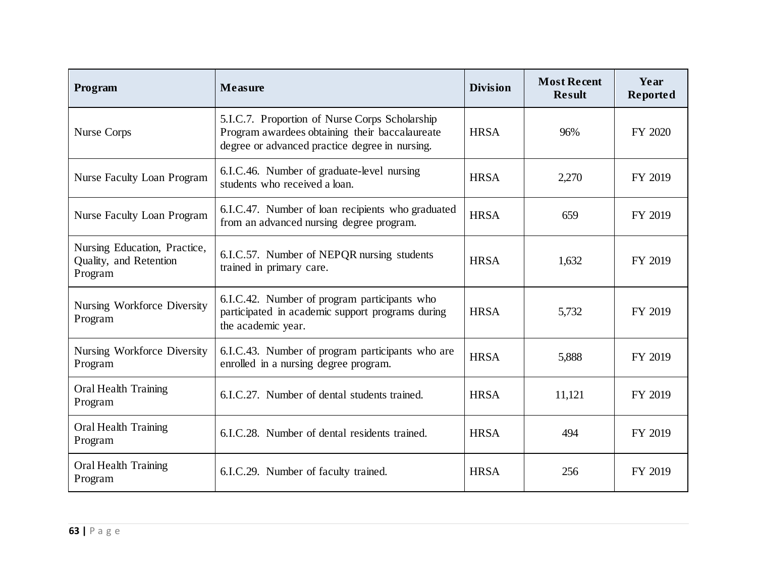| Program                                                           | <b>Measure</b>                                                                                                                                     | <b>Division</b> | <b>Most Recent</b><br><b>Result</b> | Year<br>Reported |
|-------------------------------------------------------------------|----------------------------------------------------------------------------------------------------------------------------------------------------|-----------------|-------------------------------------|------------------|
| <b>Nurse Corps</b>                                                | 5.I.C.7. Proportion of Nurse Corps Scholarship<br>Program awardees obtaining their baccalaureate<br>degree or advanced practice degree in nursing. | <b>HRSA</b>     | 96%                                 | FY 2020          |
| <b>Nurse Faculty Loan Program</b>                                 | 6.I.C.46. Number of graduate-level nursing<br>students who received a loan.                                                                        | <b>HRSA</b>     | 2,270                               | FY 2019          |
| <b>Nurse Faculty Loan Program</b>                                 | 6.I.C.47. Number of loan recipients who graduated<br>from an advanced nursing degree program.                                                      | <b>HRSA</b>     | 659                                 | FY 2019          |
| Nursing Education, Practice,<br>Quality, and Retention<br>Program | 6.I.C.57. Number of NEPQR nursing students<br>trained in primary care.                                                                             | <b>HRSA</b>     | 1,632                               | FY 2019          |
| Nursing Workforce Diversity<br>Program                            | 6.I.C.42. Number of program participants who<br>participated in academic support programs during<br>the academic year.                             | <b>HRSA</b>     | 5,732                               | FY 2019          |
| Nursing Workforce Diversity<br>Program                            | 6.I.C.43. Number of program participants who are<br>enrolled in a nursing degree program.                                                          | <b>HRSA</b>     | 5,888                               | FY 2019          |
| <b>Oral Health Training</b><br>Program                            | 6.I.C.27. Number of dental students trained.                                                                                                       | <b>HRSA</b>     | 11,121                              | FY 2019          |
| <b>Oral Health Training</b><br>Program                            | 6.I.C.28. Number of dental residents trained.                                                                                                      | <b>HRSA</b>     | 494                                 | FY 2019          |
| <b>Oral Health Training</b><br>Program                            | 6.I.C.29. Number of faculty trained.                                                                                                               | <b>HRSA</b>     | 256                                 | FY 2019          |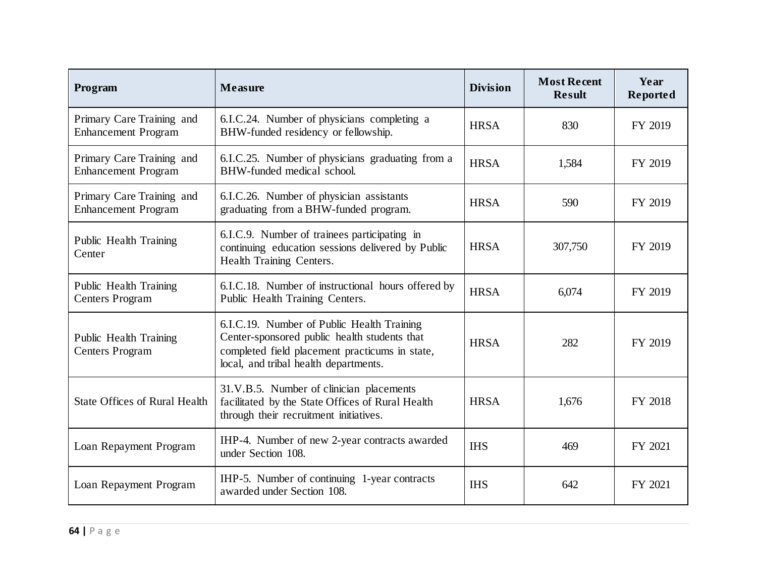| Program                                                 | <b>Measure</b>                                                                                                                                                                        | <b>Division</b> | <b>Most Recent</b><br><b>Result</b> | Year<br>Reported |
|---------------------------------------------------------|---------------------------------------------------------------------------------------------------------------------------------------------------------------------------------------|-----------------|-------------------------------------|------------------|
| Primary Care Training and<br><b>Enhancement Program</b> | 6.I.C.24. Number of physicians completing a<br>BHW-funded residency or fellowship.                                                                                                    | <b>HRSA</b>     | 830                                 | FY 2019          |
| Primary Care Training and<br><b>Enhancement Program</b> | 6.I.C.25. Number of physicians graduating from a<br>BHW-funded medical school.                                                                                                        | <b>HRSA</b>     | 1,584                               | FY 2019          |
| Primary Care Training and<br><b>Enhancement Program</b> | 6.I.C.26. Number of physician assistants<br>graduating from a BHW-funded program.                                                                                                     | <b>HRSA</b>     | 590                                 | FY 2019          |
| Public Health Training<br>Center                        | 6.I.C.9. Number of trainees participating in<br>continuing education sessions delivered by Public<br>Health Training Centers.                                                         | <b>HRSA</b>     | 307,750                             | FY 2019          |
| Public Health Training<br><b>Centers Program</b>        | 6.I.C.18. Number of instructional hours offered by<br>Public Health Training Centers.                                                                                                 | <b>HRSA</b>     | 6,074                               | FY 2019          |
| Public Health Training<br><b>Centers Program</b>        | 6.I.C.19. Number of Public Health Training<br>Center-sponsored public health students that<br>completed field placement practicums in state,<br>local, and tribal health departments. | <b>HRSA</b>     | 282                                 | FY 2019          |
| <b>State Offices of Rural Health</b>                    | 31.V.B.5. Number of clinician placements<br>facilitated by the State Offices of Rural Health<br>through their recruitment initiatives.                                                | <b>HRSA</b>     | 1,676                               | FY 2018          |
| Loan Repayment Program                                  | IHP-4. Number of new 2-year contracts awarded<br>under Section 108.                                                                                                                   | <b>IHS</b>      | 469                                 | FY 2021          |
| Loan Repayment Program                                  | IHP-5. Number of continuing 1-year contracts<br>awarded under Section 108.                                                                                                            | <b>IHS</b>      | 642                                 | FY 2021          |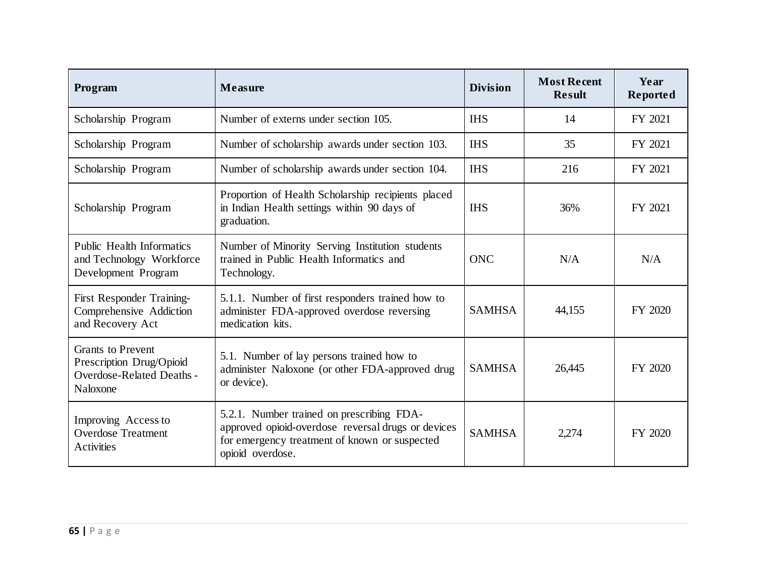| Program                                                                                              | Measure                                                                                                                                                              | <b>Division</b> | <b>Most Recent</b><br><b>Result</b> | Year<br>Reported |
|------------------------------------------------------------------------------------------------------|----------------------------------------------------------------------------------------------------------------------------------------------------------------------|-----------------|-------------------------------------|------------------|
| Scholarship Program                                                                                  | Number of externs under section 105.                                                                                                                                 | <b>IHS</b>      | 14                                  | FY 2021          |
| Scholarship Program                                                                                  | Number of scholarship awards under section 103.                                                                                                                      | <b>IHS</b>      | 35                                  | FY 2021          |
| Scholarship Program                                                                                  | Number of scholarship awards under section 104.                                                                                                                      | <b>IHS</b>      | 216                                 | FY 2021          |
| Scholarship Program                                                                                  | Proportion of Health Scholarship recipients placed<br>in Indian Health settings within 90 days of<br>graduation.                                                     | <b>IHS</b>      | 36%                                 | FY 2021          |
| <b>Public Health Informatics</b><br>and Technology Workforce<br>Development Program                  | Number of Minority Serving Institution students<br>trained in Public Health Informatics and<br>Technology.                                                           | <b>ONC</b>      | N/A                                 | N/A              |
| First Responder Training-<br>Comprehensive Addiction<br>and Recovery Act                             | 5.1.1. Number of first responders trained how to<br>administer FDA-approved overdose reversing<br>medication kits.                                                   | <b>SAMHSA</b>   | 44,155                              | FY 2020          |
| <b>Grants to Prevent</b><br>Prescription Drug/Opioid<br><b>Overdose-Related Deaths -</b><br>Naloxone | 5.1. Number of lay persons trained how to<br>administer Naloxone (or other FDA-approved drug<br>or device).                                                          | <b>SAMHSA</b>   | 26,445                              | FY 2020          |
| Improving Access to<br><b>Overdose Treatment</b><br>Activities                                       | 5.2.1. Number trained on prescribing FDA-<br>approved opioid-overdose reversal drugs or devices<br>for emergency treatment of known or suspected<br>opioid overdose. | <b>SAMHSA</b>   | 2,274                               | FY 2020          |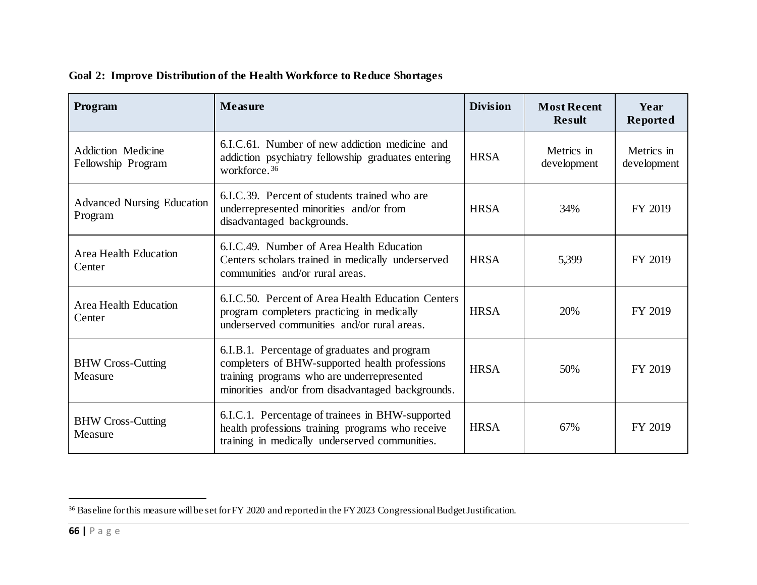| Program                                         | <b>Measure</b>                                                                                                                                                                                    | <b>Division</b> | <b>Most Recent</b><br><b>Result</b> | Year<br>Reported          |
|-------------------------------------------------|---------------------------------------------------------------------------------------------------------------------------------------------------------------------------------------------------|-----------------|-------------------------------------|---------------------------|
| <b>Addiction Medicine</b><br>Fellowship Program | 6.I.C.61. Number of new addiction medicine and<br>addiction psychiatry fellowship graduates entering<br>workforce. <sup>36</sup>                                                                  | <b>HRSA</b>     | Metrics in<br>development           | Metrics in<br>development |
| <b>Advanced Nursing Education</b><br>Program    | 6.I.C.39. Percent of students trained who are<br>underrepresented minorities and/or from<br>disadvantaged backgrounds.                                                                            | <b>HRSA</b>     | 34%                                 | FY 2019                   |
| Area Health Education<br>Center                 | 6.I.C.49. Number of Area Health Education<br>Centers scholars trained in medically underserved<br>communities and/or rural areas.                                                                 | <b>HRSA</b>     | 5,399                               | FY 2019                   |
| Area Health Education<br>Center                 | 6.I.C.50. Percent of Area Health Education Centers<br>program completers practicing in medically<br>underserved communities and/or rural areas.                                                   | <b>HRSA</b>     | 20%                                 | FY 2019                   |
| <b>BHW Cross-Cutting</b><br>Measure             | 6.I.B.1. Percentage of graduates and program<br>completers of BHW-supported health professions<br>training programs who are underrepresented<br>minorities and/or from disadvantaged backgrounds. | <b>HRSA</b>     | 50%                                 | FY 2019                   |
| <b>BHW Cross-Cutting</b><br>Measure             | 6.I.C.1. Percentage of trainees in BHW-supported<br>health professions training programs who receive<br>training in medically underserved communities.                                            | <b>HRSA</b>     | 67%                                 | FY 2019                   |

<span id="page-65-0"></span>

|  |  | Goal 2: Improve Distribution of the Health Workforce to Reduce Shortages |  |  |  |  |  |
|--|--|--------------------------------------------------------------------------|--|--|--|--|--|
|--|--|--------------------------------------------------------------------------|--|--|--|--|--|

<sup>&</sup>lt;sup>36</sup> Baseline for this measure will be set for FY 2020 and reported in the FY 2023 Congressional Budget Justification.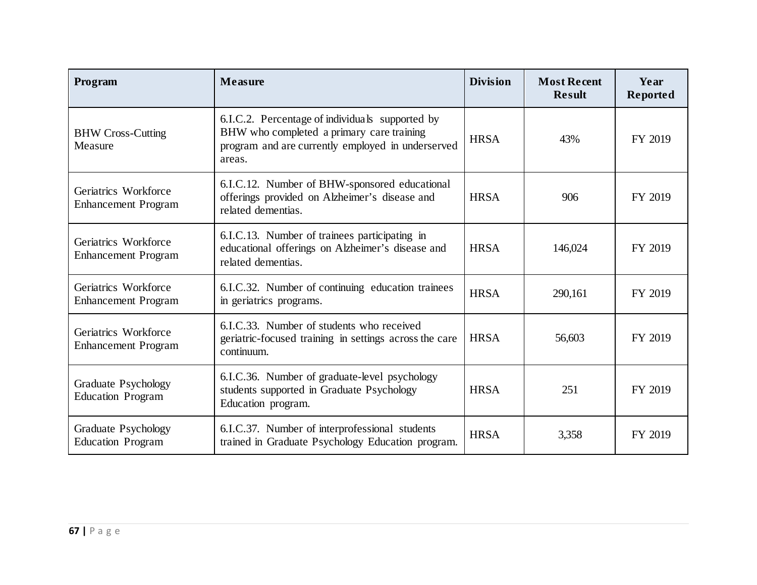| Program                                            | <b>Measure</b>                                                                                                                                              | <b>Division</b> | <b>Most Recent</b><br><b>Result</b> | Year<br>Reported |
|----------------------------------------------------|-------------------------------------------------------------------------------------------------------------------------------------------------------------|-----------------|-------------------------------------|------------------|
| <b>BHW Cross-Cutting</b><br>Measure                | 6.I.C.2. Percentage of individuals supported by<br>BHW who completed a primary care training<br>program and are currently employed in underserved<br>areas. | <b>HRSA</b>     | 43%                                 | FY 2019          |
| Geriatrics Workforce<br><b>Enhancement Program</b> | 6.I.C.12. Number of BHW-sponsored educational<br>offerings provided on Alzheimer's disease and<br>related dementias.                                        | <b>HRSA</b>     | 906                                 | FY 2019          |
| Geriatrics Workforce<br><b>Enhancement Program</b> | 6.I.C.13. Number of trainees participating in<br>educational offerings on Alzheimer's disease and<br>related dementias.                                     | <b>HRSA</b>     | 146,024                             | FY 2019          |
| Geriatrics Workforce<br><b>Enhancement Program</b> | 6.I.C.32. Number of continuing education trainees<br>in geriatrics programs.                                                                                | <b>HRSA</b>     | 290,161                             | FY 2019          |
| Geriatrics Workforce<br><b>Enhancement Program</b> | 6.I.C.33. Number of students who received<br>geriatric-focused training in settings across the care<br>continuum.                                           | <b>HRSA</b>     | 56,603                              | FY 2019          |
| Graduate Psychology<br><b>Education Program</b>    | 6.I.C.36. Number of graduate-level psychology<br>students supported in Graduate Psychology<br>Education program.                                            | <b>HRSA</b>     | 251                                 | FY 2019          |
| Graduate Psychology<br><b>Education Program</b>    | 6.I.C.37. Number of interprofessional students<br>trained in Graduate Psychology Education program.                                                         | <b>HRSA</b>     | 3,358                               | FY 2019          |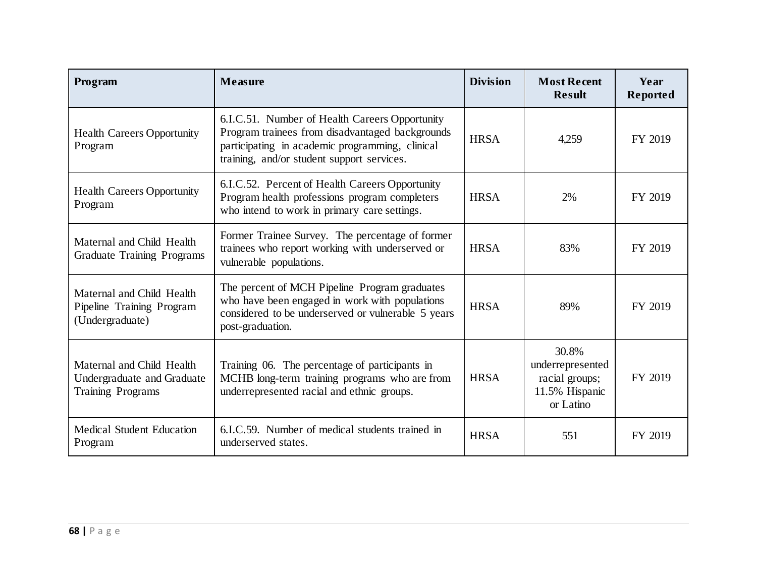| Program                                                                             | <b>Measure</b>                                                                                                                                                                                     | <b>Division</b> | <b>Most Recent</b><br><b>Result</b>                                        | Year<br>Reported |
|-------------------------------------------------------------------------------------|----------------------------------------------------------------------------------------------------------------------------------------------------------------------------------------------------|-----------------|----------------------------------------------------------------------------|------------------|
| <b>Health Careers Opportunity</b><br>Program                                        | 6.I.C.51. Number of Health Careers Opportunity<br>Program trainees from disadvantaged backgrounds<br>participating in academic programming, clinical<br>training, and/or student support services. | <b>HRSA</b>     | 4,259                                                                      | FY 2019          |
| <b>Health Careers Opportunity</b><br>Program                                        | 6.I.C.52. Percent of Health Careers Opportunity<br>Program health professions program completers<br>who intend to work in primary care settings.                                                   | <b>HRSA</b>     | 2%                                                                         | FY 2019          |
| Maternal and Child Health<br><b>Graduate Training Programs</b>                      | Former Trainee Survey. The percentage of former<br>trainees who report working with underserved or<br>vulnerable populations.                                                                      | <b>HRSA</b>     | 83%                                                                        | FY 2019          |
| Maternal and Child Health<br>Pipeline Training Program<br>(Undergraduate)           | The percent of MCH Pipeline Program graduates<br>who have been engaged in work with populations<br>considered to be underserved or vulnerable 5 years<br>post-graduation.                          | <b>HRSA</b>     | 89%                                                                        | FY 2019          |
| Maternal and Child Health<br>Undergraduate and Graduate<br><b>Training Programs</b> | Training 06. The percentage of participants in<br>MCHB long-term training programs who are from<br>underrepresented racial and ethnic groups.                                                      | <b>HRSA</b>     | 30.8%<br>underrepresented<br>racial groups;<br>11.5% Hispanic<br>or Latino | FY 2019          |
| <b>Medical Student Education</b><br>Program                                         | 6.I.C.59. Number of medical students trained in<br>underserved states.                                                                                                                             | <b>HRSA</b>     | 551                                                                        | FY 2019          |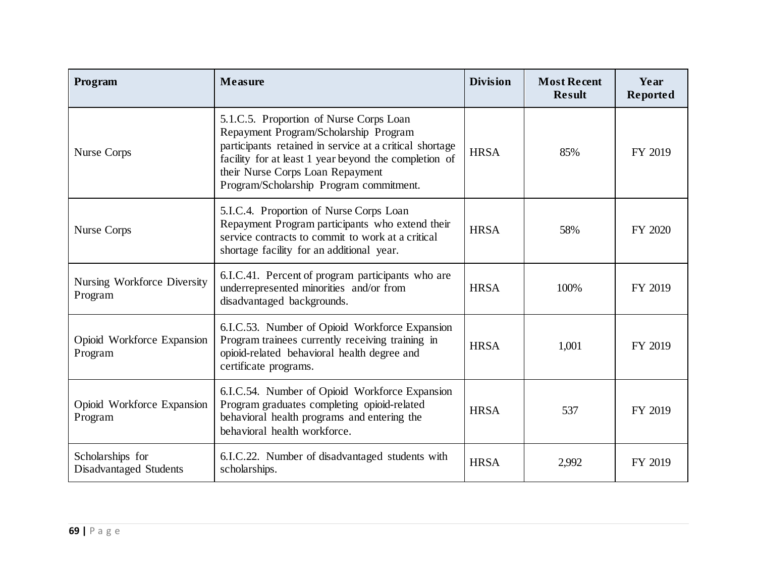| Program                                    | <b>Measure</b>                                                                                                                                                                                                                                                                      | <b>Division</b> | <b>Most Recent</b><br><b>Result</b> | Year<br>Reported |
|--------------------------------------------|-------------------------------------------------------------------------------------------------------------------------------------------------------------------------------------------------------------------------------------------------------------------------------------|-----------------|-------------------------------------|------------------|
| Nurse Corps                                | 5.1.C.5. Proportion of Nurse Corps Loan<br>Repayment Program/Scholarship Program<br>participants retained in service at a critical shortage<br>facility for at least 1 year beyond the completion of<br>their Nurse Corps Loan Repayment<br>Program/Scholarship Program commitment. | <b>HRSA</b>     | 85%                                 | FY 2019          |
| Nurse Corps                                | 5.I.C.4. Proportion of Nurse Corps Loan<br>Repayment Program participants who extend their<br>service contracts to commit to work at a critical<br>shortage facility for an additional year.                                                                                        | <b>HRSA</b>     | 58%                                 | FY 2020          |
| Nursing Workforce Diversity<br>Program     | 6.I.C.41. Percent of program participants who are<br>underrepresented minorities and/or from<br>disadvantaged backgrounds.                                                                                                                                                          | <b>HRSA</b>     | 100%                                | FY 2019          |
| Opioid Workforce Expansion<br>Program      | 6.I.C.53. Number of Opioid Workforce Expansion<br>Program trainees currently receiving training in<br>opioid-related behavioral health degree and<br>certificate programs.                                                                                                          | <b>HRSA</b>     | 1,001                               | FY 2019          |
| Opioid Workforce Expansion<br>Program      | 6.I.C.54. Number of Opioid Workforce Expansion<br>Program graduates completing opioid-related<br>behavioral health programs and entering the<br>behavioral health workforce.                                                                                                        | <b>HRSA</b>     | 537                                 | FY 2019          |
| Scholarships for<br>Disadvantaged Students | 6.I.C.22. Number of disadvantaged students with<br>scholarships.                                                                                                                                                                                                                    | <b>HRSA</b>     | 2,992                               | FY 2019          |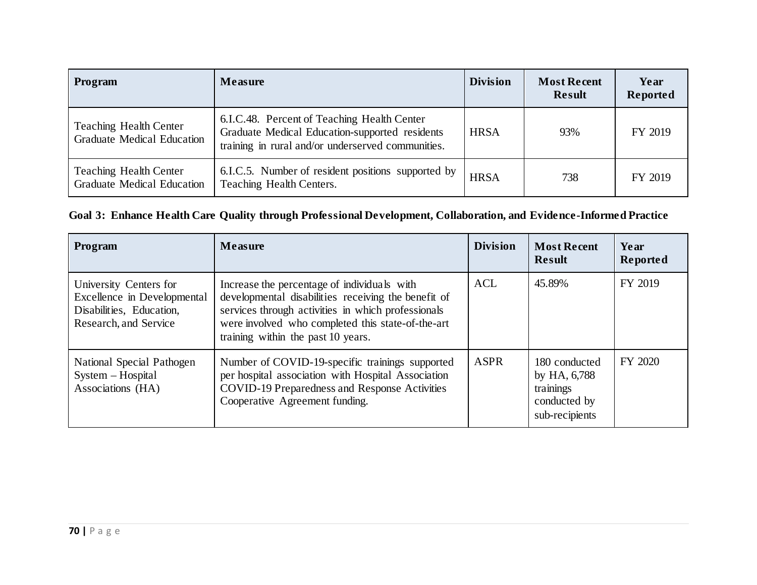| Program                                                            | <b>Measure</b>                                                                                                                                     | <b>Division</b> | <b>Most Recent</b><br><b>Result</b> | Year<br>Reported |
|--------------------------------------------------------------------|----------------------------------------------------------------------------------------------------------------------------------------------------|-----------------|-------------------------------------|------------------|
| <b>Teaching Health Center</b><br><b>Graduate Medical Education</b> | 6.I.C.48. Percent of Teaching Health Center<br>Graduate Medical Education-supported residents<br>training in rural and/or underserved communities. | <b>HRSA</b>     | 93%                                 | FY 2019          |
| <b>Teaching Health Center</b><br><b>Graduate Medical Education</b> | 6.I.C.5. Number of resident positions supported by<br>Teaching Health Centers.                                                                     | <b>HRSA</b>     | 738                                 | FY 2019          |

## **Goal 3: Enhance Health Care Quality through Professional Development, Collaboration, and Evidence-Informed Practice**

| Program                                                                                                    | <b>Measure</b>                                                                                                                                                                                                                                      | <b>Division</b> | <b>Most Recent</b><br><b>Result</b>                                          | Year<br>Reported |
|------------------------------------------------------------------------------------------------------------|-----------------------------------------------------------------------------------------------------------------------------------------------------------------------------------------------------------------------------------------------------|-----------------|------------------------------------------------------------------------------|------------------|
| University Centers for<br>Excellence in Developmental<br>Disabilities, Education,<br>Research, and Service | Increase the percentage of individuals with<br>developmental disabilities receiving the benefit of<br>services through activities in which professionals<br>were involved who completed this state-of-the-art<br>training within the past 10 years. | <b>ACL</b>      | 45.89%                                                                       | FY 2019          |
| National Special Pathogen<br>System - Hospital<br>Associations (HA)                                        | Number of COVID-19-specific trainings supported<br>per hospital association with Hospital Association<br>COVID-19 Preparedness and Response Activities<br>Cooperative Agreement funding.                                                            | <b>ASPR</b>     | 180 conducted<br>by HA, 6,788<br>trainings<br>conducted by<br>sub-recipients | FY 2020          |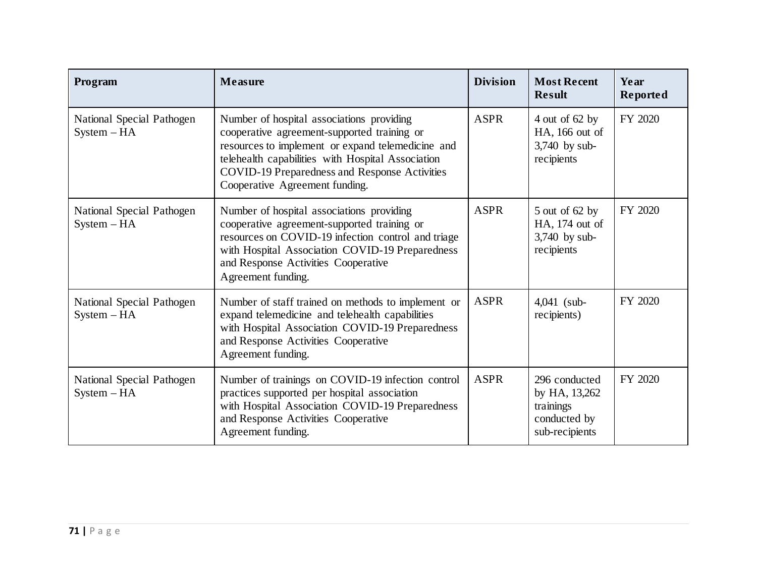| Program                                    | <b>Measure</b>                                                                                                                                                                                                                                                                               | <b>Division</b> | <b>Most Recent</b><br><b>Result</b>                                           | Year<br>Reported |
|--------------------------------------------|----------------------------------------------------------------------------------------------------------------------------------------------------------------------------------------------------------------------------------------------------------------------------------------------|-----------------|-------------------------------------------------------------------------------|------------------|
| National Special Pathogen<br>$System - HA$ | Number of hospital associations providing<br>cooperative agreement-supported training or<br>resources to implement or expand telemedicine and<br>telehealth capabilities with Hospital Association<br><b>COVID-19 Preparedness and Response Activities</b><br>Cooperative Agreement funding. | <b>ASPR</b>     | 4 out of $62$ by<br>HA, 166 out of<br>$3,740$ by sub-<br>recipients           | FY 2020          |
| National Special Pathogen<br>$System - HA$ | Number of hospital associations providing<br>cooperative agreement-supported training or<br>resources on COVID-19 infection control and triage<br>with Hospital Association COVID-19 Preparedness<br>and Response Activities Cooperative<br>Agreement funding.                               | <b>ASPR</b>     | $5$ out of 62 by<br>HA, 174 out of<br>$3,740$ by sub-<br>recipients           | FY 2020          |
| National Special Pathogen<br>$System - HA$ | Number of staff trained on methods to implement or<br>expand telemedicine and telehealth capabilities<br>with Hospital Association COVID-19 Preparedness<br>and Response Activities Cooperative<br>Agreement funding.                                                                        | <b>ASPR</b>     | $4,041$ (sub-<br>recipients)                                                  | FY 2020          |
| National Special Pathogen<br>$System - HA$ | Number of trainings on COVID-19 infection control<br>practices supported per hospital association<br>with Hospital Association COVID-19 Preparedness<br>and Response Activities Cooperative<br>Agreement funding.                                                                            | <b>ASPR</b>     | 296 conducted<br>by HA, 13,262<br>trainings<br>conducted by<br>sub-recipients | FY 2020          |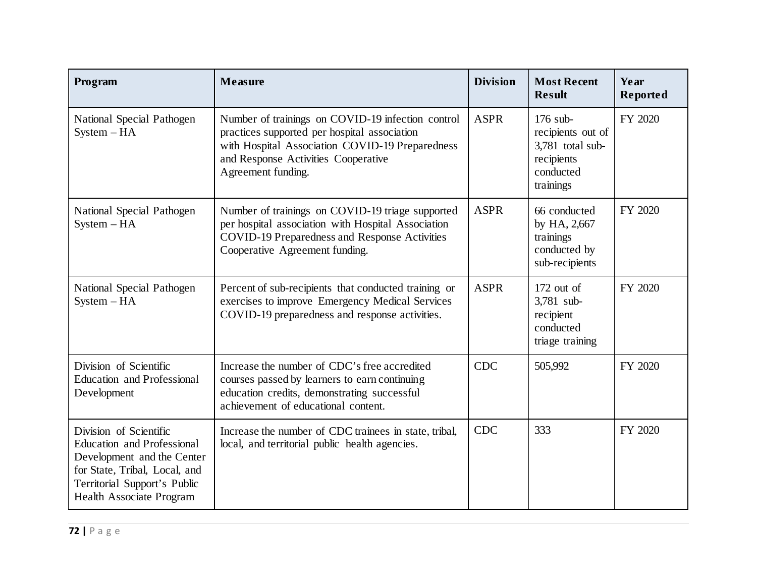| Program                                                                                                                                                                                | Measure                                                                                                                                                                                                           | <b>Division</b> | <b>Most Recent</b><br><b>Result</b>                                                         | Year<br>Reported |
|----------------------------------------------------------------------------------------------------------------------------------------------------------------------------------------|-------------------------------------------------------------------------------------------------------------------------------------------------------------------------------------------------------------------|-----------------|---------------------------------------------------------------------------------------------|------------------|
| National Special Pathogen<br>$System - HA$                                                                                                                                             | Number of trainings on COVID-19 infection control<br>practices supported per hospital association<br>with Hospital Association COVID-19 Preparedness<br>and Response Activities Cooperative<br>Agreement funding. | <b>ASPR</b>     | $176$ sub-<br>recipients out of<br>3,781 total sub-<br>recipients<br>conducted<br>trainings | FY 2020          |
| National Special Pathogen<br>$System - HA$                                                                                                                                             | Number of trainings on COVID-19 triage supported<br>per hospital association with Hospital Association<br><b>COVID-19 Preparedness and Response Activities</b><br>Cooperative Agreement funding.                  | <b>ASPR</b>     | 66 conducted<br>by HA, 2,667<br>trainings<br>conducted by<br>sub-recipients                 | FY 2020          |
| National Special Pathogen<br>$System - HA$                                                                                                                                             | Percent of sub-recipients that conducted training or<br>exercises to improve Emergency Medical Services<br>COVID-19 preparedness and response activities.                                                         | <b>ASPR</b>     | $172$ out of<br>3,781 sub-<br>recipient<br>conducted<br>triage training                     | FY 2020          |
| Division of Scientific<br><b>Education and Professional</b><br>Development                                                                                                             | Increase the number of CDC's free accredited<br>courses passed by learners to earn continuing<br>education credits, demonstrating successful<br>achievement of educational content.                               | <b>CDC</b>      | 505,992                                                                                     | FY 2020          |
| Division of Scientific<br><b>Education and Professional</b><br>Development and the Center<br>for State, Tribal, Local, and<br>Territorial Support's Public<br>Health Associate Program | Increase the number of CDC trainees in state, tribal,<br>local, and territorial public health agencies.                                                                                                           | <b>CDC</b>      | 333                                                                                         | FY 2020          |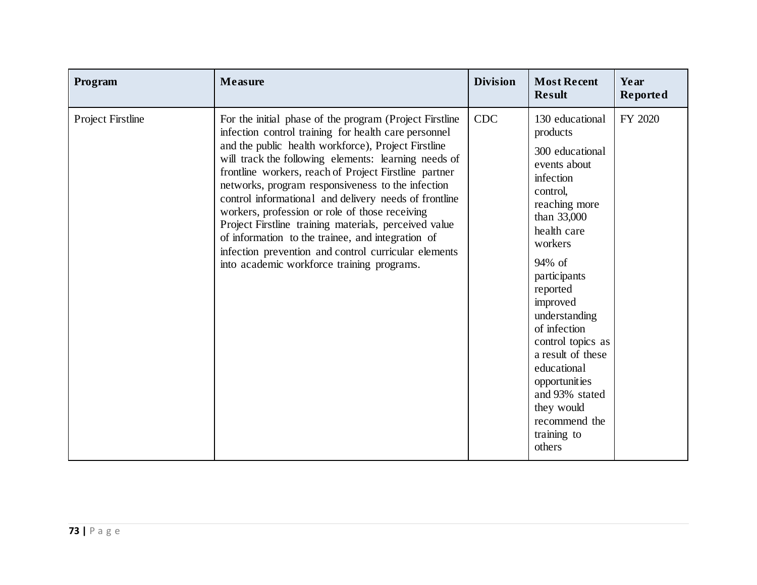| Program                  | Measure                                                                                                                                                                                                                                                                                                                                                                                                                                                                                                                                                                                                                                                                     | <b>Division</b> | <b>Most Recent</b><br><b>Result</b>                                                                                                                                                                                                                                                                                                                                                      | Year<br>Reported |
|--------------------------|-----------------------------------------------------------------------------------------------------------------------------------------------------------------------------------------------------------------------------------------------------------------------------------------------------------------------------------------------------------------------------------------------------------------------------------------------------------------------------------------------------------------------------------------------------------------------------------------------------------------------------------------------------------------------------|-----------------|------------------------------------------------------------------------------------------------------------------------------------------------------------------------------------------------------------------------------------------------------------------------------------------------------------------------------------------------------------------------------------------|------------------|
| <b>Project Firstline</b> | For the initial phase of the program (Project Firstline<br>infection control training for health care personnel<br>and the public health workforce), Project Firstline<br>will track the following elements: learning needs of<br>frontline workers, reach of Project Firstline partner<br>networks, program responsiveness to the infection<br>control informational and delivery needs of frontline<br>workers, profession or role of those receiving<br>Project Firstline training materials, perceived value<br>of information to the trainee, and integration of<br>infection prevention and control curricular elements<br>into academic workforce training programs. | <b>CDC</b>      | 130 educational<br>products<br>300 educational<br>events about<br>infection<br>control,<br>reaching more<br>than 33,000<br>health care<br>workers<br>94% of<br>participants<br>reported<br>improved<br>understanding<br>of infection<br>control topics as<br>a result of these<br>educational<br>opportunities<br>and 93% stated<br>they would<br>recommend the<br>training to<br>others | FY 2020          |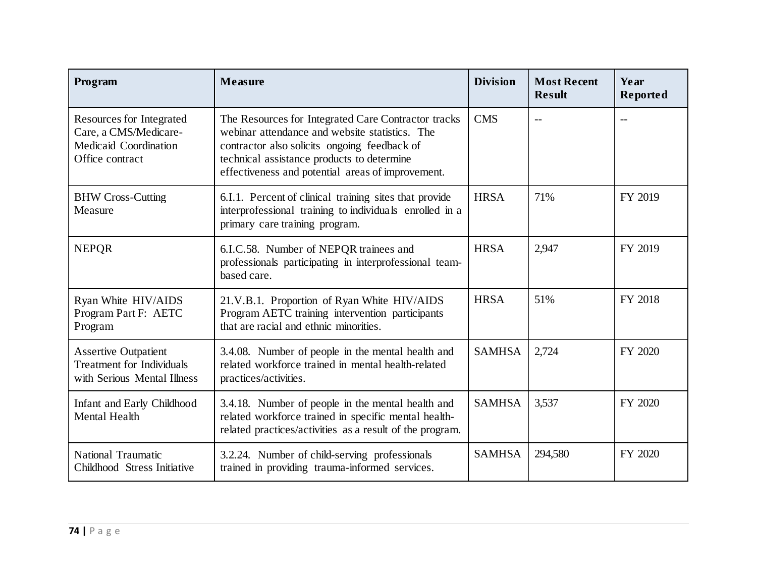| Program                                                                                        | <b>Measure</b>                                                                                                                                                                                                                                           | <b>Division</b> | <b>Most Recent</b><br><b>Result</b> | Year<br>Reported |
|------------------------------------------------------------------------------------------------|----------------------------------------------------------------------------------------------------------------------------------------------------------------------------------------------------------------------------------------------------------|-----------------|-------------------------------------|------------------|
| Resources for Integrated<br>Care, a CMS/Medicare-<br>Medicaid Coordination<br>Office contract  | The Resources for Integrated Care Contractor tracks<br>webinar attendance and website statistics. The<br>contractor also solicits ongoing feedback of<br>technical assistance products to determine<br>effectiveness and potential areas of improvement. | <b>CMS</b>      | $-$                                 |                  |
| <b>BHW Cross-Cutting</b><br>Measure                                                            | 6.I.1. Percent of clinical training sites that provide<br>interprofessional training to individuals enrolled in a<br>primary care training program.                                                                                                      | <b>HRSA</b>     | 71%                                 | FY 2019          |
| <b>NEPOR</b>                                                                                   | 6.I.C.58. Number of NEPQR trainees and<br>professionals participating in interprofessional team-<br>based care.                                                                                                                                          | <b>HRSA</b>     | 2,947                               | FY 2019          |
| Ryan White HIV/AIDS<br>Program Part F: AETC<br>Program                                         | 21.V.B.1. Proportion of Ryan White HIV/AIDS<br>Program AETC training intervention participants<br>that are racial and ethnic minorities.                                                                                                                 | <b>HRSA</b>     | 51%                                 | FY 2018          |
| <b>Assertive Outpatient</b><br><b>Treatment for Individuals</b><br>with Serious Mental Illness | 3.4.08. Number of people in the mental health and<br>related workforce trained in mental health-related<br>practices/activities.                                                                                                                         | <b>SAMHSA</b>   | 2,724                               | FY 2020          |
| Infant and Early Childhood<br>Mental Health                                                    | 3.4.18. Number of people in the mental health and<br>related workforce trained in specific mental health-<br>related practices/activities as a result of the program.                                                                                    | <b>SAMHSA</b>   | 3,537                               | FY 2020          |
| <b>National Traumatic</b><br>Childhood Stress Initiative                                       | 3.2.24. Number of child-serving professionals<br>trained in providing trauma-informed services.                                                                                                                                                          | <b>SAMHSA</b>   | 294,580                             | FY 2020          |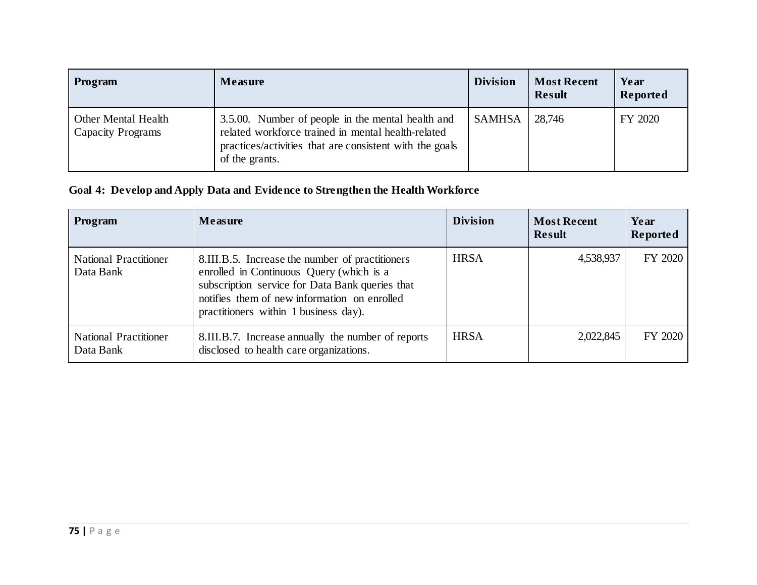| Program                                         | Measure                                                                                                                                                                              | <b>Division</b> | <b>Most Recent</b><br><b>Result</b> | Year<br>Reported |
|-------------------------------------------------|--------------------------------------------------------------------------------------------------------------------------------------------------------------------------------------|-----------------|-------------------------------------|------------------|
| Other Mental Health<br><b>Capacity Programs</b> | 3.5.00. Number of people in the mental health and<br>related workforce trained in mental health-related<br>practices/activities that are consistent with the goals<br>of the grants. | <b>SAMHSA</b>   | 28,746                              | FY 2020          |

### **Goal 4: Develop and Apply Data and Evidence to Strengthen the Health Workforce**

| Program                                   | <b>Measure</b>                                                                                                                                                                                                                          | <b>Division</b> | <b>Most Recent</b><br><b>Result</b> | Year<br>Reported |
|-------------------------------------------|-----------------------------------------------------------------------------------------------------------------------------------------------------------------------------------------------------------------------------------------|-----------------|-------------------------------------|------------------|
| <b>National Practitioner</b><br>Data Bank | 8.III.B.5. Increase the number of practitioners<br>enrolled in Continuous Query (which is a<br>subscription service for Data Bank queries that<br>notifies them of new information on enrolled<br>practitioners within 1 business day). | <b>HRSA</b>     | 4,538,937                           | FY 2020          |
| <b>National Practitioner</b><br>Data Bank | 8.III.B.7. Increase annually the number of reports<br>disclosed to health care organizations.                                                                                                                                           | <b>HRSA</b>     | 2,022,845                           | FY 2020          |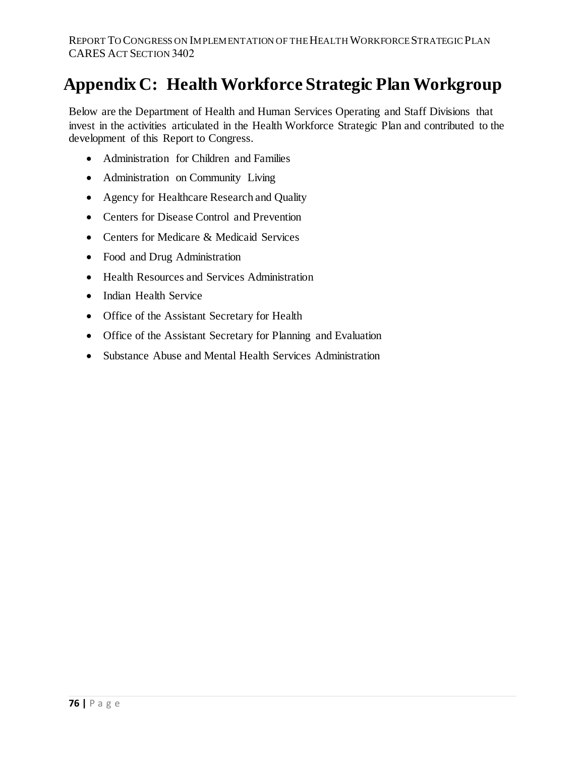# **Appendix C: Health Workforce Strategic Plan Workgroup**

Below are the Department of Health and Human Services Operating and Staff Divisions that invest in the activities articulated in the Health Workforce Strategic Plan and contributed to the development of this Report to Congress.

- Administration for Children and Families
- Administration on Community Living
- Agency for Healthcare Research and Quality
- Centers for Disease Control and Prevention
- Centers for Medicare & Medicaid Services
- Food and Drug Administration
- Health Resources and Services Administration
- Indian Health Service
- Office of the Assistant Secretary for Health
- Office of the Assistant Secretary for Planning and Evaluation
- Substance Abuse and Mental Health Services Administration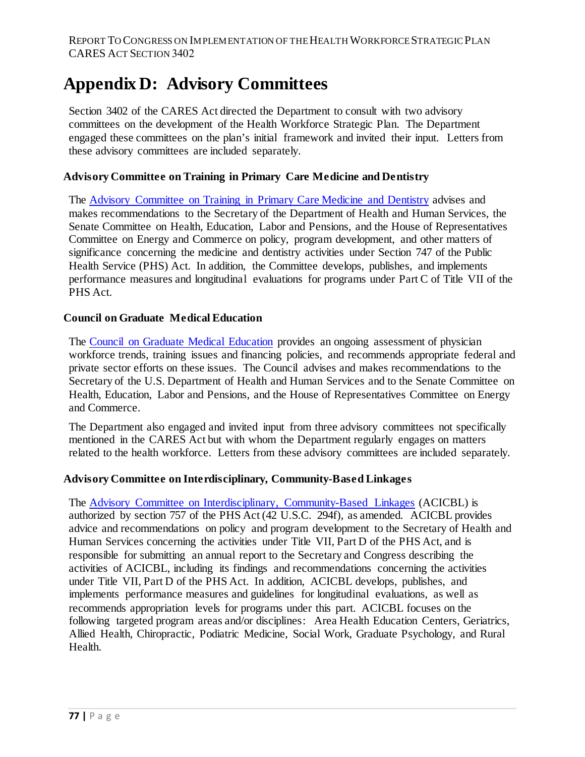# **Appendix D: Advisory Committees**

Section 3402 of the CARES Act directed the Department to consult with two advisory committees on the development of the Health Workforce Strategic Plan. The Department engaged these committees on the plan's initial framework and invited their input. Letters from these advisory committees are included separately.

#### **Advisory Committee on Training in Primary Care Medicine and Dentistry**

The [Advisory Committee on Training in Primary Care Medicine and Dentistry](https://www.hrsa.gov/advisory-committees/primarycare-dentist/index.html) advises and makes recommendations to the Secretary of the Department of Health and Human Services, the Senate Committee on Health, Education, Labor and Pensions, and the House of Representatives Committee on Energy and Commerce on policy, program development, and other matters of significance concerning the medicine and dentistry activities under Section 747 of the Public Health Service (PHS) Act. In addition, the Committee develops, publishes, and implements performance measures and longitudinal evaluations for programs under Part C of Title VII of the PHS Act.

#### **Council on Graduate Medical Education**

The [Council on Graduate Medical Education](https://www.hrsa.gov/advisory-committees/graduate-medical-edu/index.html) provides an ongoing assessment of physician workforce trends, training issues and financing policies, and recommends appropriate federal and private sector efforts on these issues. The Council advises and makes recommendations to the Secretary of the U.S. Department of Health and Human Services and to the Senate Committee on Health, Education, Labor and Pensions, and the House of Representatives Committee on Energy and Commerce.

The Department also engaged and invited input from three advisory committees not specifically mentioned in the CARES Act but with whom the Department regularly engages on matters related to the health workforce. Letters from these advisory committees are included separately.

#### **[Advisory Committee on Interdisciplinary, Community-Based Linkages](https://www.hrsa.gov/advisory-committees/interdisciplinary-community-linkages/index.htmlv)**

The Advisory Committee on Interdisciplinary, [Community-Based](https://www.hrsa.gov/advisory-committees/interdisciplinary-community-linkages/index.html) Linkages (ACICBL) is authorized by section 757 of the PHS Act (42 U.S.C. 294f), as amended. ACICBL provides advice and recommendations on policy and program development to the Secretary of Health and Human Services concerning the activities under Title VII, Part D of the PHS Act, and is responsible for submitting an annual report to the Secretary and Congress describing the activities of ACICBL, including its findings and recommendations concerning the activities under Title VII, Part D of the PHS Act. In addition, ACICBL develops, publishes, and implements performance measures and guidelines for longitudinal evaluations, as well as recommends appropriation levels for programs under this part. ACICBL focuses on the following targeted program areas and/or disciplines: Area Health Education Centers, Geriatrics, Allied Health, Chiropractic, Podiatric Medicine, Social Work, Graduate Psychology, and Rural Health.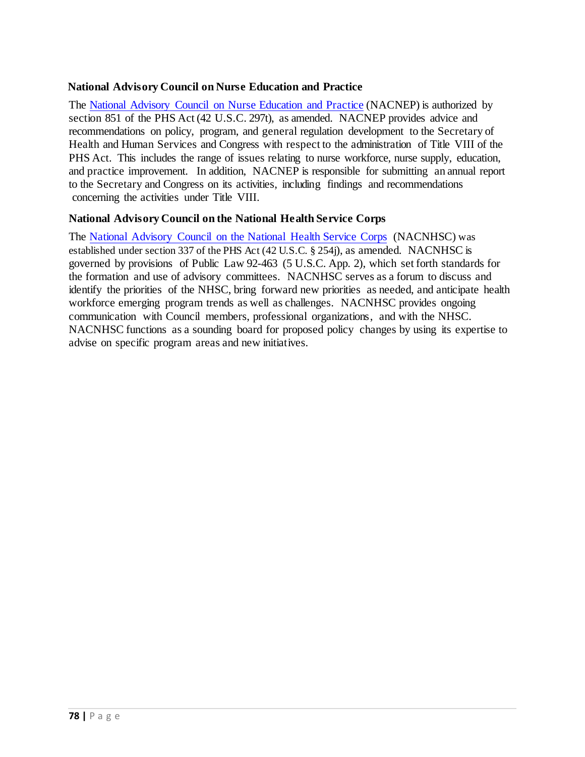#### **National Advisory Council on Nurse Education and Practice**

The National Advisory Council on Nurse [Education](https://www.hrsa.gov/advisory-committees/nursing/index.html) and Practice (NACNEP) is authorized by section 851 of the PHS Act (42 U.S.C. 297t), as amended. NACNEP provides advice and recommendations on policy, program, and general regulation development to the Secretary of Health and Human Services and Congress with respect to the administration of Title VIII of the PHS Act. This includes the range of issues relating to nurse workforce, nurse supply, education, and practice improvement. In addition, NACNEP is responsible for submitting an annual report to the Secretary and Congress on its activities, including findings and recommendations [concerning](https://nhsc.hrsa.gov/about/national-advisory-council-nhsc/index.html) the activities under Title VIII.

#### **National Advisory Council on the National Health Service Corps**

The National [Advisory](https://www.hrsa.gov/advisory-committees/national-health-service-corps) Council on the National Health Service Corps (NACNHSC) was established under section 337 of the PHS Act (42 U.S.C. § 254j), as amended. NACNHSC is governed by provisions of Public Law 92-463 (5 U.S.C. App. 2), which set forth standards for the formation and use of advisory committees. NACNHSC serves as a forum to discuss and identify the priorities of the NHSC, bring forward new priorities as needed, and anticipate health workforce emerging program trends as well as challenges. NACNHSC provides ongoing communication with Council members, professional organizations, and with the NHSC. NACNHSC functions as a sounding board for proposed policy changes by using its expertise to advise on specific program areas and new initiatives.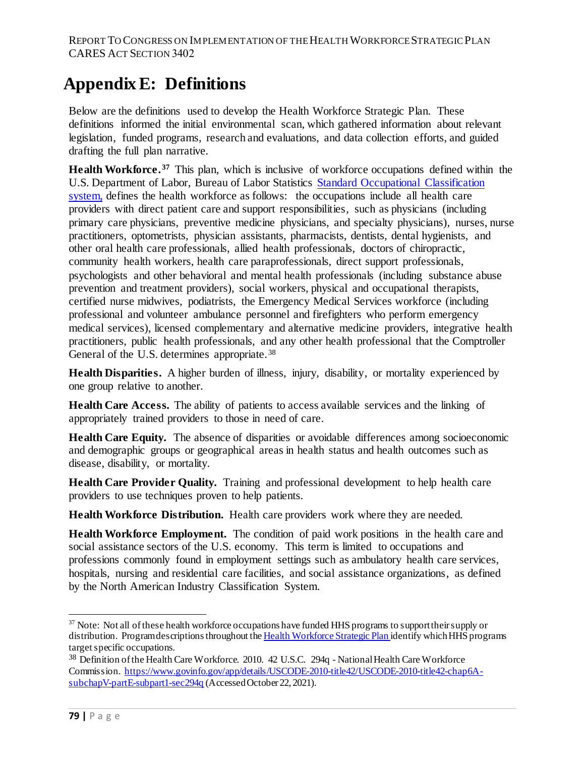# **Appendix E: Definitions**

Below are the definitions used to develop the Health Workforce Strategic Plan. These definitions informed the initial environmental scan, which gathered information about relevant legislation, funded programs, research and evaluations, and data collection efforts, and guided drafting the full plan narrative.

**Health Workforce.[37](#page-78-0)** This plan, which is inclusive of workforce occupations defined within the U.S. Department of Labor, Bureau of Labor Statistics [Standard Occupational Classification](https://www.bls.gov/soc/)  [system,](https://www.bls.gov/soc/) defines the health workforce as follows: the occupations include all health care providers with direct patient care and support responsibilities, such as physicians (including primary care physicians, preventive medicine physicians, and specialty physicians), nurses, nurse practitioners, optometrists, physician assistants, pharmacists, dentists, dental hygienists, and other oral health care professionals, allied health professionals, doctors of chiropractic, community health workers, health care paraprofessionals, direct support professionals, psychologists and other behavioral and mental health professionals (including substance abuse prevention and treatment providers), social workers, physical and occupational therapists, certified nurse midwives, podiatrists, the Emergency Medical Services workforce (including professional and volunteer ambulance personnel and firefighters who perform emergency medical services), licensed complementary and alternative medicine providers, integrative health practitioners, public health professionals, and any other health professional that the Comptroller General of the U.S. determines appropriate.<sup>[38](#page-78-1)</sup>

**Health Disparities.** A higher burden of illness, injury, disability, or mortality experienced by one group relative to another.

**Health Care Access.** The ability of patients to access available services and the linking of appropriately trained providers to those in need of care.

**Health Care Equity.** The absence of disparities or avoidable differences among socioeconomic and demographic groups or geographical areas in health status and health outcomes such as disease, disability, or mortality.

**Health Care Provider Quality.** Training and professional development to help health care providers to use techniques proven to help patients.

**Health Workforce Distribution.** Health care providers work where they are needed.

**Health Workforce Employment.** The condition of paid work positions in the health care and social assistance sectors of the U.S. economy. This term is limited to occupations and professions commonly found in employment settings such as ambulatory health care services, hospitals, nursing and residential care facilities, and social assistance organizations, as defined by the North American Industry Classification System.

l

<span id="page-78-0"></span> $37$  Note: Not all of these health workforce occupations have funded HHS programs to support their supply or distribution. Program descriptions throughout th[e Health Workforce Strategic Plan i](https://bhw.hrsa.gov/sites/default/files/bureau-health-workforce/about-us/hhs-health-workforce-strategic-plan-2021.pdf)dentify which HHS programs target specific occupations.

<span id="page-78-1"></span><sup>38</sup> Definition of the Health Care Workforce. 2010. 42 U.S.C. 294q - National Health Care Workforce Commission. [https://www.govinfo.gov/app/details/USCODE-2010-title42/USCODE-2010-title42-chap6A](https://www.govinfo.gov/app/details/USCODE-2010-title42/USCODE-2010-title42-chap6A-subchapV-partE-subpart1-sec294q)[subchapV-partE-subpart1-sec294q](https://www.govinfo.gov/app/details/USCODE-2010-title42/USCODE-2010-title42-chap6A-subchapV-partE-subpart1-sec294q) (Accessed October 22, 2021).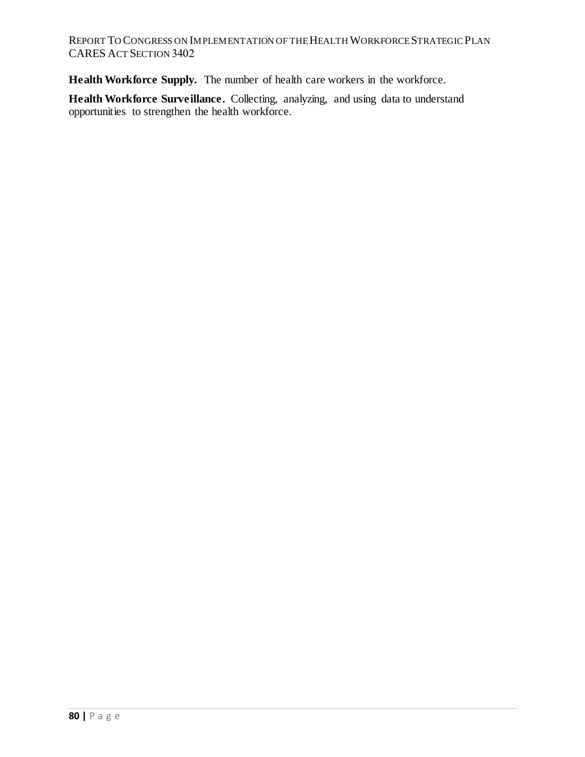REPORT TO CONGRESS ON IMPLEMENTATION OF THEHEALTH WORKFORCE STRATEGIC PLAN CARES ACT SECTION 3402

**Health Workforce Supply.** The number of health care workers in the workforce.

**Health Workforce Surveillance.** Collecting, analyzing, and using data to understand opportunities to strengthen the health workforce.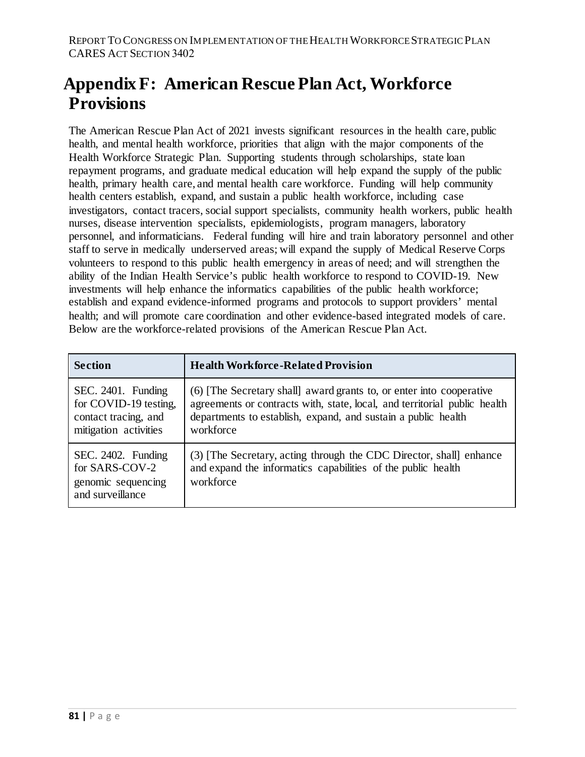# **Appendix F: American Rescue Plan Act, Workforce Provisions**

The American Rescue Plan Act of 2021 invests significant resources in the health care, public health, and mental health workforce, priorities that align with the major components of the Health Workforce Strategic Plan. Supporting students through scholarships, state loan repayment programs, and graduate medical education will help expand the supply of the public health, primary health care, and mental health care workforce. Funding will help community health centers establish, expand, and sustain a public health workforce, including case investigators, contact tracers, social support specialists, community health workers, public health nurses, disease intervention specialists, epidemiologists, program managers, laboratory personnel, and informaticians. Federal funding will hire and train laboratory personnel and other staff to serve in medically underserved areas; will expand the supply of Medical Reserve Corps volunteers to respond to this public health emergency in areas of need; and will strengthen the ability of the Indian Health Service's public health workforce to respond to COVID-19. New investments will help enhance the informatics capabilities of the public health workforce; establish and expand evidence-informed programs and protocols to support providers' mental health; and will promote care coordination and other evidence-based integrated models of care. Below are the workforce-related provisions of the American Rescue Plan Act.

| <b>Section</b>                                                                               | <b>Health Workforce-Related Provision</b>                                                                                                                                                                                       |
|----------------------------------------------------------------------------------------------|---------------------------------------------------------------------------------------------------------------------------------------------------------------------------------------------------------------------------------|
| SEC. 2401. Funding<br>for COVID-19 testing,<br>contact tracing, and<br>mitigation activities | (6) [The Secretary shall] award grants to, or enter into cooperative<br>agreements or contracts with, state, local, and territorial public health<br>departments to establish, expand, and sustain a public health<br>workforce |
| SEC. 2402. Funding<br>for SARS-COV-2<br>genomic sequencing<br>and surveillance               | (3) [The Secretary, acting through the CDC Director, shall] enhance<br>and expand the informatics capabilities of the public health<br>workforce                                                                                |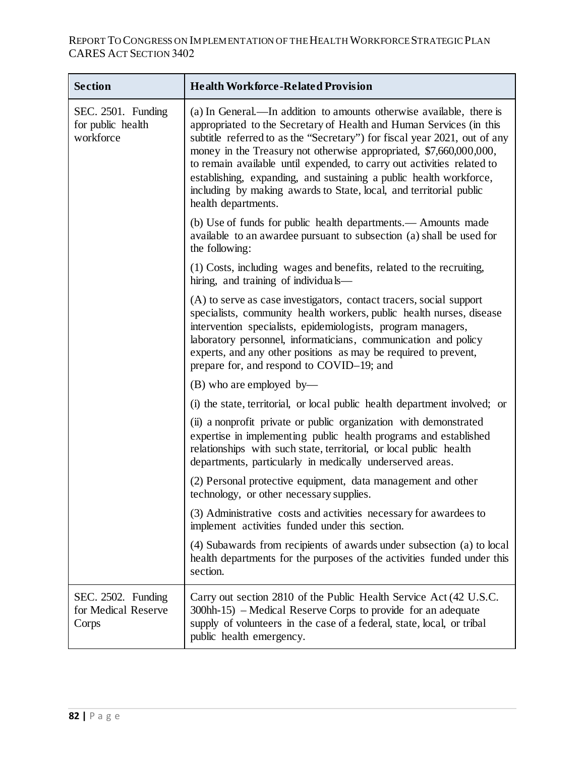| <b>Section</b>                                       | <b>Health Workforce-Related Provision</b>                                                                                                                                                                                                                                                                                                                                                                                                                                                                                                   |
|------------------------------------------------------|---------------------------------------------------------------------------------------------------------------------------------------------------------------------------------------------------------------------------------------------------------------------------------------------------------------------------------------------------------------------------------------------------------------------------------------------------------------------------------------------------------------------------------------------|
| SEC. 2501. Funding<br>for public health<br>workforce | (a) In General.—In addition to amounts otherwise available, there is<br>appropriated to the Secretary of Health and Human Services (in this<br>subtitle referred to as the "Secretary") for fiscal year 2021, out of any<br>money in the Treasury not otherwise appropriated, \$7,660,000,000,<br>to remain available until expended, to carry out activities related to<br>establishing, expanding, and sustaining a public health workforce,<br>including by making awards to State, local, and territorial public<br>health departments. |
|                                                      | (b) Use of funds for public health departments.— Amounts made<br>available to an awardee pursuant to subsection (a) shall be used for<br>the following:                                                                                                                                                                                                                                                                                                                                                                                     |
|                                                      | (1) Costs, including wages and benefits, related to the recruiting,<br>hiring, and training of individuals—                                                                                                                                                                                                                                                                                                                                                                                                                                 |
|                                                      | (A) to serve as case investigators, contact tracers, social support<br>specialists, community health workers, public health nurses, disease<br>intervention specialists, epidemiologists, program managers,<br>laboratory personnel, informaticians, communication and policy<br>experts, and any other positions as may be required to prevent,<br>prepare for, and respond to COVID-19; and                                                                                                                                               |
|                                                      | $(B)$ who are employed by—                                                                                                                                                                                                                                                                                                                                                                                                                                                                                                                  |
|                                                      | (i) the state, territorial, or local public health department involved; or                                                                                                                                                                                                                                                                                                                                                                                                                                                                  |
|                                                      | (ii) a nonprofit private or public organization with demonstrated<br>expertise in implementing public health programs and established<br>relationships with such state, territorial, or local public health<br>departments, particularly in medically underserved areas.                                                                                                                                                                                                                                                                    |
|                                                      | (2) Personal protective equipment, data management and other<br>technology, or other necessary supplies.                                                                                                                                                                                                                                                                                                                                                                                                                                    |
|                                                      | (3) Administrative costs and activities necessary for awardees to<br>implement activities funded under this section.                                                                                                                                                                                                                                                                                                                                                                                                                        |
|                                                      | (4) Subawards from recipients of awards under subsection (a) to local<br>health departments for the purposes of the activities funded under this<br>section.                                                                                                                                                                                                                                                                                                                                                                                |
| SEC. 2502. Funding<br>for Medical Reserve<br>Corps   | Carry out section 2810 of the Public Health Service Act (42 U.S.C.<br>300hh-15) – Medical Reserve Corps to provide for an adequate<br>supply of volunteers in the case of a federal, state, local, or tribal<br>public health emergency.                                                                                                                                                                                                                                                                                                    |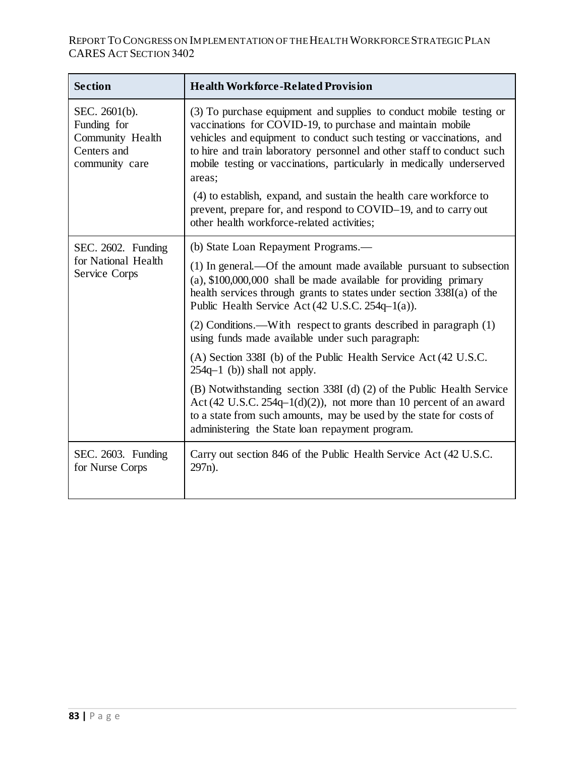### REPORT TO CONGRESS ON IMPLEMENTATION OF THEHEALTH WORKFORCE STRATEGIC PLAN CARES ACT SECTION 3402

| <b>Section</b>                                                                    | <b>Health Workforce-Related Provision</b>                                                                                                                                                                                                                                                                                                                                                                                                   |
|-----------------------------------------------------------------------------------|---------------------------------------------------------------------------------------------------------------------------------------------------------------------------------------------------------------------------------------------------------------------------------------------------------------------------------------------------------------------------------------------------------------------------------------------|
| SEC. 2601(b).<br>Funding for<br>Community Health<br>Centers and<br>community care | (3) To purchase equipment and supplies to conduct mobile testing or<br>vaccinations for COVID-19, to purchase and maintain mobile<br>vehicles and equipment to conduct such testing or vaccinations, and<br>to hire and train laboratory personnel and other staff to conduct such<br>mobile testing or vaccinations, particularly in medically underserved<br>areas;<br>(4) to establish, expand, and sustain the health care workforce to |
|                                                                                   | prevent, prepare for, and respond to COVID-19, and to carry out<br>other health workforce-related activities;                                                                                                                                                                                                                                                                                                                               |
| SEC. 2602. Funding                                                                | (b) State Loan Repayment Programs.—                                                                                                                                                                                                                                                                                                                                                                                                         |
| for National Health<br>Service Corps                                              | (1) In general.—Of the amount made available pursuant to subsection<br>$(a)$ , \$100,000,000 shall be made available for providing primary<br>health services through grants to states under section 338I(a) of the<br>Public Health Service Act (42 U.S.C. 254q-1(a)).                                                                                                                                                                     |
|                                                                                   | (2) Conditions.—With respect to grants described in paragraph (1)<br>using funds made available under such paragraph:                                                                                                                                                                                                                                                                                                                       |
|                                                                                   | (A) Section 338I (b) of the Public Health Service Act (42 U.S.C.<br>$254q-1$ (b)) shall not apply.                                                                                                                                                                                                                                                                                                                                          |
|                                                                                   | (B) Notwithstanding section 338I (d) (2) of the Public Health Service<br>Act (42 U.S.C. $254q-1(d)(2)$ ), not more than 10 percent of an award<br>to a state from such amounts, may be used by the state for costs of<br>administering the State loan repayment program.                                                                                                                                                                    |
| SEC. 2603. Funding<br>for Nurse Corps                                             | Carry out section 846 of the Public Health Service Act (42 U.S.C.<br>297 <sub>n</sub> ).                                                                                                                                                                                                                                                                                                                                                    |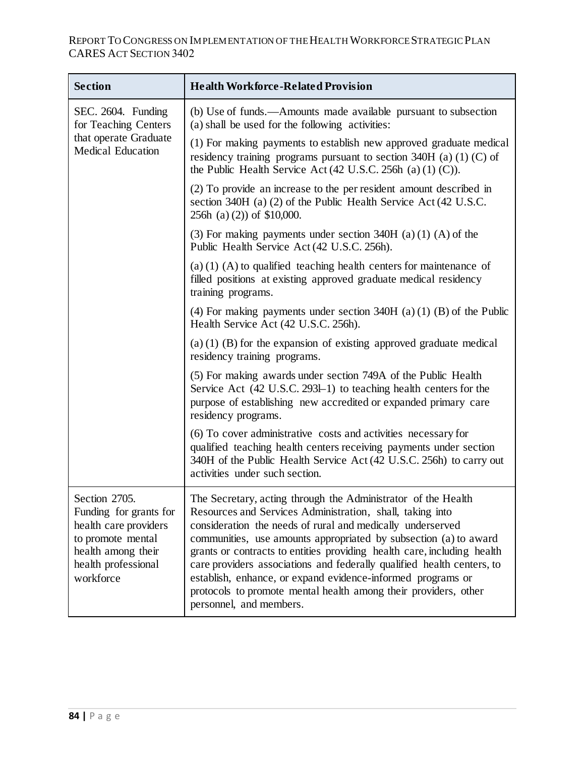### REPORT TO CONGRESS ON IMPLEMENTATION OF THEHEALTH WORKFORCE STRATEGIC PLAN CARES ACT SECTION 3402

| <b>Section</b>                                                                                                                                 | <b>Health Workforce-Related Provision</b>                                                                                                                                                                                                                                                                                                                                                                                                                                                                                                                                      |
|------------------------------------------------------------------------------------------------------------------------------------------------|--------------------------------------------------------------------------------------------------------------------------------------------------------------------------------------------------------------------------------------------------------------------------------------------------------------------------------------------------------------------------------------------------------------------------------------------------------------------------------------------------------------------------------------------------------------------------------|
| SEC. 2604. Funding<br>for Teaching Centers<br>that operate Graduate<br><b>Medical Education</b>                                                | (b) Use of funds.—Amounts made available pursuant to subsection<br>(a) shall be used for the following activities:                                                                                                                                                                                                                                                                                                                                                                                                                                                             |
|                                                                                                                                                | (1) For making payments to establish new approved graduate medical<br>residency training programs pursuant to section $340H$ (a) (1) (C) of<br>the Public Health Service Act $(42 \text{ U.S.C. } 256\text{h} \text{ (a) } (1) \text{ (C)}).$                                                                                                                                                                                                                                                                                                                                  |
|                                                                                                                                                | (2) To provide an increase to the per resident amount described in<br>section 340H (a) (2) of the Public Health Service Act (42 U.S.C.<br>$256h$ (a) (2)) of \$10,000.                                                                                                                                                                                                                                                                                                                                                                                                         |
|                                                                                                                                                | (3) For making payments under section $340H$ (a) (1) (A) of the<br>Public Health Service Act (42 U.S.C. 256h).                                                                                                                                                                                                                                                                                                                                                                                                                                                                 |
|                                                                                                                                                | (a) $(1)$ (A) to qualified teaching health centers for maintenance of<br>filled positions at existing approved graduate medical residency<br>training programs.                                                                                                                                                                                                                                                                                                                                                                                                                |
|                                                                                                                                                | (4) For making payments under section $340H$ (a) (1) (B) of the Public<br>Health Service Act (42 U.S.C. 256h).                                                                                                                                                                                                                                                                                                                                                                                                                                                                 |
|                                                                                                                                                | $(a)$ (1) (B) for the expansion of existing approved graduate medical<br>residency training programs.                                                                                                                                                                                                                                                                                                                                                                                                                                                                          |
|                                                                                                                                                | (5) For making awards under section 749A of the Public Health<br>Service Act (42 U.S.C. 2931-1) to teaching health centers for the<br>purpose of establishing new accredited or expanded primary care<br>residency programs.                                                                                                                                                                                                                                                                                                                                                   |
|                                                                                                                                                | (6) To cover administrative costs and activities necessary for<br>qualified teaching health centers receiving payments under section<br>340H of the Public Health Service Act (42 U.S.C. 256h) to carry out<br>activities under such section.                                                                                                                                                                                                                                                                                                                                  |
| Section 2705<br>Funding for grants for<br>health care providers<br>to promote mental<br>health among their<br>health professional<br>workforce | The Secretary, acting through the Administrator of the Health<br>Resources and Services Administration, shall, taking into<br>consideration the needs of rural and medically underserved<br>communities, use amounts appropriated by subsection (a) to award<br>grants or contracts to entities providing health care, including health<br>care providers associations and federally qualified health centers, to<br>establish, enhance, or expand evidence-informed programs or<br>protocols to promote mental health among their providers, other<br>personnel, and members. |